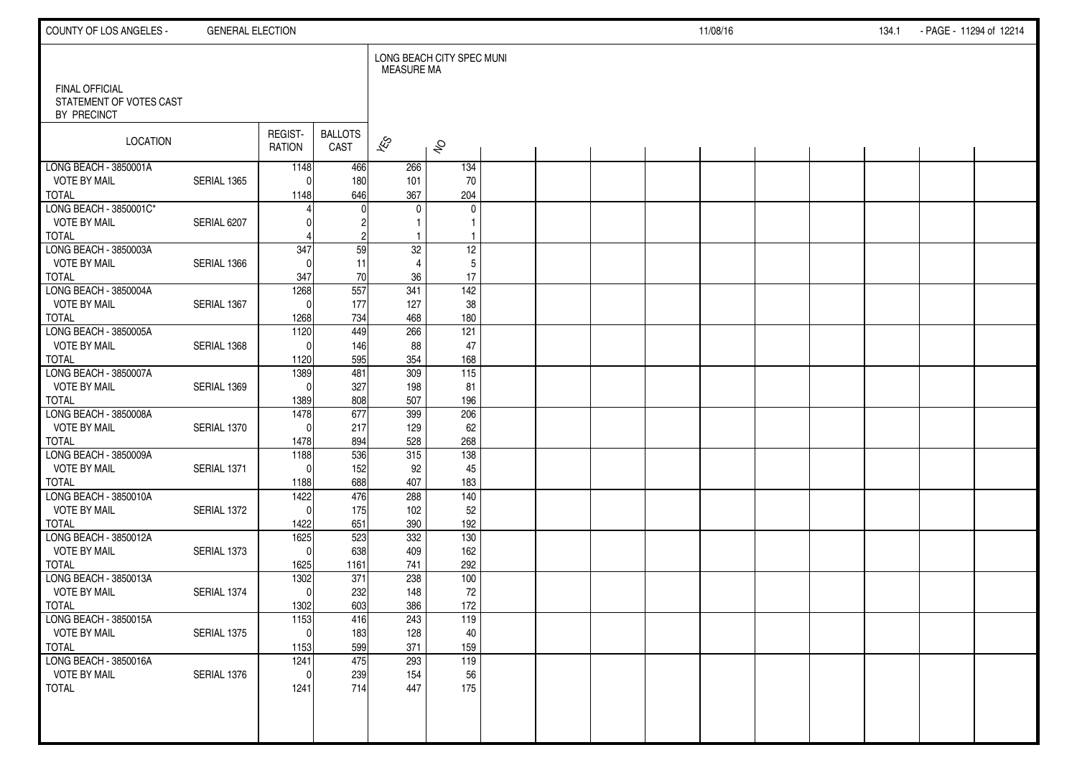| COUNTY OF LOS ANGELES -                                         | <b>GENERAL ELECTION</b> |                          |                        |                          |                           |  |  | 11/08/16 |  | 134.1 | - PAGE - 11294 of 12214 |  |
|-----------------------------------------------------------------|-------------------------|--------------------------|------------------------|--------------------------|---------------------------|--|--|----------|--|-------|-------------------------|--|
|                                                                 |                         |                          |                        | <b>MEASURE MA</b>        | LONG BEACH CITY SPEC MUNI |  |  |          |  |       |                         |  |
| <b>FINAL OFFICIAL</b><br>STATEMENT OF VOTES CAST<br>BY PRECINCT |                         |                          |                        |                          |                           |  |  |          |  |       |                         |  |
| LOCATION                                                        |                         | REGIST-<br><b>RATION</b> | <b>BALLOTS</b><br>CAST | $\overline{\mathscr{K}}$ | $\hat{\mathcal{S}}$       |  |  |          |  |       |                         |  |
| LONG BEACH - 3850001A                                           |                         | 1148                     | 466                    | 266                      | 134                       |  |  |          |  |       |                         |  |
| <b>VOTE BY MAIL</b>                                             | SERIAL 1365             | $\Omega$                 | 180                    | 101                      | 70                        |  |  |          |  |       |                         |  |
| <b>TOTAL</b><br>LONG BEACH - 3850001C*                          |                         | 1148                     | 646                    | 367<br>$\mathbf{0}$      | 204<br>0                  |  |  |          |  |       |                         |  |
| <b>VOTE BY MAIL</b>                                             | SERIAL 6207             |                          |                        |                          |                           |  |  |          |  |       |                         |  |
| <b>TOTAL</b>                                                    |                         |                          |                        |                          |                           |  |  |          |  |       |                         |  |
| LONG BEACH - 3850003A                                           |                         | 347                      | 59                     | 32                       | 12                        |  |  |          |  |       |                         |  |
| <b>VOTE BY MAIL</b>                                             | SERIAL 1366             |                          | 11                     | $\overline{4}$           | 5                         |  |  |          |  |       |                         |  |
| <b>TOTAL</b>                                                    |                         | 347                      | 70                     | 36                       | 17                        |  |  |          |  |       |                         |  |
| LONG BEACH - 3850004A                                           |                         | 1268                     | 557                    | 341                      | $\frac{142}{ }$           |  |  |          |  |       |                         |  |
| <b>VOTE BY MAIL</b>                                             | SERIAL 1367             | $\mathbf{0}$             | 177                    | 127                      | 38                        |  |  |          |  |       |                         |  |
| <b>TOTAL</b><br>LONG BEACH - 3850005A                           |                         | 1268<br>1120             | 734<br>449             | 468<br>266               | 180<br>121                |  |  |          |  |       |                         |  |
| <b>VOTE BY MAIL</b>                                             | SERIAL 1368             | $\Omega$                 | 146                    | 88                       | 47                        |  |  |          |  |       |                         |  |
| <b>TOTAL</b>                                                    |                         | 1120                     | 595                    | 354                      | 168                       |  |  |          |  |       |                         |  |
| LONG BEACH - 3850007A                                           |                         | 1389                     | 481                    | 309                      | 115                       |  |  |          |  |       |                         |  |
| <b>VOTE BY MAIL</b>                                             | SERIAL 1369             | $\Omega$                 | 327                    | 198                      | 81                        |  |  |          |  |       |                         |  |
| <b>TOTAL</b>                                                    |                         | 1389                     | 808                    | 507                      | 196                       |  |  |          |  |       |                         |  |
| LONG BEACH - 3850008A                                           |                         | 1478                     | 677                    | 399                      | 206                       |  |  |          |  |       |                         |  |
| <b>VOTE BY MAIL</b>                                             | SERIAL 1370             | $\Omega$                 | 217                    | 129                      | 62                        |  |  |          |  |       |                         |  |
| <b>TOTAL</b>                                                    |                         | 1478                     | 894                    | 528                      | 268                       |  |  |          |  |       |                         |  |
| LONG BEACH - 3850009A                                           |                         | 1188                     | 536                    | 315                      | 138                       |  |  |          |  |       |                         |  |
| <b>VOTE BY MAIL</b><br><b>TOTAL</b>                             | SERIAL 1371             | $\Omega$                 | 152<br>688             | 92<br>407                | 45                        |  |  |          |  |       |                         |  |
| LONG BEACH - 3850010A                                           |                         | 1188<br>1422             | 476                    | 288                      | 183<br>140                |  |  |          |  |       |                         |  |
| VOTE BY MAIL                                                    | SERIAL 1372             | $\Omega$                 | 175                    | 102                      | 52                        |  |  |          |  |       |                         |  |
| <b>TOTAL</b>                                                    |                         | 1422                     | 651                    | 390                      | 192                       |  |  |          |  |       |                         |  |
| LONG BEACH - 3850012A                                           |                         | 1625                     | 523                    | 332                      | 130                       |  |  |          |  |       |                         |  |
| <b>VOTE BY MAIL</b>                                             | SERIAL 1373             | $\mathbf{0}$             | 638                    | 409                      | 162                       |  |  |          |  |       |                         |  |
| <b>TOTAL</b>                                                    |                         | 1625                     | 1161                   | 741                      | 292                       |  |  |          |  |       |                         |  |
| LONG BEACH - 3850013A                                           |                         | 1302                     | 371                    | 238                      | 100                       |  |  |          |  |       |                         |  |
| <b>VOTE BY MAIL</b>                                             | SERIAL 1374             | $\mathbf{0}$             | 232                    | 148                      | 72                        |  |  |          |  |       |                         |  |
| <b>TOTAL</b><br>LONG BEACH - 3850015A                           |                         | 1302                     | 603<br>416             | 386<br>243               | 172                       |  |  |          |  |       |                         |  |
| VOTE BY MAIL                                                    | SERIAL 1375             | 1153<br>-ol              | 183                    | 128                      | 119<br>40                 |  |  |          |  |       |                         |  |
| <b>TOTAL</b>                                                    |                         | 1153                     | 599                    | 371                      | 159                       |  |  |          |  |       |                         |  |
| LONG BEACH - 3850016A                                           |                         | 1241                     | 475                    | 293                      | 119                       |  |  |          |  |       |                         |  |
| VOTE BY MAIL                                                    | SERIAL 1376             | $\mathbf{0}$             | 239                    | 154                      | 56                        |  |  |          |  |       |                         |  |
| <b>TOTAL</b>                                                    |                         | 1241                     | 714                    | 447                      | 175                       |  |  |          |  |       |                         |  |
|                                                                 |                         |                          |                        |                          |                           |  |  |          |  |       |                         |  |
|                                                                 |                         |                          |                        |                          |                           |  |  |          |  |       |                         |  |
|                                                                 |                         |                          |                        |                          |                           |  |  |          |  |       |                         |  |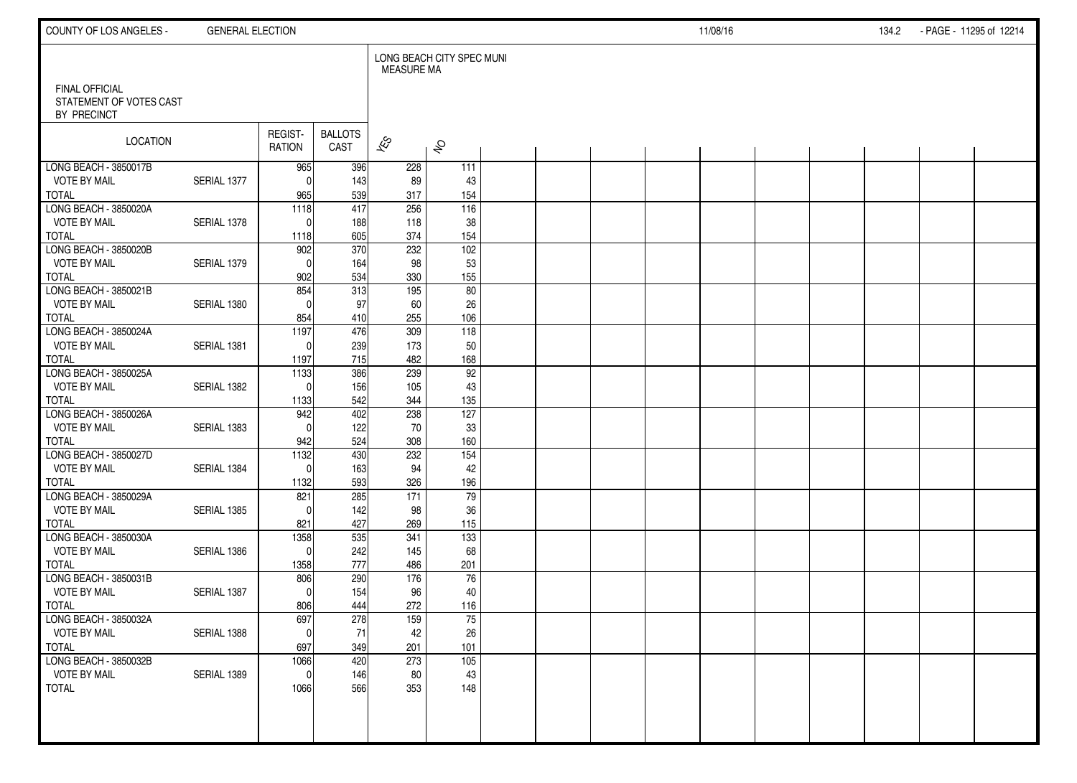| COUNTY OF LOS ANGELES -                                         | <b>GENERAL ELECTION</b> |                          |                        |                   |                           |  |  | 11/08/16 |  | 134.2 | - PAGE - 11295 of 12214 |  |
|-----------------------------------------------------------------|-------------------------|--------------------------|------------------------|-------------------|---------------------------|--|--|----------|--|-------|-------------------------|--|
|                                                                 |                         |                          |                        | <b>MEASURE MA</b> | LONG BEACH CITY SPEC MUNI |  |  |          |  |       |                         |  |
| <b>FINAL OFFICIAL</b><br>STATEMENT OF VOTES CAST<br>BY PRECINCT |                         |                          |                        |                   |                           |  |  |          |  |       |                         |  |
| LOCATION                                                        |                         | REGIST-<br><b>RATION</b> | <b>BALLOTS</b><br>CAST | $\approx$         | $\hat{\mathcal{S}}$       |  |  |          |  |       |                         |  |
| LONG BEACH - 3850017B                                           |                         | 965                      | 396                    | 228               | 111                       |  |  |          |  |       |                         |  |
| <b>VOTE BY MAIL</b><br><b>TOTAL</b>                             | SERIAL 1377             | 0<br>965                 | 143<br>539             | 89<br>317         | 43<br>154                 |  |  |          |  |       |                         |  |
| LONG BEACH - 3850020A                                           |                         | $\frac{1118}{ }$         | 417                    | 256               | 116                       |  |  |          |  |       |                         |  |
| <b>VOTE BY MAIL</b>                                             | SERIAL 1378             | 0                        | 188                    | 118               | 38                        |  |  |          |  |       |                         |  |
| <b>TOTAL</b>                                                    |                         | 1118                     | 605                    | 374               | 154                       |  |  |          |  |       |                         |  |
| LONG BEACH - 3850020B                                           |                         | 902                      | 370                    | 232               | 102                       |  |  |          |  |       |                         |  |
| <b>VOTE BY MAIL</b>                                             | SERIAL 1379             | $\mathbf{0}$             | 164                    | 98                | 53                        |  |  |          |  |       |                         |  |
| <b>TOTAL</b><br>LONG BEACH - 3850021B                           |                         | 902<br>854               | 534<br>313             | 330<br>195        | 155<br>80                 |  |  |          |  |       |                         |  |
| <b>VOTE BY MAIL</b>                                             | SERIAL 1380             | $\Omega$                 | 97                     | 60                | 26                        |  |  |          |  |       |                         |  |
| <b>TOTAL</b>                                                    |                         | 854                      | 410                    | 255               | 106                       |  |  |          |  |       |                         |  |
| LONG BEACH - 3850024A                                           |                         | 1197                     | 476                    | 309               | 118                       |  |  |          |  |       |                         |  |
| <b>VOTE BY MAIL</b>                                             | SERIAL 1381             | $\Omega$                 | 239                    | 173               | 50                        |  |  |          |  |       |                         |  |
| <b>TOTAL</b>                                                    |                         | 1197                     | 715                    | 482               | 168                       |  |  |          |  |       |                         |  |
| LONG BEACH - 3850025A                                           |                         | 1133                     | 386                    | 239               | 92                        |  |  |          |  |       |                         |  |
| <b>VOTE BY MAIL</b>                                             | SERIAL 1382             | $\mathbf{0}$             | 156                    | 105               | 43                        |  |  |          |  |       |                         |  |
| <b>TOTAL</b><br>LONG BEACH - 3850026A                           |                         | 1133<br>942              | 542<br>402             | 344<br>238        | 135<br>127                |  |  |          |  |       |                         |  |
| <b>VOTE BY MAIL</b>                                             | SERIAL 1383             | $\Omega$                 | 122                    | 70                | 33                        |  |  |          |  |       |                         |  |
| <b>TOTAL</b>                                                    |                         | 942                      | 524                    | 308               | 160                       |  |  |          |  |       |                         |  |
| LONG BEACH - 3850027D                                           |                         | 1132                     | 430                    | 232               | $\overline{154}$          |  |  |          |  |       |                         |  |
| <b>VOTE BY MAIL</b>                                             | SERIAL 1384             | $\Omega$                 | 163                    | 94                | 42                        |  |  |          |  |       |                         |  |
| <b>TOTAL</b>                                                    |                         | 1132                     | 593                    | 326               | 196                       |  |  |          |  |       |                         |  |
| LONG BEACH - 3850029A                                           |                         | 821                      | 285                    | 171               | 79                        |  |  |          |  |       |                         |  |
| <b>VOTE BY MAIL</b>                                             | SERIAL 1385             | $\Omega$                 | 142                    | 98                | 36                        |  |  |          |  |       |                         |  |
| <b>TOTAL</b><br>LONG BEACH - 3850030A                           |                         | 821<br>1358              | 427<br>535             | 269<br>341        | 115<br>$\overline{133}$   |  |  |          |  |       |                         |  |
| <b>VOTE BY MAIL</b>                                             | SERIAL 1386             | $\Omega$                 | 242                    | 145               | 68                        |  |  |          |  |       |                         |  |
| <b>TOTAL</b>                                                    |                         | 1358                     | 777                    | 486               | 201                       |  |  |          |  |       |                         |  |
| LONG BEACH - 3850031B                                           |                         | 806                      | 290                    | 176               | 76                        |  |  |          |  |       |                         |  |
| <b>VOTE BY MAIL</b>                                             | SERIAL 1387             | $\Omega$                 | 154                    | 96                | 40                        |  |  |          |  |       |                         |  |
| <b>TOTAL</b>                                                    |                         | 806                      | 444                    | 272               | 116                       |  |  |          |  |       |                         |  |
| LONG BEACH - 3850032A                                           |                         | 697                      | 278                    | 159               | 75                        |  |  |          |  |       |                         |  |
| <b>VOTE BY MAIL</b>                                             | SERIAL 1388             | $\pmb{0}$                | 71                     | 42                | 26                        |  |  |          |  |       |                         |  |
| <b>TOTAL</b><br>LONG BEACH - 3850032B                           |                         | 697<br>1066              | 349<br>420             | 201<br>273        | 101<br>105                |  |  |          |  |       |                         |  |
| <b>VOTE BY MAIL</b>                                             | SERIAL 1389             | $\mathbf 0$              | 146                    | 80                | 43                        |  |  |          |  |       |                         |  |
| <b>TOTAL</b>                                                    |                         | 1066                     | 566                    | 353               | 148                       |  |  |          |  |       |                         |  |
|                                                                 |                         |                          |                        |                   |                           |  |  |          |  |       |                         |  |
|                                                                 |                         |                          |                        |                   |                           |  |  |          |  |       |                         |  |
|                                                                 |                         |                          |                        |                   |                           |  |  |          |  |       |                         |  |
|                                                                 |                         |                          |                        |                   |                           |  |  |          |  |       |                         |  |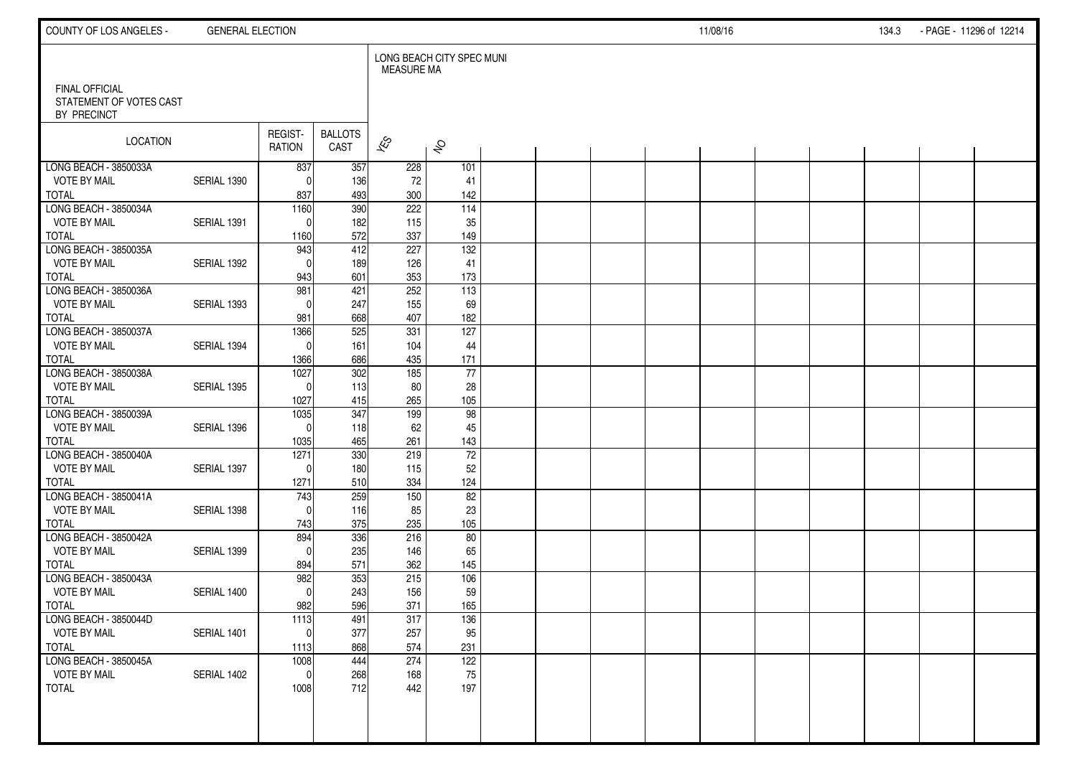| COUNTY OF LOS ANGELES -                      | <b>GENERAL ELECTION</b> |                     |                        |                   |                           |  |  | 11/08/16 |  | 134.3 | - PAGE - 11296 of 12214 |  |
|----------------------------------------------|-------------------------|---------------------|------------------------|-------------------|---------------------------|--|--|----------|--|-------|-------------------------|--|
| <b>FINAL OFFICIAL</b>                        |                         |                     |                        | <b>MEASURE MA</b> | LONG BEACH CITY SPEC MUNI |  |  |          |  |       |                         |  |
| STATEMENT OF VOTES CAST<br>BY PRECINCT       |                         |                     |                        |                   |                           |  |  |          |  |       |                         |  |
| <b>LOCATION</b>                              |                         | REGIST-<br>RATION   | <b>BALLOTS</b><br>CAST | $\approx$         | $\hat{\mathcal{S}}$       |  |  |          |  |       |                         |  |
| LONG BEACH - 3850033A<br><b>VOTE BY MAIL</b> | SERIAL 1390             | 837<br>$\Omega$     | 357<br>136             | 228<br>72         | 101<br>41                 |  |  |          |  |       |                         |  |
| <b>TOTAL</b>                                 |                         | 837                 | 493                    | 300               | 142                       |  |  |          |  |       |                         |  |
| LONG BEACH - 3850034A                        |                         | 1160                | 390                    | 222               | $\frac{114}{114}$         |  |  |          |  |       |                         |  |
| <b>VOTE BY MAIL</b>                          | SERIAL 1391             | $\Omega$            | 182                    | 115               | 35                        |  |  |          |  |       |                         |  |
| <b>TOTAL</b>                                 |                         | 1160                | 572                    | 337               | 149                       |  |  |          |  |       |                         |  |
| LONG BEACH - 3850035A<br><b>VOTE BY MAIL</b> | SERIAL 1392             | 943<br>$\Omega$     | 412<br>189             | 227<br>126        | $\frac{132}{ }$<br>41     |  |  |          |  |       |                         |  |
| <b>TOTAL</b>                                 |                         | 943                 | 601                    | 353               | 173                       |  |  |          |  |       |                         |  |
| LONG BEACH - 3850036A                        |                         | 981                 | 421                    | 252               | $\overline{113}$          |  |  |          |  |       |                         |  |
| <b>VOTE BY MAIL</b>                          | SERIAL 1393             | $\Omega$            | 247                    | 155               | 69                        |  |  |          |  |       |                         |  |
| <b>TOTAL</b>                                 |                         | 981                 | 668                    | 407               | 182                       |  |  |          |  |       |                         |  |
| LONG BEACH - 3850037A                        |                         | 1366                | 525                    | 331               | 127                       |  |  |          |  |       |                         |  |
| <b>VOTE BY MAIL</b>                          | SERIAL 1394             | $\Omega$            | 161                    | 104               | 44                        |  |  |          |  |       |                         |  |
| <b>TOTAL</b><br>LONG BEACH - 3850038A        |                         | 1366<br>1027        | 686<br>302             | 435<br>185        | 171<br>77                 |  |  |          |  |       |                         |  |
| <b>VOTE BY MAIL</b>                          | SERIAL 1395             | $\Omega$            | 113                    | 80                | 28                        |  |  |          |  |       |                         |  |
| <b>TOTAL</b>                                 |                         | 1027                | 415                    | 265               | 105                       |  |  |          |  |       |                         |  |
| LONG BEACH - 3850039A                        |                         | 1035                | 347                    | 199               | 98                        |  |  |          |  |       |                         |  |
| <b>VOTE BY MAIL</b>                          | SERIAL 1396             | $\Omega$            | 118                    | 62                | 45                        |  |  |          |  |       |                         |  |
| <b>TOTAL</b>                                 |                         | 1035                | 465                    | 261               | 143                       |  |  |          |  |       |                         |  |
| LONG BEACH - 3850040A<br><b>VOTE BY MAIL</b> | SERIAL 1397             | 1271<br>$\Omega$    | 330<br>180             | 219<br>115        | $\overline{72}$<br>52     |  |  |          |  |       |                         |  |
| <b>TOTAL</b>                                 |                         | 1271                | 510                    | 334               | 124                       |  |  |          |  |       |                         |  |
| LONG BEACH - 3850041A                        |                         | 743                 | 259                    | 150               | 82                        |  |  |          |  |       |                         |  |
| <b>VOTE BY MAIL</b>                          | SERIAL 1398             | $\Omega$            | 116                    | 85                | 23                        |  |  |          |  |       |                         |  |
| <b>TOTAL</b>                                 |                         | 743                 | 375                    | 235               | 105                       |  |  |          |  |       |                         |  |
| LONG BEACH - 3850042A                        |                         | 894                 | 336                    | 216               | 80                        |  |  |          |  |       |                         |  |
| <b>VOTE BY MAIL</b><br><b>TOTAL</b>          | SERIAL 1399             | $\Omega$            | 235<br>571             | 146<br>362        | 65<br>145                 |  |  |          |  |       |                         |  |
| LONG BEACH - 3850043A                        |                         | 894<br>982          | 353                    | 215               | 106                       |  |  |          |  |       |                         |  |
| <b>VOTE BY MAIL</b>                          | SERIAL 1400             | $\Omega$            | 243                    | 156               | 59                        |  |  |          |  |       |                         |  |
| <b>TOTAL</b>                                 |                         | 982                 | 596                    | 371               | 165                       |  |  |          |  |       |                         |  |
| LONG BEACH - 3850044D                        |                         | 1113                | 491                    | 317               | 136                       |  |  |          |  |       |                         |  |
| <b>VOTE BY MAIL</b>                          | SERIAL 1401             | $\overline{0}$      | 377                    | 257               | 95                        |  |  |          |  |       |                         |  |
| <b>TOTAL</b><br>LONG BEACH - 3850045A        |                         | 1113                | 868                    | 574               | 231                       |  |  |          |  |       |                         |  |
| <b>VOTE BY MAIL</b>                          | SERIAL 1402             | 1008<br>$\mathbf 0$ | 444<br>268             | 274<br>168        | 122<br>75                 |  |  |          |  |       |                         |  |
| <b>TOTAL</b>                                 |                         | 1008                | 712                    | 442               | 197                       |  |  |          |  |       |                         |  |
|                                              |                         |                     |                        |                   |                           |  |  |          |  |       |                         |  |
|                                              |                         |                     |                        |                   |                           |  |  |          |  |       |                         |  |
|                                              |                         |                     |                        |                   |                           |  |  |          |  |       |                         |  |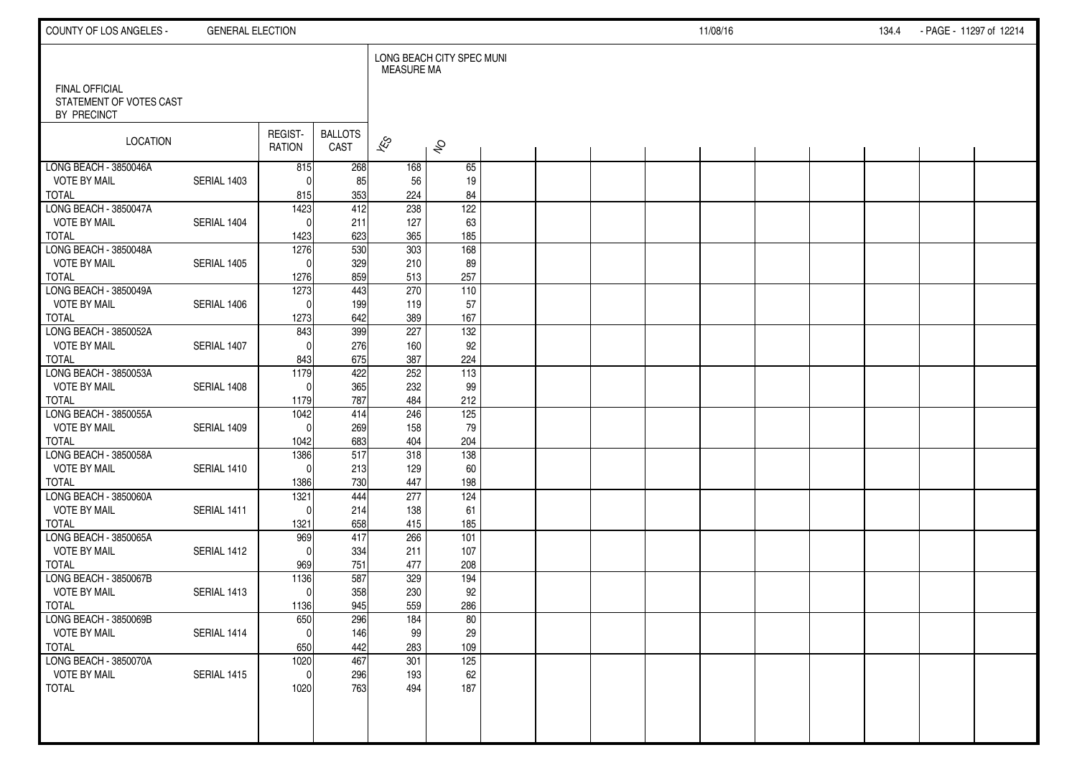| COUNTY OF LOS ANGELES -                | <b>GENERAL ELECTION</b> |                          |                        |                   |                           |  |  | 11/08/16 |  | 134.4 | - PAGE - 11297 of 12214 |  |
|----------------------------------------|-------------------------|--------------------------|------------------------|-------------------|---------------------------|--|--|----------|--|-------|-------------------------|--|
| <b>FINAL OFFICIAL</b>                  |                         |                          |                        | <b>MEASURE MA</b> | LONG BEACH CITY SPEC MUNI |  |  |          |  |       |                         |  |
| STATEMENT OF VOTES CAST<br>BY PRECINCT |                         |                          |                        |                   |                           |  |  |          |  |       |                         |  |
| <b>LOCATION</b>                        |                         | REGIST-<br><b>RATION</b> | <b>BALLOTS</b><br>CAST | $\approx$         | $\hat{\mathcal{S}}$       |  |  |          |  |       |                         |  |
| LONG BEACH - 3850046A                  |                         | 815                      | 268                    | 168               | 65                        |  |  |          |  |       |                         |  |
| <b>VOTE BY MAIL</b><br><b>TOTAL</b>    | SERIAL 1403             | $\Omega$                 | 85                     | 56<br>224         | 19<br>84                  |  |  |          |  |       |                         |  |
| LONG BEACH - 3850047A                  |                         | 815<br>1423              | 353<br>412             | 238               | 122                       |  |  |          |  |       |                         |  |
| <b>VOTE BY MAIL</b>                    | SERIAL 1404             | $\Omega$                 | 211                    | 127               | 63                        |  |  |          |  |       |                         |  |
| <b>TOTAL</b>                           |                         | 1423                     | 623                    | 365               | 185                       |  |  |          |  |       |                         |  |
| LONG BEACH - 3850048A                  |                         | 1276                     | 530                    | 303               | 168                       |  |  |          |  |       |                         |  |
| <b>VOTE BY MAIL</b>                    | SERIAL 1405             | $\Omega$                 | 329                    | 210               | 89                        |  |  |          |  |       |                         |  |
| <b>TOTAL</b>                           |                         | 1276                     | 859                    | 513               | 257                       |  |  |          |  |       |                         |  |
| LONG BEACH - 3850049A                  |                         | 1273                     | 443                    | 270               | 110                       |  |  |          |  |       |                         |  |
| <b>VOTE BY MAIL</b>                    | SERIAL 1406             | $\Omega$                 | 199                    | 119               | 57                        |  |  |          |  |       |                         |  |
| <b>TOTAL</b>                           |                         | 1273                     | 642                    | 389               | 167                       |  |  |          |  |       |                         |  |
| LONG BEACH - 3850052A                  |                         | 843                      | 399                    | 227               | 132                       |  |  |          |  |       |                         |  |
| <b>VOTE BY MAIL</b><br><b>TOTAL</b>    | SERIAL 1407             | $\Omega$                 | 276                    | 160<br>387        | 92<br>224                 |  |  |          |  |       |                         |  |
| LONG BEACH - 3850053A                  |                         | 843<br>1179              | 675<br>422             | 252               | $\frac{113}{113}$         |  |  |          |  |       |                         |  |
| <b>VOTE BY MAIL</b>                    | SERIAL 1408             | $\Omega$                 | 365                    | 232               | 99                        |  |  |          |  |       |                         |  |
| <b>TOTAL</b>                           |                         | 1179                     | 787                    | 484               | 212                       |  |  |          |  |       |                         |  |
| LONG BEACH - 3850055A                  |                         | 1042                     | 414                    | 246               | $\frac{1}{25}$            |  |  |          |  |       |                         |  |
| <b>VOTE BY MAIL</b>                    | SERIAL 1409             | $\Omega$                 | 269                    | 158               | 79                        |  |  |          |  |       |                         |  |
| <b>TOTAL</b>                           |                         | 1042                     | 683                    | 404               | 204                       |  |  |          |  |       |                         |  |
| LONG BEACH - 3850058A                  |                         | 1386                     | 517                    | 318               | 138                       |  |  |          |  |       |                         |  |
| <b>VOTE BY MAIL</b>                    | SERIAL 1410             | $\Omega$                 | 213                    | 129               | 60                        |  |  |          |  |       |                         |  |
| <b>TOTAL</b>                           |                         | 1386                     | 730                    | 447               | 198                       |  |  |          |  |       |                         |  |
| LONG BEACH - 3850060A                  |                         | 1321                     | 444                    | 277               | 124                       |  |  |          |  |       |                         |  |
| <b>VOTE BY MAIL</b>                    | SERIAL 1411             | $\Omega$                 | 214                    | 138               | 61                        |  |  |          |  |       |                         |  |
| <b>TOTAL</b><br>LONG BEACH - 3850065A  |                         | 1321<br>969              | 658<br>417             | 415<br>266        | 185<br>101                |  |  |          |  |       |                         |  |
| <b>VOTE BY MAIL</b>                    | SERIAL 1412             | $\Omega$                 | 334                    | 211               | 107                       |  |  |          |  |       |                         |  |
| <b>TOTAL</b>                           |                         | 969                      | 751                    | 477               | 208                       |  |  |          |  |       |                         |  |
| LONG BEACH - 3850067B                  |                         | 1136                     | 587                    | 329               | 194                       |  |  |          |  |       |                         |  |
| <b>VOTE BY MAIL</b>                    | SERIAL 1413             | $\mathbf{0}$             | 358                    | 230               | 92                        |  |  |          |  |       |                         |  |
| <b>TOTAL</b>                           |                         | 1136                     | 945                    | 559               | 286                       |  |  |          |  |       |                         |  |
| LONG BEACH - 3850069B                  |                         | 650                      | 296                    | 184               | 80                        |  |  |          |  |       |                         |  |
| <b>VOTE BY MAIL</b>                    | SERIAL 1414             | 0                        | 146                    | 99                | $29\,$                    |  |  |          |  |       |                         |  |
| <b>TOTAL</b>                           |                         | 650                      | 442                    | 283               | 109                       |  |  |          |  |       |                         |  |
| LONG BEACH - 3850070A                  |                         | 1020                     | 467                    | 301               | 125                       |  |  |          |  |       |                         |  |
| <b>VOTE BY MAIL</b>                    | SERIAL 1415             | $\mathbf 0$              | 296                    | 193               | 62                        |  |  |          |  |       |                         |  |
| <b>TOTAL</b>                           |                         | 1020                     | 763                    | 494               | 187                       |  |  |          |  |       |                         |  |
|                                        |                         |                          |                        |                   |                           |  |  |          |  |       |                         |  |
|                                        |                         |                          |                        |                   |                           |  |  |          |  |       |                         |  |
|                                        |                         |                          |                        |                   |                           |  |  |          |  |       |                         |  |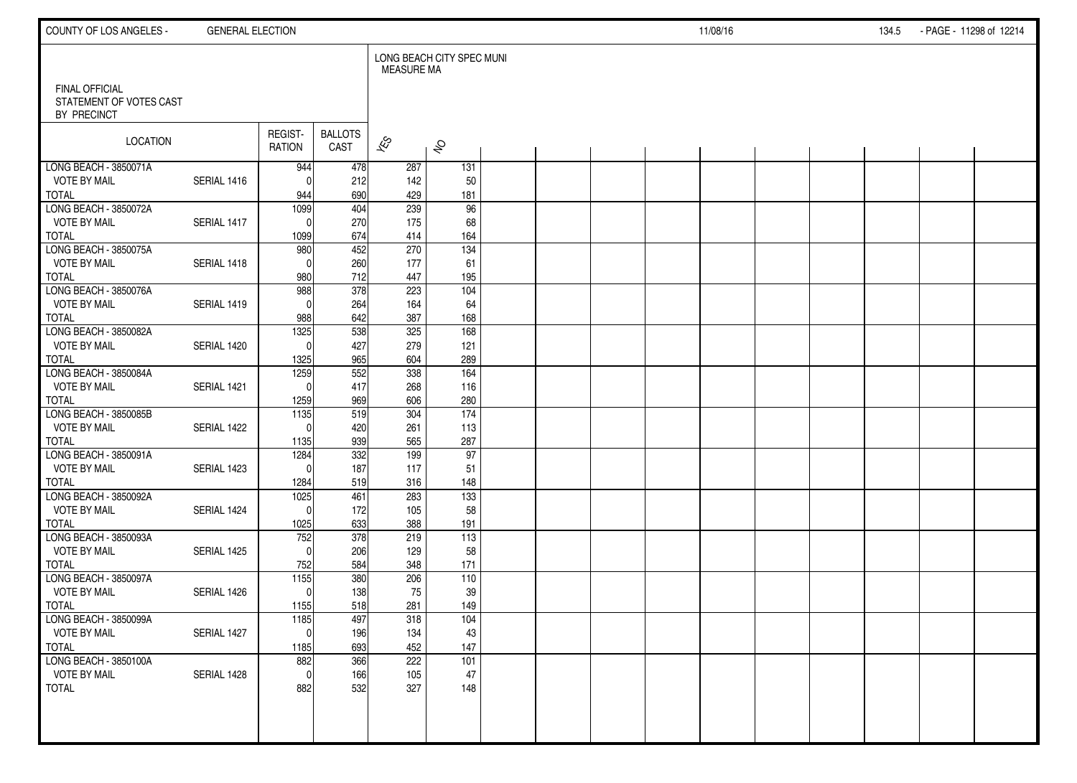| COUNTY OF LOS ANGELES -                      | <b>GENERAL ELECTION</b> |                          |                        |                   |                           |  |  | 11/08/16 |  | 134.5 | - PAGE - 11298 of 12214 |  |
|----------------------------------------------|-------------------------|--------------------------|------------------------|-------------------|---------------------------|--|--|----------|--|-------|-------------------------|--|
| <b>FINAL OFFICIAL</b>                        |                         |                          |                        | <b>MEASURE MA</b> | LONG BEACH CITY SPEC MUNI |  |  |          |  |       |                         |  |
| STATEMENT OF VOTES CAST<br>BY PRECINCT       |                         |                          |                        |                   |                           |  |  |          |  |       |                         |  |
| <b>LOCATION</b>                              |                         | REGIST-<br><b>RATION</b> | <b>BALLOTS</b><br>CAST | $\approx$         | $\hat{\mathcal{S}}$       |  |  |          |  |       |                         |  |
| LONG BEACH - 3850071A<br><b>VOTE BY MAIL</b> | SERIAL 1416             | 944<br>$\Omega$          | 478<br>212             | 287               | 131                       |  |  |          |  |       |                         |  |
| <b>TOTAL</b>                                 |                         | 944                      | 690                    | 142<br>429        | 50<br>181                 |  |  |          |  |       |                         |  |
| LONG BEACH - 3850072A                        |                         | 1099                     | 404                    | 239               | 96                        |  |  |          |  |       |                         |  |
| <b>VOTE BY MAIL</b>                          | SERIAL 1417             | $\Omega$                 | 270                    | 175               | 68                        |  |  |          |  |       |                         |  |
| <b>TOTAL</b>                                 |                         | 1099                     | 674                    | 414               | 164                       |  |  |          |  |       |                         |  |
| LONG BEACH - 3850075A                        |                         | 980                      | 452                    | 270               | 134                       |  |  |          |  |       |                         |  |
| <b>VOTE BY MAIL</b><br><b>TOTAL</b>          | SERIAL 1418             | $\Omega$<br>980          | 260<br>712             | 177<br>447        | 61<br>195                 |  |  |          |  |       |                         |  |
| LONG BEACH - 3850076A                        |                         | 988                      | 378                    | 223               | 104                       |  |  |          |  |       |                         |  |
| <b>VOTE BY MAIL</b>                          | SERIAL 1419             | $\Omega$                 | 264                    | 164               | 64                        |  |  |          |  |       |                         |  |
| <b>TOTAL</b>                                 |                         | 988                      | 642                    | 387               | 168                       |  |  |          |  |       |                         |  |
| LONG BEACH - 3850082A                        |                         | 1325                     | 538                    | 325               | 168                       |  |  |          |  |       |                         |  |
| <b>VOTE BY MAIL</b>                          | SERIAL 1420             | $\Omega$                 | 427                    | 279               | 121                       |  |  |          |  |       |                         |  |
| <b>TOTAL</b><br>LONG BEACH - 3850084A        |                         | 1325<br>1259             | 965<br>552             | 604<br>338        | 289<br>164                |  |  |          |  |       |                         |  |
| <b>VOTE BY MAIL</b>                          | SERIAL 1421             | $\Omega$                 | 417                    | 268               | 116                       |  |  |          |  |       |                         |  |
| <b>TOTAL</b>                                 |                         | 1259                     | 969                    | 606               | 280                       |  |  |          |  |       |                         |  |
| LONG BEACH - 3850085B                        |                         | 1135                     | 519                    | 304               | $\frac{174}{x}$           |  |  |          |  |       |                         |  |
| <b>VOTE BY MAIL</b>                          | SERIAL 1422             | $\Omega$                 | 420                    | 261               | 113                       |  |  |          |  |       |                         |  |
| <b>TOTAL</b>                                 |                         | 1135                     | 939                    | 565               | 287                       |  |  |          |  |       |                         |  |
| LONG BEACH - 3850091A                        |                         | 1284                     | 332                    | 199               | 97                        |  |  |          |  |       |                         |  |
| <b>VOTE BY MAIL</b><br><b>TOTAL</b>          | SERIAL 1423             | $\Omega$<br>1284         | 187<br>519             | 117<br>316        | 51<br>148                 |  |  |          |  |       |                         |  |
| LONG BEACH - 3850092A                        |                         | 1025                     | 461                    | 283               | $\overline{133}$          |  |  |          |  |       |                         |  |
| <b>VOTE BY MAIL</b>                          | SERIAL 1424             | $\Omega$                 | 172                    | 105               | 58                        |  |  |          |  |       |                         |  |
| <b>TOTAL</b>                                 |                         | 1025                     | 633                    | 388               | 191                       |  |  |          |  |       |                         |  |
| LONG BEACH - 3850093A                        |                         | 752                      | 378                    | 219               | 113                       |  |  |          |  |       |                         |  |
| <b>VOTE BY MAIL</b>                          | SERIAL 1425             | $\Omega$                 | 206                    | 129               | 58                        |  |  |          |  |       |                         |  |
| <b>TOTAL</b><br>LONG BEACH - 3850097A        |                         | 752<br>1155              | 584<br>380             | 348<br>206        | 171<br>110                |  |  |          |  |       |                         |  |
| VOTE BY MAIL                                 | SERIAL 1426             | $\mathbf{0}$             | 138                    | 75                | 39                        |  |  |          |  |       |                         |  |
| <b>TOTAL</b>                                 |                         | 1155                     | 518                    | 281               | 149                       |  |  |          |  |       |                         |  |
| LONG BEACH - 3850099A                        |                         | 1185                     | 497                    | 318               | 104                       |  |  |          |  |       |                         |  |
| <b>VOTE BY MAIL</b>                          | SERIAL 1427             | 0                        | 196                    | 134               | 43                        |  |  |          |  |       |                         |  |
| <b>TOTAL</b>                                 |                         | 1185                     | 693                    | 452               | 147                       |  |  |          |  |       |                         |  |
| LONG BEACH - 3850100A<br><b>VOTE BY MAIL</b> |                         | 882                      | 366                    | 222               | 101                       |  |  |          |  |       |                         |  |
| <b>TOTAL</b>                                 | SERIAL 1428             | $\mathbf 0$<br>882       | 166<br>532             | 105<br>327        | 47<br>148                 |  |  |          |  |       |                         |  |
|                                              |                         |                          |                        |                   |                           |  |  |          |  |       |                         |  |
|                                              |                         |                          |                        |                   |                           |  |  |          |  |       |                         |  |
|                                              |                         |                          |                        |                   |                           |  |  |          |  |       |                         |  |
|                                              |                         |                          |                        |                   |                           |  |  |          |  |       |                         |  |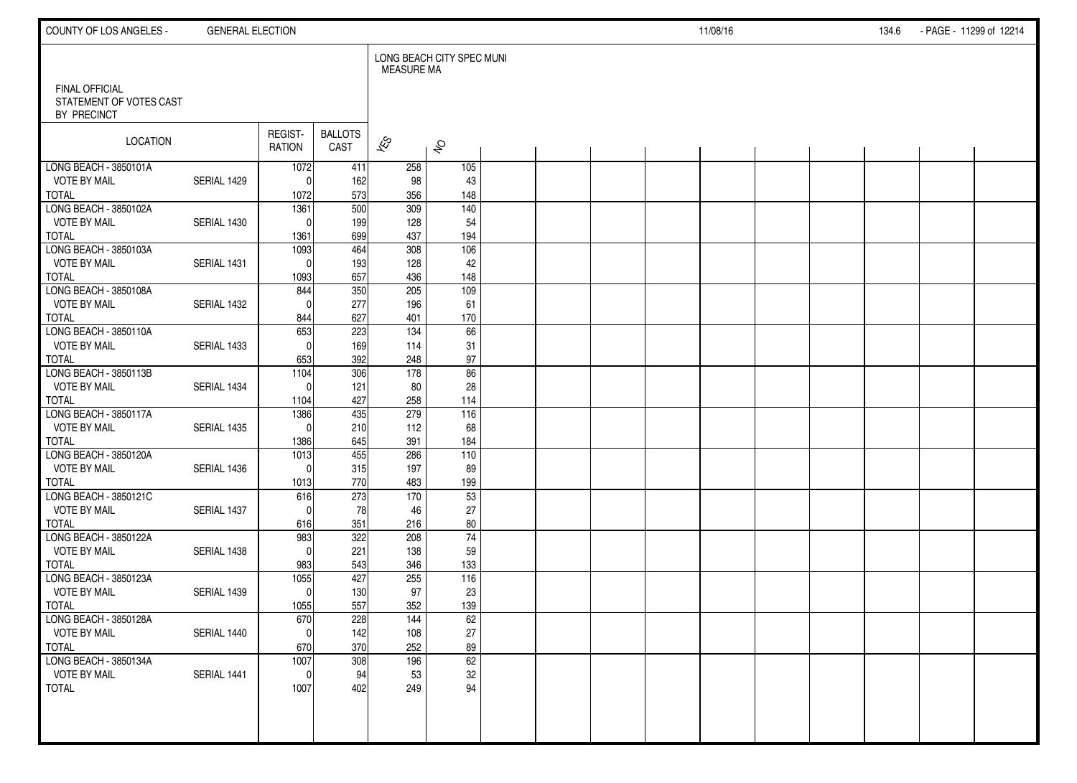| COUNTY OF LOS ANGELES -                                         | <b>GENERAL ELECTION</b> |                          |                        |                          |                           |  |  | 11/08/16 |  | 134.6 | - PAGE - 11299 of 12214 |  |
|-----------------------------------------------------------------|-------------------------|--------------------------|------------------------|--------------------------|---------------------------|--|--|----------|--|-------|-------------------------|--|
|                                                                 |                         |                          |                        | <b>MEASURE MA</b>        | LONG BEACH CITY SPEC MUNI |  |  |          |  |       |                         |  |
| <b>FINAL OFFICIAL</b><br>STATEMENT OF VOTES CAST<br>BY PRECINCT |                         |                          |                        |                          |                           |  |  |          |  |       |                         |  |
| LOCATION                                                        |                         | REGIST-<br><b>RATION</b> | <b>BALLOTS</b><br>CAST | $\overline{\mathscr{E}}$ | $\hat{\mathcal{S}}$       |  |  |          |  |       |                         |  |
| LONG BEACH - 3850101A                                           |                         | 1072                     | 411                    | 258                      | 105                       |  |  |          |  |       |                         |  |
| <b>VOTE BY MAIL</b><br><b>TOTAL</b>                             | SERIAL 1429             | 0<br>1072                | 162<br>573             | 98<br>356                | 43<br>148                 |  |  |          |  |       |                         |  |
| LONG BEACH - 3850102A                                           |                         | 1361                     | $\overline{500}$       | $\overline{309}$         | $\overline{140}$          |  |  |          |  |       |                         |  |
| <b>VOTE BY MAIL</b>                                             | SERIAL 1430             | $\Omega$                 | 199                    | 128                      | 54                        |  |  |          |  |       |                         |  |
| <b>TOTAL</b>                                                    |                         | 1361                     | 699                    | 437                      | 194                       |  |  |          |  |       |                         |  |
| LONG BEACH - 3850103A                                           |                         | 1093                     | 464                    | 308                      | 106                       |  |  |          |  |       |                         |  |
| <b>VOTE BY MAIL</b>                                             | SERIAL 1431             | $\mathbf{0}$             | 193                    | 128                      | 42                        |  |  |          |  |       |                         |  |
| <b>TOTAL</b>                                                    |                         | 1093                     | 657                    | 436                      | 148                       |  |  |          |  |       |                         |  |
| LONG BEACH - 3850108A                                           |                         | 844                      | 350                    | 205                      | 109                       |  |  |          |  |       |                         |  |
| <b>VOTE BY MAIL</b>                                             | SERIAL 1432             | $\Omega$                 | 277                    | 196                      | 61                        |  |  |          |  |       |                         |  |
| <b>TOTAL</b><br>LONG BEACH - 3850110A                           |                         | 844                      | 627                    | 401<br>134               | 170                       |  |  |          |  |       |                         |  |
| <b>VOTE BY MAIL</b>                                             | SERIAL 1433             | 653<br>$\Omega$          | 223<br>169             | 114                      | 66<br>31                  |  |  |          |  |       |                         |  |
| <b>TOTAL</b>                                                    |                         | 653                      | 392                    | 248                      | $97\,$                    |  |  |          |  |       |                         |  |
| LONG BEACH - 3850113B                                           |                         | 1104                     | 306                    | $\frac{1}{178}$          | 86                        |  |  |          |  |       |                         |  |
| <b>VOTE BY MAIL</b>                                             | SERIAL 1434             | $\Omega$                 | 121                    | 80                       | 28                        |  |  |          |  |       |                         |  |
| <b>TOTAL</b>                                                    |                         | 1104                     | 427                    | 258                      | 114                       |  |  |          |  |       |                         |  |
| LONG BEACH - 3850117A                                           |                         | 1386                     | 435                    | 279                      | 116                       |  |  |          |  |       |                         |  |
| <b>VOTE BY MAIL</b>                                             | SERIAL 1435             | $\Omega$                 | 210                    | 112                      | 68                        |  |  |          |  |       |                         |  |
| <b>TOTAL</b>                                                    |                         | 1386                     | 645                    | 391                      | 184                       |  |  |          |  |       |                         |  |
| LONG BEACH - 3850120A                                           |                         | 1013                     | 455                    | 286                      | 110                       |  |  |          |  |       |                         |  |
| <b>VOTE BY MAIL</b>                                             | SERIAL 1436             | $\mathbf 0$              | 315                    | 197                      | 89                        |  |  |          |  |       |                         |  |
| <b>TOTAL</b>                                                    |                         | 1013                     | 770                    | 483                      | 199                       |  |  |          |  |       |                         |  |
| LONG BEACH - 3850121C                                           |                         | 616                      | 273                    | 170                      | 53                        |  |  |          |  |       |                         |  |
| <b>VOTE BY MAIL</b><br><b>TOTAL</b>                             | SERIAL 1437             | $\Omega$<br>616          | 78<br>351              | 46<br>216                | 27<br>80                  |  |  |          |  |       |                         |  |
| LONG BEACH - 3850122A                                           |                         | 983                      | 322                    | 208                      | $\overline{74}$           |  |  |          |  |       |                         |  |
| <b>VOTE BY MAIL</b>                                             | SERIAL 1438             | $\Omega$                 | 221                    | 138                      | 59                        |  |  |          |  |       |                         |  |
| <b>TOTAL</b>                                                    |                         | 983                      | 543                    | 346                      | 133                       |  |  |          |  |       |                         |  |
| LONG BEACH - 3850123A                                           |                         | 1055                     | 427                    | 255                      | 116                       |  |  |          |  |       |                         |  |
| <b>VOTE BY MAIL</b>                                             | SERIAL 1439             | $\mathbf 0$              | 130                    | 97                       | 23                        |  |  |          |  |       |                         |  |
| <b>TOTAL</b>                                                    |                         | 1055                     | 557                    | 352                      | 139                       |  |  |          |  |       |                         |  |
| LONG BEACH - 3850128A                                           |                         | 670                      | 228                    | 144                      | 62                        |  |  |          |  |       |                         |  |
| <b>VOTE BY MAIL</b>                                             | SERIAL 1440             | $\mathbf 0$              | 142                    | 108                      | $27\,$                    |  |  |          |  |       |                         |  |
| <b>TOTAL</b>                                                    |                         | 670                      | 370                    | 252                      | 89                        |  |  |          |  |       |                         |  |
| LONG BEACH - 3850134A                                           |                         | 1007                     | 308                    | 196                      | 62                        |  |  |          |  |       |                         |  |
| <b>VOTE BY MAIL</b><br><b>TOTAL</b>                             | SERIAL 1441             | $\mathbf 0$<br>1007      | 94<br>402              | 53<br>249                | $32\,$<br>94              |  |  |          |  |       |                         |  |
|                                                                 |                         |                          |                        |                          |                           |  |  |          |  |       |                         |  |
|                                                                 |                         |                          |                        |                          |                           |  |  |          |  |       |                         |  |
|                                                                 |                         |                          |                        |                          |                           |  |  |          |  |       |                         |  |
|                                                                 |                         |                          |                        |                          |                           |  |  |          |  |       |                         |  |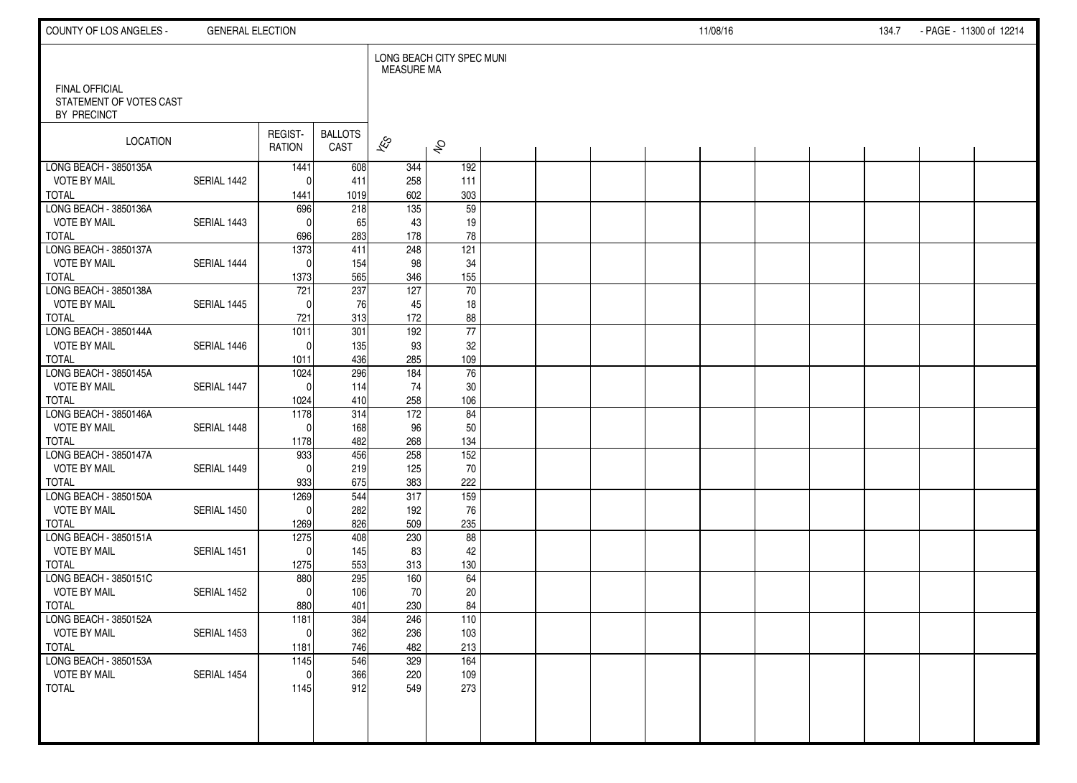| COUNTY OF LOS ANGELES -                                         | <b>GENERAL ELECTION</b> |                          |                        |                          |                           |  |  | 11/08/16 |  | 134.7 | - PAGE - 11300 of 12214 |  |
|-----------------------------------------------------------------|-------------------------|--------------------------|------------------------|--------------------------|---------------------------|--|--|----------|--|-------|-------------------------|--|
|                                                                 |                         |                          |                        | <b>MEASURE MA</b>        | LONG BEACH CITY SPEC MUNI |  |  |          |  |       |                         |  |
| <b>FINAL OFFICIAL</b><br>STATEMENT OF VOTES CAST<br>BY PRECINCT |                         |                          |                        |                          |                           |  |  |          |  |       |                         |  |
| LOCATION                                                        |                         | REGIST-<br><b>RATION</b> | <b>BALLOTS</b><br>CAST | $\overline{\mathscr{E}}$ | $\hat{\mathcal{S}}$       |  |  |          |  |       |                         |  |
| LONG BEACH - 3850135A                                           |                         | 1441                     | 608                    | 344                      | 192                       |  |  |          |  |       |                         |  |
| <b>VOTE BY MAIL</b><br><b>TOTAL</b>                             | SERIAL 1442             | $\Omega$<br>1441         | 411<br>1019            | 258<br>602               | 111<br>303                |  |  |          |  |       |                         |  |
| LONG BEACH - 3850136A                                           |                         | 696                      | 218                    | $\overline{135}$         | $\overline{59}$           |  |  |          |  |       |                         |  |
| <b>VOTE BY MAIL</b>                                             | SERIAL 1443             | $\mathbf{0}$             | 65                     | 43                       | 19                        |  |  |          |  |       |                         |  |
| <b>TOTAL</b>                                                    |                         | 696                      | 283                    | 178                      | 78                        |  |  |          |  |       |                         |  |
| LONG BEACH - 3850137A                                           |                         | 1373                     | 411                    | 248                      | 121                       |  |  |          |  |       |                         |  |
| <b>VOTE BY MAIL</b><br><b>TOTAL</b>                             | SERIAL 1444             | $\mathbf{0}$             | 154<br>565             | 98<br>346                | 34<br>155                 |  |  |          |  |       |                         |  |
| LONG BEACH - 3850138A                                           |                         | 1373<br>721              | $\overline{237}$       | 127                      | 70                        |  |  |          |  |       |                         |  |
| <b>VOTE BY MAIL</b>                                             | SERIAL 1445             | $\Omega$                 | 76                     | 45                       | 18                        |  |  |          |  |       |                         |  |
| <b>TOTAL</b>                                                    |                         | 721                      | 313                    | 172                      | 88                        |  |  |          |  |       |                         |  |
| LONG BEACH - 3850144A                                           |                         | 1011                     | 301                    | 192                      | $\overline{77}$           |  |  |          |  |       |                         |  |
| <b>VOTE BY MAIL</b>                                             | SERIAL 1446             | $\Omega$                 | 135                    | 93                       | 32                        |  |  |          |  |       |                         |  |
| <b>TOTAL</b>                                                    |                         | 1011                     | 436                    | 285                      | 109                       |  |  |          |  |       |                         |  |
| LONG BEACH - 3850145A<br><b>VOTE BY MAIL</b>                    | SERIAL 1447             | 1024<br>$\Omega$         | 296<br>114             | 184<br>74                | 76<br>30                  |  |  |          |  |       |                         |  |
| <b>TOTAL</b>                                                    |                         | 1024                     | 410                    | 258                      | 106                       |  |  |          |  |       |                         |  |
| LONG BEACH - 3850146A                                           |                         | 1178                     | 314                    | $\overline{172}$         | 84                        |  |  |          |  |       |                         |  |
| <b>VOTE BY MAIL</b>                                             | SERIAL 1448             | $\Omega$                 | 168                    | 96                       | 50                        |  |  |          |  |       |                         |  |
| <b>TOTAL</b>                                                    |                         | 1178                     | 482                    | 268                      | 134                       |  |  |          |  |       |                         |  |
| LONG BEACH - 3850147A                                           |                         | 933                      | 456                    | 258                      | $\overline{152}$          |  |  |          |  |       |                         |  |
| <b>VOTE BY MAIL</b>                                             | SERIAL 1449             | $\mathbf{0}$             | 219                    | 125                      | 70                        |  |  |          |  |       |                         |  |
| <b>TOTAL</b><br>LONG BEACH - 3850150A                           |                         | 933<br>1269              | 675<br>544             | 383<br>317               | 222<br>159                |  |  |          |  |       |                         |  |
| <b>VOTE BY MAIL</b>                                             | SERIAL 1450             | $\mathbf{0}$             | 282                    | 192                      | 76                        |  |  |          |  |       |                         |  |
| <b>TOTAL</b>                                                    |                         | 1269                     | 826                    | 509                      | 235                       |  |  |          |  |       |                         |  |
| LONG BEACH - 3850151A                                           |                         | 1275                     | 408                    | 230                      | 88                        |  |  |          |  |       |                         |  |
| <b>VOTE BY MAIL</b>                                             | SERIAL 1451             | $\Omega$                 | 145                    | 83                       | 42                        |  |  |          |  |       |                         |  |
| <b>TOTAL</b>                                                    |                         | 1275                     | 553                    | 313                      | 130                       |  |  |          |  |       |                         |  |
| LONG BEACH - 3850151C                                           |                         | 880                      | 295                    | 160                      | 64                        |  |  |          |  |       |                         |  |
| <b>VOTE BY MAIL</b><br><b>TOTAL</b>                             | SERIAL 1452             | $\Omega$<br>880          | 106<br>401             | 70<br>230                | 20<br>84                  |  |  |          |  |       |                         |  |
| LONG BEACH - 3850152A                                           |                         | 1181                     | 384                    | 246                      | 110                       |  |  |          |  |       |                         |  |
| <b>VOTE BY MAIL</b>                                             | SERIAL 1453             | $\overline{0}$           | 362                    | 236                      | 103                       |  |  |          |  |       |                         |  |
| <b>TOTAL</b>                                                    |                         | 1181                     | 746                    | 482                      | 213                       |  |  |          |  |       |                         |  |
| LONG BEACH - 3850153A                                           |                         | 1145                     | 546                    | 329                      | $\overline{164}$          |  |  |          |  |       |                         |  |
| <b>VOTE BY MAIL</b>                                             | SERIAL 1454             | $\mathbf 0$              | 366                    | 220                      | 109                       |  |  |          |  |       |                         |  |
| <b>TOTAL</b>                                                    |                         | 1145                     | 912                    | 549                      | 273                       |  |  |          |  |       |                         |  |
|                                                                 |                         |                          |                        |                          |                           |  |  |          |  |       |                         |  |
|                                                                 |                         |                          |                        |                          |                           |  |  |          |  |       |                         |  |
|                                                                 |                         |                          |                        |                          |                           |  |  |          |  |       |                         |  |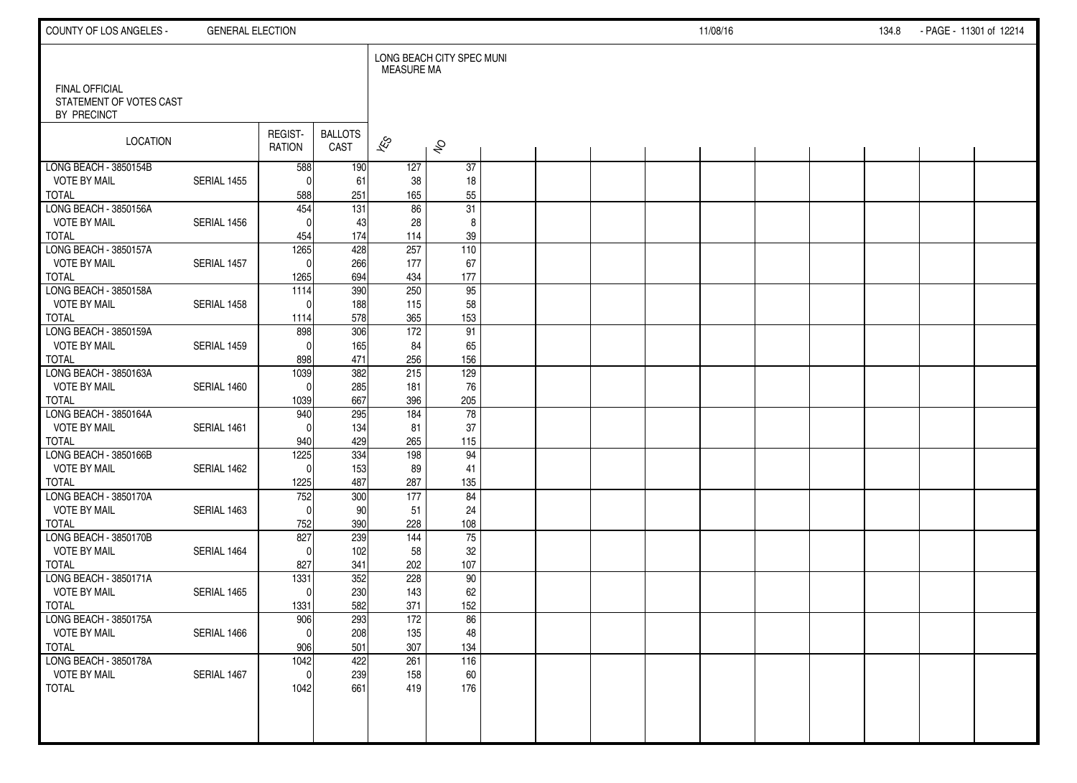| COUNTY OF LOS ANGELES -                                         | <b>GENERAL ELECTION</b> |                          |                         |                          |                           |  |  | 11/08/16 |  | 134.8 | - PAGE - 11301 of 12214 |  |
|-----------------------------------------------------------------|-------------------------|--------------------------|-------------------------|--------------------------|---------------------------|--|--|----------|--|-------|-------------------------|--|
|                                                                 |                         |                          |                         | <b>MEASURE MA</b>        | LONG BEACH CITY SPEC MUNI |  |  |          |  |       |                         |  |
| <b>FINAL OFFICIAL</b><br>STATEMENT OF VOTES CAST<br>BY PRECINCT |                         |                          |                         |                          |                           |  |  |          |  |       |                         |  |
| LOCATION                                                        |                         | REGIST-<br><b>RATION</b> | <b>BALLOTS</b><br>CAST  | $\overline{\mathscr{E}}$ | $\hat{\mathcal{S}}$       |  |  |          |  |       |                         |  |
| LONG BEACH - 3850154B                                           |                         | 588                      | 190                     | 127                      | $\overline{37}$           |  |  |          |  |       |                         |  |
| <b>VOTE BY MAIL</b>                                             | SERIAL 1455             | $\Omega$                 | 61                      | 38                       | 18                        |  |  |          |  |       |                         |  |
| <b>TOTAL</b><br>LONG BEACH - 3850156A                           |                         | 588<br>454               | 251<br>$\overline{131}$ | 165<br>$\overline{86}$   | 55<br>$\overline{31}$     |  |  |          |  |       |                         |  |
| <b>VOTE BY MAIL</b>                                             | SERIAL 1456             | $\Omega$                 | 43                      | 28                       | 8                         |  |  |          |  |       |                         |  |
| <b>TOTAL</b>                                                    |                         | 454                      | 174                     | 114                      | 39                        |  |  |          |  |       |                         |  |
| LONG BEACH - 3850157A                                           |                         | 1265                     | 428                     | 257                      | 110                       |  |  |          |  |       |                         |  |
| <b>VOTE BY MAIL</b>                                             | SERIAL 1457             | $\mathbf{0}$             | 266                     | 177                      | 67                        |  |  |          |  |       |                         |  |
| <b>TOTAL</b>                                                    |                         | 1265                     | 694                     | 434                      | 177                       |  |  |          |  |       |                         |  |
| LONG BEACH - 3850158A                                           |                         | 1114                     | 390                     | 250                      | 95                        |  |  |          |  |       |                         |  |
| <b>VOTE BY MAIL</b>                                             | SERIAL 1458             | $\Omega$                 | 188                     | 115                      | 58                        |  |  |          |  |       |                         |  |
| <b>TOTAL</b>                                                    |                         | 1114                     | 578                     | 365                      | 153                       |  |  |          |  |       |                         |  |
| LONG BEACH - 3850159A                                           |                         | 898                      | 306                     | $\frac{1}{2}$            | $\overline{91}$           |  |  |          |  |       |                         |  |
| <b>VOTE BY MAIL</b>                                             | SERIAL 1459             | $\Omega$                 | 165                     | 84                       | 65                        |  |  |          |  |       |                         |  |
| <b>TOTAL</b>                                                    |                         | 898                      | 471                     | 256                      | 156                       |  |  |          |  |       |                         |  |
| LONG BEACH - 3850163A<br><b>VOTE BY MAIL</b>                    |                         | 1039                     | 382                     | 215                      | 129                       |  |  |          |  |       |                         |  |
| <b>TOTAL</b>                                                    | SERIAL 1460             | $\mathbf 0$<br>1039      | 285<br>667              | 181<br>396               | 76<br>205                 |  |  |          |  |       |                         |  |
| LONG BEACH - 3850164A                                           |                         | 940                      | 295                     | 184                      | $\overline{78}$           |  |  |          |  |       |                         |  |
| <b>VOTE BY MAIL</b>                                             | SERIAL 1461             | $\Omega$                 | 134                     | 81                       | 37                        |  |  |          |  |       |                         |  |
| <b>TOTAL</b>                                                    |                         | 940                      | 429                     | 265                      | 115                       |  |  |          |  |       |                         |  |
| LONG BEACH - 3850166B                                           |                         | 1225                     | 334                     | 198                      | 94                        |  |  |          |  |       |                         |  |
| <b>VOTE BY MAIL</b>                                             | SERIAL 1462             | $\Omega$                 | 153                     | 89                       | 41                        |  |  |          |  |       |                         |  |
| <b>TOTAL</b>                                                    |                         | 1225                     | 487                     | 287                      | 135                       |  |  |          |  |       |                         |  |
| LONG BEACH - 3850170A                                           |                         | 752                      | 300                     | 177                      | 84                        |  |  |          |  |       |                         |  |
| <b>VOTE BY MAIL</b>                                             | SERIAL 1463             | $\Omega$                 | 90                      | 51                       | 24                        |  |  |          |  |       |                         |  |
| <b>TOTAL</b>                                                    |                         | 752                      | 390                     | 228                      | 108                       |  |  |          |  |       |                         |  |
| LONG BEACH - 3850170B                                           |                         | 827                      | 239                     | 144                      | $\overline{75}$           |  |  |          |  |       |                         |  |
| <b>VOTE BY MAIL</b>                                             | SERIAL 1464             | $\Omega$                 | 102                     | 58                       | 32                        |  |  |          |  |       |                         |  |
| <b>TOTAL</b><br>LONG BEACH - 3850171A                           |                         | 827<br>1331              | 341<br>352              | 202<br>228               | 107<br>90                 |  |  |          |  |       |                         |  |
| <b>VOTE BY MAIL</b>                                             | SERIAL 1465             | $\mathbf 0$              | 230                     | 143                      | 62                        |  |  |          |  |       |                         |  |
| <b>TOTAL</b>                                                    |                         | 1331                     | 582                     | 371                      | 152                       |  |  |          |  |       |                         |  |
| LONG BEACH - 3850175A                                           |                         | 906                      | 293                     | 172                      | 86                        |  |  |          |  |       |                         |  |
| <b>VOTE BY MAIL</b>                                             | SERIAL 1466             | $\pmb{0}$                | 208                     | 135                      | 48                        |  |  |          |  |       |                         |  |
| <b>TOTAL</b>                                                    |                         | 906                      | 501                     | 307                      | 134                       |  |  |          |  |       |                         |  |
| LONG BEACH - 3850178A                                           |                         | 1042                     | 422                     | 261                      | 116                       |  |  |          |  |       |                         |  |
| <b>VOTE BY MAIL</b>                                             | SERIAL 1467             | $\mathbf 0$              | 239                     | 158                      | 60                        |  |  |          |  |       |                         |  |
| <b>TOTAL</b>                                                    |                         | 1042                     | 661                     | 419                      | 176                       |  |  |          |  |       |                         |  |
|                                                                 |                         |                          |                         |                          |                           |  |  |          |  |       |                         |  |
|                                                                 |                         |                          |                         |                          |                           |  |  |          |  |       |                         |  |
|                                                                 |                         |                          |                         |                          |                           |  |  |          |  |       |                         |  |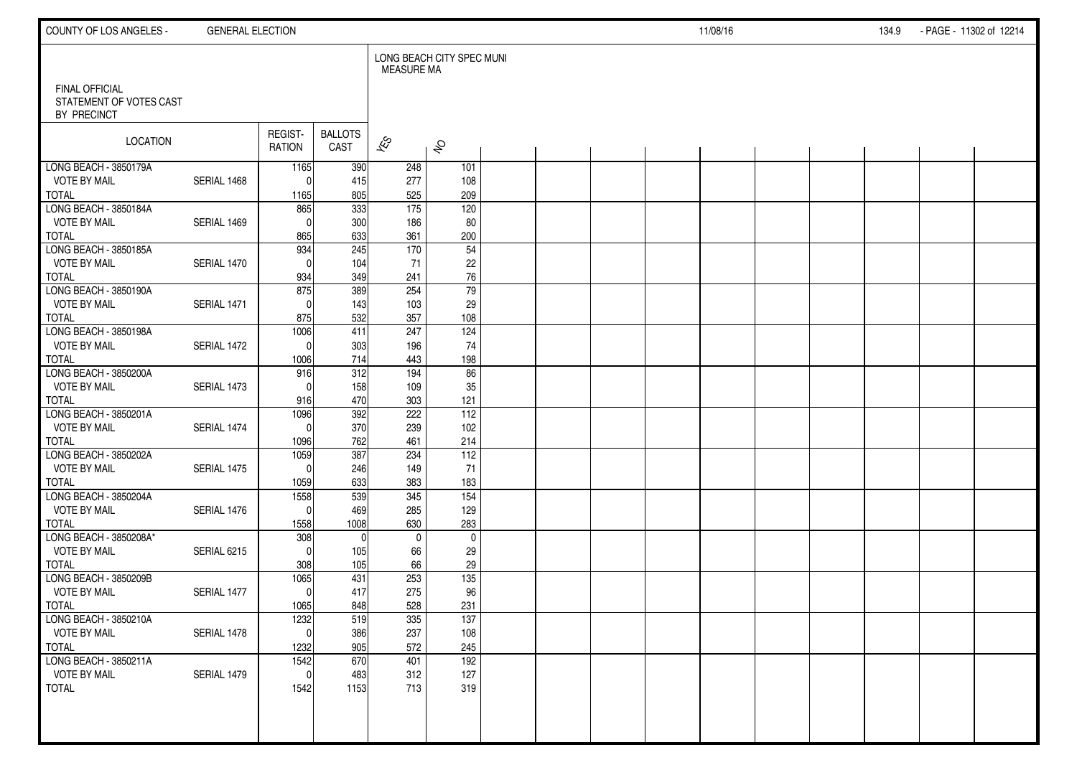| COUNTY OF LOS ANGELES -                                         | <b>GENERAL ELECTION</b> |                          |                        |                          |                           |  |  | 11/08/16 |  | 134.9 | - PAGE - 11302 of 12214 |  |
|-----------------------------------------------------------------|-------------------------|--------------------------|------------------------|--------------------------|---------------------------|--|--|----------|--|-------|-------------------------|--|
|                                                                 |                         |                          |                        | <b>MEASURE MA</b>        | LONG BEACH CITY SPEC MUNI |  |  |          |  |       |                         |  |
| <b>FINAL OFFICIAL</b><br>STATEMENT OF VOTES CAST<br>BY PRECINCT |                         |                          |                        |                          |                           |  |  |          |  |       |                         |  |
| LOCATION                                                        |                         | REGIST-<br><b>RATION</b> | <b>BALLOTS</b><br>CAST | $\overline{\mathscr{E}}$ | $\hat{\mathcal{S}}$       |  |  |          |  |       |                         |  |
| LONG BEACH - 3850179A                                           |                         | 1165                     | 390                    | 248                      | 101                       |  |  |          |  |       |                         |  |
| <b>VOTE BY MAIL</b><br><b>TOTAL</b>                             | SERIAL 1468             | $\mathbf{0}$<br>1165     | 415<br>805             | 277<br>525               | 108<br>209                |  |  |          |  |       |                         |  |
| LONG BEACH - 3850184A                                           |                         | 865                      | 333                    | $\overline{175}$         | 120                       |  |  |          |  |       |                         |  |
| VOTE BY MAIL                                                    | SERIAL 1469             | $\Omega$                 | 300                    | 186                      | 80                        |  |  |          |  |       |                         |  |
| <b>TOTAL</b>                                                    |                         | 865                      | 633                    | 361                      | 200                       |  |  |          |  |       |                         |  |
| LONG BEACH - 3850185A                                           |                         | 934                      | 245                    | 170                      | 54                        |  |  |          |  |       |                         |  |
| <b>VOTE BY MAIL</b><br><b>TOTAL</b>                             | SERIAL 1470             | $\Omega$<br>934          | 104<br>349             | 71<br>241                | 22<br>76                  |  |  |          |  |       |                         |  |
| LONG BEACH - 3850190A                                           |                         | 875                      | 389                    | 254                      | 79                        |  |  |          |  |       |                         |  |
| <b>VOTE BY MAIL</b>                                             | SERIAL 1471             | $\Omega$                 | 143                    | 103                      | 29                        |  |  |          |  |       |                         |  |
| <b>TOTAL</b>                                                    |                         | 875                      | 532                    | 357                      | 108                       |  |  |          |  |       |                         |  |
| LONG BEACH - 3850198A                                           |                         | 1006                     | 411                    | 247                      | 124                       |  |  |          |  |       |                         |  |
| <b>VOTE BY MAIL</b>                                             | SERIAL 1472             | $\mathbf 0$              | 303                    | 196                      | 74                        |  |  |          |  |       |                         |  |
| <b>TOTAL</b><br>LONG BEACH - 3850200A                           |                         | 1006<br>916              | 714<br>312             | 443<br>194               | 198<br>86                 |  |  |          |  |       |                         |  |
| <b>VOTE BY MAIL</b>                                             | SERIAL 1473             | $\Omega$                 | 158                    | 109                      | 35                        |  |  |          |  |       |                         |  |
| <b>TOTAL</b>                                                    |                         | 916                      | 470                    | 303                      | 121                       |  |  |          |  |       |                         |  |
| LONG BEACH - 3850201A                                           |                         | 1096                     | 392                    | 222                      | $\overline{112}$          |  |  |          |  |       |                         |  |
| <b>VOTE BY MAIL</b>                                             | SERIAL 1474             | $\mathbf{0}$             | 370                    | 239                      | 102                       |  |  |          |  |       |                         |  |
| <b>TOTAL</b>                                                    |                         | 1096                     | 762                    | 461                      | 214                       |  |  |          |  |       |                         |  |
| LONG BEACH - 3850202A                                           |                         | 1059                     | 387                    | 234                      | $112$                     |  |  |          |  |       |                         |  |
| <b>VOTE BY MAIL</b><br><b>TOTAL</b>                             | SERIAL 1475             | $\Omega$<br>1059         | 246<br>633             | 149<br>383               | 71<br>183                 |  |  |          |  |       |                         |  |
| LONG BEACH - 3850204A                                           |                         | 1558                     | 539                    | 345                      | 154                       |  |  |          |  |       |                         |  |
| <b>VOTE BY MAIL</b>                                             | SERIAL 1476             | $\mathbf{0}$             | 469                    | 285                      | 129                       |  |  |          |  |       |                         |  |
| <b>TOTAL</b>                                                    |                         | 1558                     | 1008                   | 630                      | 283                       |  |  |          |  |       |                         |  |
| LONG BEACH - 3850208A*                                          |                         | 308                      | $\Omega$               | $\mathbf 0$              | $\mathbf 0$               |  |  |          |  |       |                         |  |
| <b>VOTE BY MAIL</b>                                             | SERIAL 6215             | $\mathbf{0}$             | 105                    | 66                       | 29                        |  |  |          |  |       |                         |  |
| <b>TOTAL</b><br>LONG BEACH - 3850209B                           |                         | 308<br>1065              | 105<br>431             | 66<br>253                | 29<br>135                 |  |  |          |  |       |                         |  |
| <b>VOTE BY MAIL</b>                                             | SERIAL 1477             | $\mathbf 0$              | 417                    | 275                      | 96                        |  |  |          |  |       |                         |  |
| <b>TOTAL</b>                                                    |                         | 1065                     | 848                    | 528                      | 231                       |  |  |          |  |       |                         |  |
| LONG BEACH - 3850210A                                           |                         | 1232                     | 519                    | 335                      | 137                       |  |  |          |  |       |                         |  |
| <b>VOTE BY MAIL</b>                                             | SERIAL 1478             | 0                        | 386                    | 237                      | 108                       |  |  |          |  |       |                         |  |
| <b>TOTAL</b>                                                    |                         | 1232                     | 905                    | 572                      | 245                       |  |  |          |  |       |                         |  |
| LONG BEACH - 3850211A                                           |                         | 1542                     | 670                    | 401                      | 192                       |  |  |          |  |       |                         |  |
| <b>VOTE BY MAIL</b><br><b>TOTAL</b>                             | SERIAL 1479             | $\mathbf 0$<br>1542      | 483<br>1153            | 312<br>713               | 127<br>319                |  |  |          |  |       |                         |  |
|                                                                 |                         |                          |                        |                          |                           |  |  |          |  |       |                         |  |
|                                                                 |                         |                          |                        |                          |                           |  |  |          |  |       |                         |  |
|                                                                 |                         |                          |                        |                          |                           |  |  |          |  |       |                         |  |
|                                                                 |                         |                          |                        |                          |                           |  |  |          |  |       |                         |  |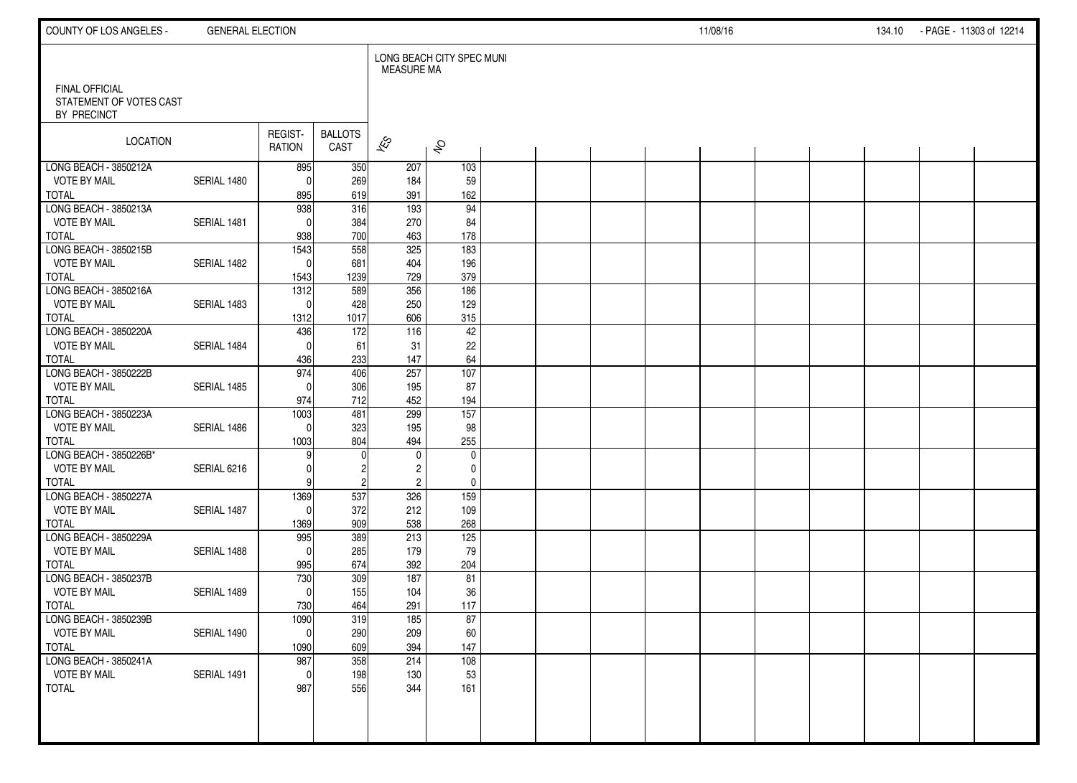| COUNTY OF LOS ANGELES -                          | <b>GENERAL ELECTION</b> |                          |                        |                                  |                           |  |  | 11/08/16 |  | 134.10 | - PAGE - 11303 of 12214 |  |
|--------------------------------------------------|-------------------------|--------------------------|------------------------|----------------------------------|---------------------------|--|--|----------|--|--------|-------------------------|--|
| <b>FINAL OFFICIAL</b><br>STATEMENT OF VOTES CAST |                         |                          |                        | <b>MEASURE MA</b>                | LONG BEACH CITY SPEC MUNI |  |  |          |  |        |                         |  |
| BY PRECINCT                                      |                         |                          |                        |                                  |                           |  |  |          |  |        |                         |  |
| <b>LOCATION</b>                                  |                         | REGIST-<br>RATION        | <b>BALLOTS</b><br>CAST | $\approx$                        | $\hat{\mathcal{S}}$       |  |  |          |  |        |                         |  |
| LONG BEACH - 3850212A                            |                         | 895                      | 350                    | 207                              | 103                       |  |  |          |  |        |                         |  |
| <b>VOTE BY MAIL</b><br><b>TOTAL</b>              | SERIAL 1480             | $\Omega$<br>895          | 269<br>619             | 184<br>391                       | 59<br>162                 |  |  |          |  |        |                         |  |
| LONG BEACH - 3850213A                            |                         | 938                      | 316                    | 193                              | 94                        |  |  |          |  |        |                         |  |
| <b>VOTE BY MAIL</b>                              | SERIAL 1481             | $\Omega$                 | 384                    | 270                              | 84                        |  |  |          |  |        |                         |  |
| <b>TOTAL</b>                                     |                         | 938                      | 700                    | 463                              | 178                       |  |  |          |  |        |                         |  |
| LONG BEACH - 3850215B                            |                         | 1543                     | 558                    | 325                              | 183                       |  |  |          |  |        |                         |  |
| <b>VOTE BY MAIL</b>                              | SERIAL 1482             | $\Omega$                 | 681                    | 404                              | 196                       |  |  |          |  |        |                         |  |
| <b>TOTAL</b><br>LONG BEACH - 3850216A            |                         | 1543<br>$\frac{1312}{2}$ | 1239<br>589            | 729<br>356                       | 379<br>186                |  |  |          |  |        |                         |  |
| <b>VOTE BY MAIL</b>                              | SERIAL 1483             | $\Omega$                 | 428                    | 250                              | 129                       |  |  |          |  |        |                         |  |
| <b>TOTAL</b>                                     |                         | 1312                     | 1017                   | 606                              | 315                       |  |  |          |  |        |                         |  |
| LONG BEACH - 3850220A                            |                         | 436                      | 172                    | 116                              | 42                        |  |  |          |  |        |                         |  |
| <b>VOTE BY MAIL</b>                              | SERIAL 1484             | $\Omega$                 | 61                     | 31                               | 22                        |  |  |          |  |        |                         |  |
| <b>TOTAL</b><br>LONG BEACH - 3850222B            |                         | 436<br>974               | 233                    | 147<br>257                       | 64<br>$\frac{107}{107}$   |  |  |          |  |        |                         |  |
| <b>VOTE BY MAIL</b>                              | SERIAL 1485             | $\Omega$                 | 406<br>306             | 195                              | 87                        |  |  |          |  |        |                         |  |
| <b>TOTAL</b>                                     |                         | 974                      | 712                    | 452                              | 194                       |  |  |          |  |        |                         |  |
| LONG BEACH - 3850223A                            |                         | 1003                     | 481                    | 299                              | $\overline{157}$          |  |  |          |  |        |                         |  |
| <b>VOTE BY MAIL</b>                              | SERIAL 1486             | $\Omega$                 | 323                    | 195                              | 98                        |  |  |          |  |        |                         |  |
| <b>TOTAL</b>                                     |                         | 1003                     | 804                    | 494                              | 255                       |  |  |          |  |        |                         |  |
| LONG BEACH - 3850226B*<br><b>VOTE BY MAIL</b>    | SERIAL 6216             | 9                        | $\Omega$<br>2          | $\mathbf 0$                      | $\mathbf 0$<br>0          |  |  |          |  |        |                         |  |
| <b>TOTAL</b>                                     |                         |                          | $\overline{c}$         | $\overline{c}$<br>$\overline{c}$ | $\pmb{0}$                 |  |  |          |  |        |                         |  |
| LONG BEACH - 3850227A                            |                         | 1369                     | 537                    | 326                              | 159                       |  |  |          |  |        |                         |  |
| <b>VOTE BY MAIL</b>                              | SERIAL 1487             | $\Omega$                 | 372                    | 212                              | 109                       |  |  |          |  |        |                         |  |
| <b>TOTAL</b>                                     |                         | 1369                     | 909                    | 538                              | 268                       |  |  |          |  |        |                         |  |
| LONG BEACH - 3850229A                            |                         | 995                      | 389                    | 213                              | 125                       |  |  |          |  |        |                         |  |
| <b>VOTE BY MAIL</b><br><b>TOTAL</b>              | SERIAL 1488             | $\Omega$<br>995          | 285<br>674             | 179<br>392                       | 79<br>204                 |  |  |          |  |        |                         |  |
| LONG BEACH - 3850237B                            |                         | 730                      | 309                    | 187                              | 81                        |  |  |          |  |        |                         |  |
| <b>VOTE BY MAIL</b>                              | SERIAL 1489             | $\Omega$                 | 155                    | 104                              | 36                        |  |  |          |  |        |                         |  |
| <b>TOTAL</b>                                     |                         | 730                      | 464                    | 291                              | 117                       |  |  |          |  |        |                         |  |
| LONG BEACH - 3850239B                            |                         | 1090                     | 319                    | 185                              | 87                        |  |  |          |  |        |                         |  |
| <b>VOTE BY MAIL</b><br><b>TOTAL</b>              | SERIAL 1490             | $\overline{0}$           | 290<br>609             | 209<br>394                       | 60<br>147                 |  |  |          |  |        |                         |  |
| LONG BEACH - 3850241A                            |                         | 1090<br>987              | 358                    | 214                              | 108                       |  |  |          |  |        |                         |  |
| <b>VOTE BY MAIL</b>                              | SERIAL 1491             | $\mathbf 0$              | 198                    | 130                              | 53                        |  |  |          |  |        |                         |  |
| <b>TOTAL</b>                                     |                         | 987                      | 556                    | 344                              | 161                       |  |  |          |  |        |                         |  |
|                                                  |                         |                          |                        |                                  |                           |  |  |          |  |        |                         |  |
|                                                  |                         |                          |                        |                                  |                           |  |  |          |  |        |                         |  |
|                                                  |                         |                          |                        |                                  |                           |  |  |          |  |        |                         |  |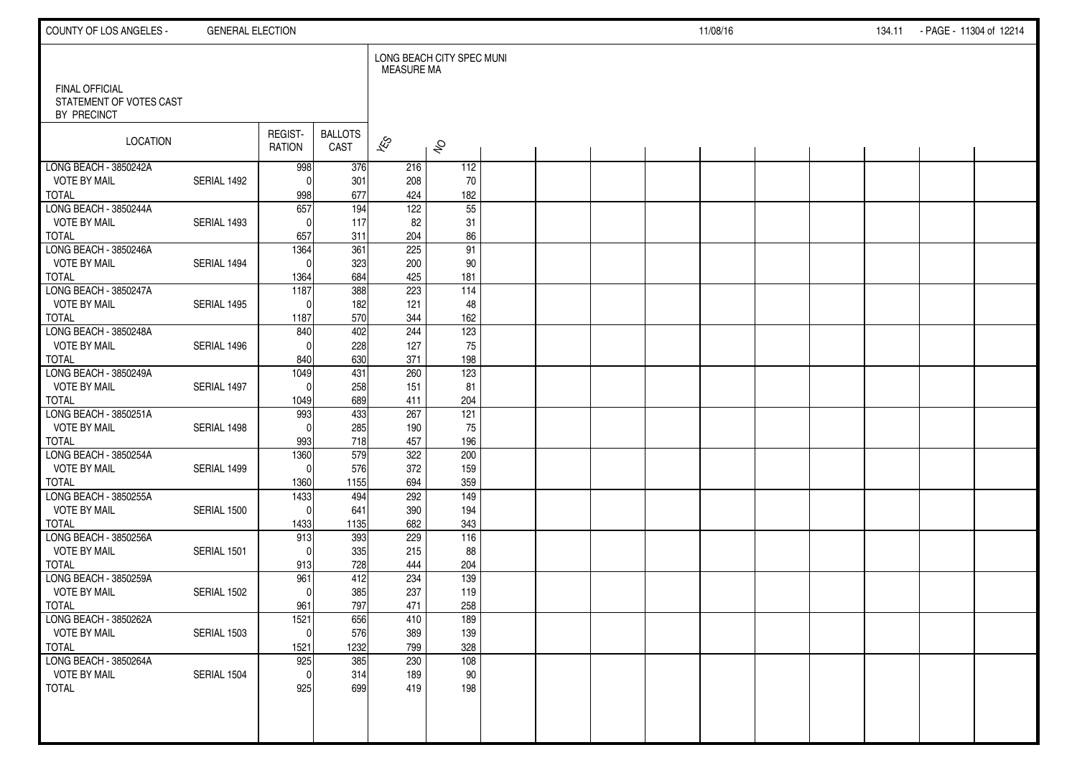| COUNTY OF LOS ANGELES -                                  | <b>GENERAL ELECTION</b> |                          |                        |                          |                           |  |  | 11/08/16 |  | 134.11 - PAGE - 11304 of 12214 |  |
|----------------------------------------------------------|-------------------------|--------------------------|------------------------|--------------------------|---------------------------|--|--|----------|--|--------------------------------|--|
|                                                          |                         |                          |                        | <b>MEASURE MA</b>        | LONG BEACH CITY SPEC MUNI |  |  |          |  |                                |  |
| FINAL OFFICIAL<br>STATEMENT OF VOTES CAST<br>BY PRECINCT |                         |                          |                        |                          |                           |  |  |          |  |                                |  |
| LOCATION                                                 |                         | REGIST-<br><b>RATION</b> | <b>BALLOTS</b><br>CAST | $\overline{\mathscr{K}}$ | $\hat{\mathcal{S}}$       |  |  |          |  |                                |  |
| LONG BEACH - 3850242A<br><b>VOTE BY MAIL</b>             | SERIAL 1492             | 998<br>$\mathbf{0}$      | 376<br>301             | 216<br>208               | 112<br>70                 |  |  |          |  |                                |  |
| <b>TOTAL</b>                                             |                         | 998                      | 677                    | 424                      | 182                       |  |  |          |  |                                |  |
| LONG BEACH - 3850244A                                    |                         | $\overline{657}$         | 194                    | $\overline{122}$         | 55                        |  |  |          |  |                                |  |
| <b>VOTE BY MAIL</b>                                      | SERIAL 1493             | $\Omega$                 | 117                    | 82                       | 31                        |  |  |          |  |                                |  |
| <b>TOTAL</b><br>LONG BEACH - 3850246A                    |                         | 657<br>1364              | 311<br>361             | 204<br>225               | 86<br>91                  |  |  |          |  |                                |  |
| <b>VOTE BY MAIL</b>                                      | SERIAL 1494             | $\Omega$                 | 323                    | 200                      | 90                        |  |  |          |  |                                |  |
| <b>TOTAL</b>                                             |                         | 1364                     | 684                    | 425                      | 181                       |  |  |          |  |                                |  |
| LONG BEACH - 3850247A                                    |                         | 1187                     | 388                    | 223                      | 114                       |  |  |          |  |                                |  |
| <b>VOTE BY MAIL</b>                                      | SERIAL 1495             | $\Omega$                 | 182                    | 121                      | 48                        |  |  |          |  |                                |  |
| <b>TOTAL</b><br>LONG BEACH - 3850248A                    |                         | 1187<br>840              | 570<br>402             | 344<br>244               | 162<br>123                |  |  |          |  |                                |  |
| <b>VOTE BY MAIL</b>                                      | SERIAL 1496             | $\Omega$                 | 228                    | 127                      | 75                        |  |  |          |  |                                |  |
| <b>TOTAL</b>                                             |                         | 840                      | 630                    | 371                      | 198                       |  |  |          |  |                                |  |
| LONG BEACH - 3850249A                                    |                         | 1049                     | 431                    | 260                      | 123                       |  |  |          |  |                                |  |
| <b>VOTE BY MAIL</b>                                      | SERIAL 1497             | $\Omega$                 | 258                    | 151                      | 81                        |  |  |          |  |                                |  |
| <b>TOTAL</b><br>LONG BEACH - 3850251A                    |                         | 1049<br>993              | 689<br>433             | 411<br>267               | 204<br>121                |  |  |          |  |                                |  |
| <b>VOTE BY MAIL</b>                                      | SERIAL 1498             | $\mathbf{0}$             | 285                    | 190                      | 75                        |  |  |          |  |                                |  |
| <b>TOTAL</b>                                             |                         | 993                      | 718                    | 457                      | 196                       |  |  |          |  |                                |  |
| LONG BEACH - 3850254A                                    |                         | 1360                     | 579                    | 322                      | 200                       |  |  |          |  |                                |  |
| <b>VOTE BY MAIL</b>                                      | SERIAL 1499             | $\mathbf{0}$             | 576                    | 372                      | 159                       |  |  |          |  |                                |  |
| <b>TOTAL</b>                                             |                         | 1360                     | 1155                   | 694                      | 359                       |  |  |          |  |                                |  |
| LONG BEACH - 3850255A<br><b>VOTE BY MAIL</b>             | SERIAL 1500             | 1433<br>$\mathbf{0}$     | 494<br>641             | 292<br>390               | 149<br>194                |  |  |          |  |                                |  |
| <b>TOTAL</b>                                             |                         | 1433                     | 1135                   | 682                      | 343                       |  |  |          |  |                                |  |
| LONG BEACH - 3850256A                                    |                         | 913                      | 393                    | 229                      | 116                       |  |  |          |  |                                |  |
| <b>VOTE BY MAIL</b>                                      | SERIAL 1501             | $\Omega$                 | 335                    | 215                      | 88                        |  |  |          |  |                                |  |
| <b>TOTAL</b>                                             |                         | 913                      | 728                    | 444                      | 204                       |  |  |          |  |                                |  |
| LONG BEACH - 3850259A                                    |                         | 961                      | 412                    | 234                      | 139                       |  |  |          |  |                                |  |
| <b>VOTE BY MAIL</b><br><b>TOTAL</b>                      | SERIAL 1502             | $\Omega$<br>961          | 385<br>797             | 237<br>471               | 119<br>258                |  |  |          |  |                                |  |
| LONG BEACH - 3850262A                                    |                         | 1521                     | 656                    | 410                      | 189                       |  |  |          |  |                                |  |
| <b>VOTE BY MAIL</b>                                      | SERIAL 1503             | $\mathbf 0$              | 576                    | 389                      | 139                       |  |  |          |  |                                |  |
| <b>TOTAL</b>                                             |                         | 1521                     | 1232                   | 799                      | 328                       |  |  |          |  |                                |  |
| LONG BEACH - 3850264A                                    |                         | 925                      | 385                    | 230                      | 108                       |  |  |          |  |                                |  |
| <b>VOTE BY MAIL</b>                                      | SERIAL 1504             | $\mathbf{0}$             | 314                    | 189                      | 90                        |  |  |          |  |                                |  |
| <b>TOTAL</b>                                             |                         | 925                      | 699                    | 419                      | 198                       |  |  |          |  |                                |  |
|                                                          |                         |                          |                        |                          |                           |  |  |          |  |                                |  |
|                                                          |                         |                          |                        |                          |                           |  |  |          |  |                                |  |
|                                                          |                         |                          |                        |                          |                           |  |  |          |  |                                |  |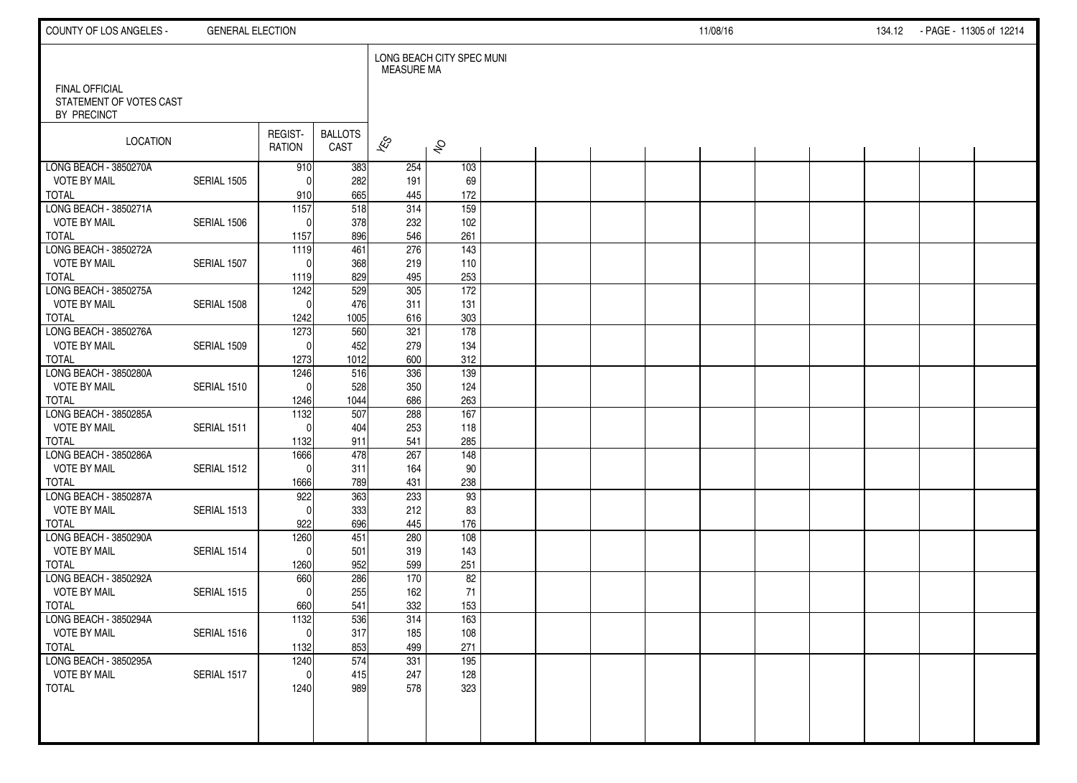| COUNTY OF LOS ANGELES -                          | <b>GENERAL ELECTION</b> |                   |                        |                   |                           |  |  | 11/08/16 |  | 134.12 - PAGE - 11305 of 12214 |  |
|--------------------------------------------------|-------------------------|-------------------|------------------------|-------------------|---------------------------|--|--|----------|--|--------------------------------|--|
| <b>FINAL OFFICIAL</b><br>STATEMENT OF VOTES CAST |                         |                   |                        | <b>MEASURE MA</b> | LONG BEACH CITY SPEC MUNI |  |  |          |  |                                |  |
| BY PRECINCT                                      |                         |                   |                        |                   |                           |  |  |          |  |                                |  |
| <b>LOCATION</b>                                  |                         | REGIST-<br>RATION | <b>BALLOTS</b><br>CAST | $\approx$         | $\hat{\mathcal{S}}$       |  |  |          |  |                                |  |
| LONG BEACH - 3850270A                            |                         | 910               | 383                    | 254               | 103                       |  |  |          |  |                                |  |
| <b>VOTE BY MAIL</b><br><b>TOTAL</b>              | SERIAL 1505             | $\Omega$<br>910   | 282<br>665             | 191<br>445        | 69<br>172                 |  |  |          |  |                                |  |
| LONG BEACH - 3850271A                            |                         | $\overline{1157}$ | 518                    | 314               | 159                       |  |  |          |  |                                |  |
| <b>VOTE BY MAIL</b>                              | SERIAL 1506             | $\Omega$          | 378                    | 232               | 102                       |  |  |          |  |                                |  |
| <b>TOTAL</b>                                     |                         | 1157              | 896                    | 546               | 261                       |  |  |          |  |                                |  |
| LONG BEACH - 3850272A                            |                         | 1119              | 461                    | 276               | $\frac{143}{2}$           |  |  |          |  |                                |  |
| <b>VOTE BY MAIL</b>                              | SERIAL 1507             | $\Omega$          | 368                    | 219               | 110                       |  |  |          |  |                                |  |
| <b>TOTAL</b><br>LONG BEACH - 3850275A            |                         | 1119<br>1242      | 829<br>529             | 495<br>305        | 253<br>172                |  |  |          |  |                                |  |
| <b>VOTE BY MAIL</b>                              | SERIAL 1508             | $\mathbf{0}$      | 476                    | 311               | 131                       |  |  |          |  |                                |  |
| <b>TOTAL</b>                                     |                         | 1242              | 1005                   | 616               | 303                       |  |  |          |  |                                |  |
| LONG BEACH - 3850276A                            |                         | 1273              | 560                    | 321               | 178                       |  |  |          |  |                                |  |
| <b>VOTE BY MAIL</b>                              | SERIAL 1509             | $\Omega$          | 452                    | 279               | 134                       |  |  |          |  |                                |  |
| <b>TOTAL</b><br>LONG BEACH - 3850280A            |                         | 1273              | 1012                   | 600               | 312                       |  |  |          |  |                                |  |
| <b>VOTE BY MAIL</b>                              | SERIAL 1510             | 1246<br>$\Omega$  | 516<br>528             | 336<br>350        | 139<br>124                |  |  |          |  |                                |  |
| <b>TOTAL</b>                                     |                         | 1246              | 1044                   | 686               | 263                       |  |  |          |  |                                |  |
| LONG BEACH - 3850285A                            |                         | 1132              | 507                    | 288               | 167                       |  |  |          |  |                                |  |
| <b>VOTE BY MAIL</b>                              | SERIAL 1511             | $\Omega$          | 404                    | 253               | 118                       |  |  |          |  |                                |  |
| <b>TOTAL</b>                                     |                         | 1132              | 911                    | 541               | 285                       |  |  |          |  |                                |  |
| LONG BEACH - 3850286A<br><b>VOTE BY MAIL</b>     | SERIAL 1512             | 1666<br>$\Omega$  | 478<br>311             | 267<br>164        | $\overline{148}$<br>90    |  |  |          |  |                                |  |
| <b>TOTAL</b>                                     |                         | 1666              | 789                    | 431               | 238                       |  |  |          |  |                                |  |
| LONG BEACH - 3850287A                            |                         | 922               | 363                    | 233               | 93                        |  |  |          |  |                                |  |
| <b>VOTE BY MAIL</b>                              | SERIAL 1513             | $\Omega$          | 333                    | 212               | 83                        |  |  |          |  |                                |  |
| <b>TOTAL</b>                                     |                         | 922               | 696                    | 445               | 176                       |  |  |          |  |                                |  |
| LONG BEACH - 3850290A                            |                         | 1260              | 451                    | 280               | 108                       |  |  |          |  |                                |  |
| <b>VOTE BY MAIL</b><br><b>TOTAL</b>              | SERIAL 1514             | $\Omega$<br>1260  | 501<br>952             | 319<br>599        | 143<br>251                |  |  |          |  |                                |  |
| LONG BEACH - 3850292A                            |                         | 660               | 286                    | 170               | 82                        |  |  |          |  |                                |  |
| <b>VOTE BY MAIL</b>                              | SERIAL 1515             | $\Omega$          | 255                    | 162               | 71                        |  |  |          |  |                                |  |
| <b>TOTAL</b>                                     |                         | 660               | 541                    | 332               | 153                       |  |  |          |  |                                |  |
| LONG BEACH - 3850294A                            |                         | 1132              | 536                    | 314               | 163                       |  |  |          |  |                                |  |
| <b>VOTE BY MAIL</b>                              | SERIAL 1516             | 0                 | 317                    | 185               | 108                       |  |  |          |  |                                |  |
| <b>TOTAL</b><br>LONG BEACH - 3850295A            |                         | 1132<br>1240      | 853<br>574             | 499<br>331        | 271<br>195                |  |  |          |  |                                |  |
| <b>VOTE BY MAIL</b>                              | SERIAL 1517             | $\mathbf 0$       | 415                    | 247               | 128                       |  |  |          |  |                                |  |
| <b>TOTAL</b>                                     |                         | 1240              | 989                    | 578               | 323                       |  |  |          |  |                                |  |
|                                                  |                         |                   |                        |                   |                           |  |  |          |  |                                |  |
|                                                  |                         |                   |                        |                   |                           |  |  |          |  |                                |  |
|                                                  |                         |                   |                        |                   |                           |  |  |          |  |                                |  |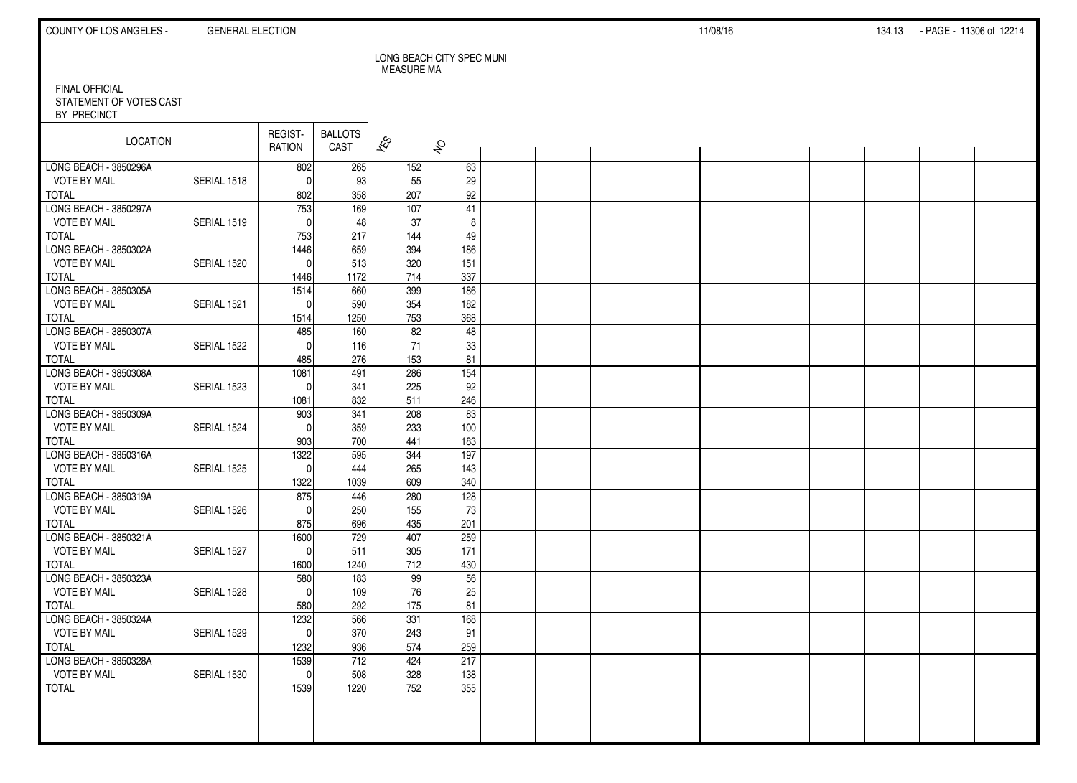| COUNTY OF LOS ANGELES -                          | <b>GENERAL ELECTION</b> |                     |                        |                   |                           |  |  | 11/08/16 |  | 134.13 | - PAGE - 11306 of 12214 |  |
|--------------------------------------------------|-------------------------|---------------------|------------------------|-------------------|---------------------------|--|--|----------|--|--------|-------------------------|--|
| <b>FINAL OFFICIAL</b><br>STATEMENT OF VOTES CAST |                         |                     |                        | <b>MEASURE MA</b> | LONG BEACH CITY SPEC MUNI |  |  |          |  |        |                         |  |
| BY PRECINCT                                      |                         |                     |                        |                   |                           |  |  |          |  |        |                         |  |
| <b>LOCATION</b>                                  |                         | REGIST-<br>RATION   | <b>BALLOTS</b><br>CAST | $\approx$         | $\hat{\mathcal{S}}$       |  |  |          |  |        |                         |  |
| LONG BEACH - 3850296A                            |                         | 802                 | 265                    | 152               | 63                        |  |  |          |  |        |                         |  |
| <b>VOTE BY MAIL</b><br><b>TOTAL</b>              | SERIAL 1518             | $\Omega$<br>802     | 93<br>358              | 55<br>207         | 29<br>92                  |  |  |          |  |        |                         |  |
| LONG BEACH - 3850297A                            |                         | $\frac{1}{753}$     | 169                    | $\frac{107}{20}$  | 41                        |  |  |          |  |        |                         |  |
| <b>VOTE BY MAIL</b>                              | SERIAL 1519             | $\mathbf{0}$        | 48                     | 37                | 8                         |  |  |          |  |        |                         |  |
| <b>TOTAL</b><br>LONG BEACH - 3850302A            |                         | 753<br>1446         | 217<br>659             | 144<br>394        | 49<br>186                 |  |  |          |  |        |                         |  |
| <b>VOTE BY MAIL</b>                              | SERIAL 1520             | $\Omega$            | 513                    | 320               | 151                       |  |  |          |  |        |                         |  |
| <b>TOTAL</b>                                     |                         | 1446                | 1172                   | 714               | 337                       |  |  |          |  |        |                         |  |
| LONG BEACH - 3850305A                            |                         | 1514                | 660                    | 399               | 186                       |  |  |          |  |        |                         |  |
| <b>VOTE BY MAIL</b><br><b>TOTAL</b>              | SERIAL 1521             | $\Omega$<br>1514    | 590<br>1250            | 354<br>753        | 182<br>368                |  |  |          |  |        |                         |  |
| LONG BEACH - 3850307A                            |                         | 485                 | 160                    | 82                | 48                        |  |  |          |  |        |                         |  |
| <b>VOTE BY MAIL</b>                              | SERIAL 1522             | $\Omega$            | 116                    | 71                | 33                        |  |  |          |  |        |                         |  |
| <b>TOTAL</b>                                     |                         | 485                 | 276                    | 153               | 81                        |  |  |          |  |        |                         |  |
| LONG BEACH - 3850308A<br><b>VOTE BY MAIL</b>     | SERIAL 1523             | 1081<br>$\Omega$    | 491<br>341             | 286<br>225        | 154<br>92                 |  |  |          |  |        |                         |  |
| <b>TOTAL</b>                                     |                         | 1081                | 832                    | 511               | 246                       |  |  |          |  |        |                         |  |
| LONG BEACH - 3850309A                            |                         | 903                 | 341                    | 208               | 83                        |  |  |          |  |        |                         |  |
| <b>VOTE BY MAIL</b>                              | SERIAL 1524             | $\Omega$            | 359                    | 233               | 100                       |  |  |          |  |        |                         |  |
| <b>TOTAL</b><br>LONG BEACH - 3850316A            |                         | 903<br>1322         | 700<br>595             | 441<br>344        | 183<br>197                |  |  |          |  |        |                         |  |
| <b>VOTE BY MAIL</b>                              | SERIAL 1525             | $\Omega$            | 444                    | 265               | 143                       |  |  |          |  |        |                         |  |
| <b>TOTAL</b>                                     |                         | 1322                | 1039                   | 609               | 340                       |  |  |          |  |        |                         |  |
| LONG BEACH - 3850319A                            |                         | 875                 | 446                    | 280               | 128                       |  |  |          |  |        |                         |  |
| <b>VOTE BY MAIL</b>                              | SERIAL 1526             | $\Omega$            | 250                    | 155               | 73                        |  |  |          |  |        |                         |  |
| <b>TOTAL</b><br>LONG BEACH - 3850321A            |                         | 875<br>1600         | 696<br>729             | 435<br>407        | 201<br>259                |  |  |          |  |        |                         |  |
| <b>VOTE BY MAIL</b>                              | SERIAL 1527             | $\Omega$            | 511                    | 305               | 171                       |  |  |          |  |        |                         |  |
| <b>TOTAL</b>                                     |                         | 1600                | 1240                   | 712               | 430                       |  |  |          |  |        |                         |  |
| LONG BEACH - 3850323A                            |                         | 580                 | 183                    | 99                | 56                        |  |  |          |  |        |                         |  |
| <b>VOTE BY MAIL</b><br><b>TOTAL</b>              | SERIAL 1528             | $\Omega$<br>580     | 109<br>292             | 76<br>175         | 25<br>81                  |  |  |          |  |        |                         |  |
| LONG BEACH - 3850324A                            |                         | 1232                | 566                    | 331               | 168                       |  |  |          |  |        |                         |  |
| <b>VOTE BY MAIL</b>                              | SERIAL 1529             | 0                   | 370                    | 243               | 91                        |  |  |          |  |        |                         |  |
| <b>TOTAL</b>                                     |                         | 1232                | 936                    | 574               | 259                       |  |  |          |  |        |                         |  |
| LONG BEACH - 3850328A<br><b>VOTE BY MAIL</b>     | SERIAL 1530             | 1539<br>$\mathbf 0$ | 712<br>508             | 424<br>328        | 217<br>138                |  |  |          |  |        |                         |  |
| <b>TOTAL</b>                                     |                         | 1539                | 1220                   | 752               | 355                       |  |  |          |  |        |                         |  |
|                                                  |                         |                     |                        |                   |                           |  |  |          |  |        |                         |  |
|                                                  |                         |                     |                        |                   |                           |  |  |          |  |        |                         |  |
|                                                  |                         |                     |                        |                   |                           |  |  |          |  |        |                         |  |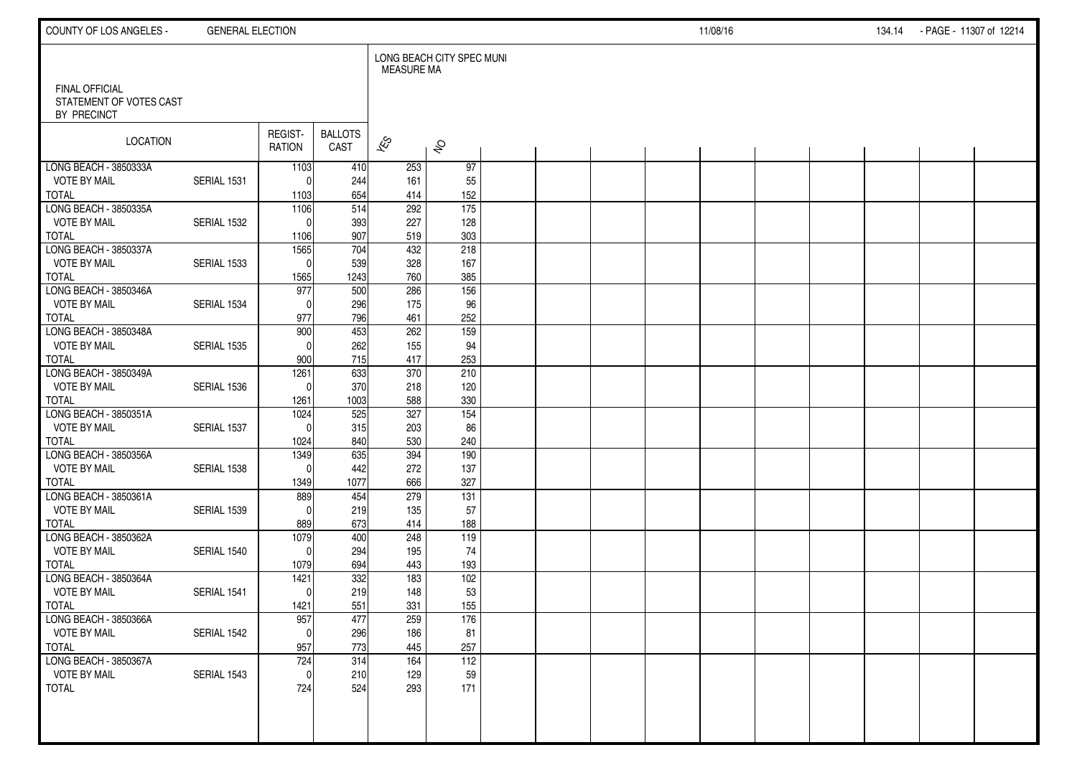| COUNTY OF LOS ANGELES -                | <b>GENERAL ELECTION</b> |                   |                        |                   |                           |  |  | 11/08/16 |  | 134.14 PAGE 11307 of 12214 |  |
|----------------------------------------|-------------------------|-------------------|------------------------|-------------------|---------------------------|--|--|----------|--|----------------------------|--|
| <b>FINAL OFFICIAL</b>                  |                         |                   |                        | <b>MEASURE MA</b> | LONG BEACH CITY SPEC MUNI |  |  |          |  |                            |  |
| STATEMENT OF VOTES CAST<br>BY PRECINCT |                         |                   |                        |                   |                           |  |  |          |  |                            |  |
| <b>LOCATION</b>                        |                         | REGIST-<br>RATION | <b>BALLOTS</b><br>CAST | $\approx$         | $\hat{\mathcal{S}}$       |  |  |          |  |                            |  |
| LONG BEACH - 3850333A                  |                         | 1103              | 410                    | 253               | 97                        |  |  |          |  |                            |  |
| <b>VOTE BY MAIL</b><br><b>TOTAL</b>    | SERIAL 1531             | $\Omega$<br>1103  | 244<br>654             | 161<br>414        | 55<br>152                 |  |  |          |  |                            |  |
| LONG BEACH - 3850335A                  |                         | 1106              | 514                    | 292               | $\overline{175}$          |  |  |          |  |                            |  |
| <b>VOTE BY MAIL</b>                    | SERIAL 1532             | $\Omega$          | 393                    | 227               | 128                       |  |  |          |  |                            |  |
| <b>TOTAL</b>                           |                         | 1106              | 907                    | 519               | 303                       |  |  |          |  |                            |  |
| LONG BEACH - 3850337A                  |                         | 1565              | 704                    | 432               | 218                       |  |  |          |  |                            |  |
| <b>VOTE BY MAIL</b>                    | SERIAL 1533             | $\Omega$          | 539                    | 328               | 167                       |  |  |          |  |                            |  |
| <b>TOTAL</b>                           |                         | 1565              | 1243                   | 760               | 385                       |  |  |          |  |                            |  |
| LONG BEACH - 3850346A                  |                         | 977               | 500                    | 286               | 156                       |  |  |          |  |                            |  |
| <b>VOTE BY MAIL</b>                    | SERIAL 1534             | $\Omega$          | 296                    | 175               | 96<br>252                 |  |  |          |  |                            |  |
| <b>TOTAL</b><br>LONG BEACH - 3850348A  |                         | 977<br>900        | 796<br>453             | 461<br>262        | 159                       |  |  |          |  |                            |  |
| <b>VOTE BY MAIL</b>                    | SERIAL 1535             | $\Omega$          | 262                    | 155               | 94                        |  |  |          |  |                            |  |
| <b>TOTAL</b>                           |                         | 900               | 715                    | 417               | 253                       |  |  |          |  |                            |  |
| LONG BEACH - 3850349A                  |                         | 1261              | 633                    | 370               | 210                       |  |  |          |  |                            |  |
| <b>VOTE BY MAIL</b>                    | SERIAL 1536             | $\Omega$          | 370                    | 218               | 120                       |  |  |          |  |                            |  |
| <b>TOTAL</b>                           |                         | 1261              | 1003                   | 588               | 330                       |  |  |          |  |                            |  |
| LONG BEACH - 3850351A                  |                         | 1024              | 525                    | 327               | 154                       |  |  |          |  |                            |  |
| <b>VOTE BY MAIL</b>                    | SERIAL 1537             | $\Omega$          | 315                    | 203               | 86                        |  |  |          |  |                            |  |
| <b>TOTAL</b>                           |                         | 1024              | 840                    | 530               | 240                       |  |  |          |  |                            |  |
| LONG BEACH - 3850356A                  |                         | 1349              | 635                    | 394               | 190                       |  |  |          |  |                            |  |
| <b>VOTE BY MAIL</b><br><b>TOTAL</b>    | SERIAL 1538             | $\Omega$<br>1349  | 442<br>1077            | 272<br>666        | 137<br>327                |  |  |          |  |                            |  |
| LONG BEACH - 3850361A                  |                         | 889               | 454                    | 279               | 131                       |  |  |          |  |                            |  |
| <b>VOTE BY MAIL</b>                    | SERIAL 1539             | $\Omega$          | 219                    | 135               | 57                        |  |  |          |  |                            |  |
| <b>TOTAL</b>                           |                         | 889               | 673                    | 414               | 188                       |  |  |          |  |                            |  |
| LONG BEACH - 3850362A                  |                         | 1079              | 400                    | 248               | 119                       |  |  |          |  |                            |  |
| <b>VOTE BY MAIL</b>                    | SERIAL 1540             | $\Omega$          | 294                    | 195               | 74                        |  |  |          |  |                            |  |
| <b>TOTAL</b>                           |                         | 1079              | 694                    | 443               | 193                       |  |  |          |  |                            |  |
| LONG BEACH - 3850364A                  |                         | 1421              | 332                    | 183               | 102                       |  |  |          |  |                            |  |
| <b>VOTE BY MAIL</b>                    | SERIAL 1541             | $\Omega$          | 219                    | 148               | 53                        |  |  |          |  |                            |  |
| <b>TOTAL</b><br>LONG BEACH - 3850366A  |                         | 1421<br>957       | 551<br>477             | 331<br>259        | 155<br>176                |  |  |          |  |                            |  |
| <b>VOTE BY MAIL</b>                    | SERIAL 1542             | 0                 | 296                    | 186               | 81                        |  |  |          |  |                            |  |
| <b>TOTAL</b>                           |                         | 957               | 773                    | 445               | 257                       |  |  |          |  |                            |  |
| LONG BEACH - 3850367A                  |                         | 724               | 314                    | 164               | 112                       |  |  |          |  |                            |  |
| <b>VOTE BY MAIL</b>                    | SERIAL 1543             | $\mathbf{0}$      | 210                    | 129               | 59                        |  |  |          |  |                            |  |
| <b>TOTAL</b>                           |                         | 724               | 524                    | 293               | 171                       |  |  |          |  |                            |  |
|                                        |                         |                   |                        |                   |                           |  |  |          |  |                            |  |
|                                        |                         |                   |                        |                   |                           |  |  |          |  |                            |  |
|                                        |                         |                   |                        |                   |                           |  |  |          |  |                            |  |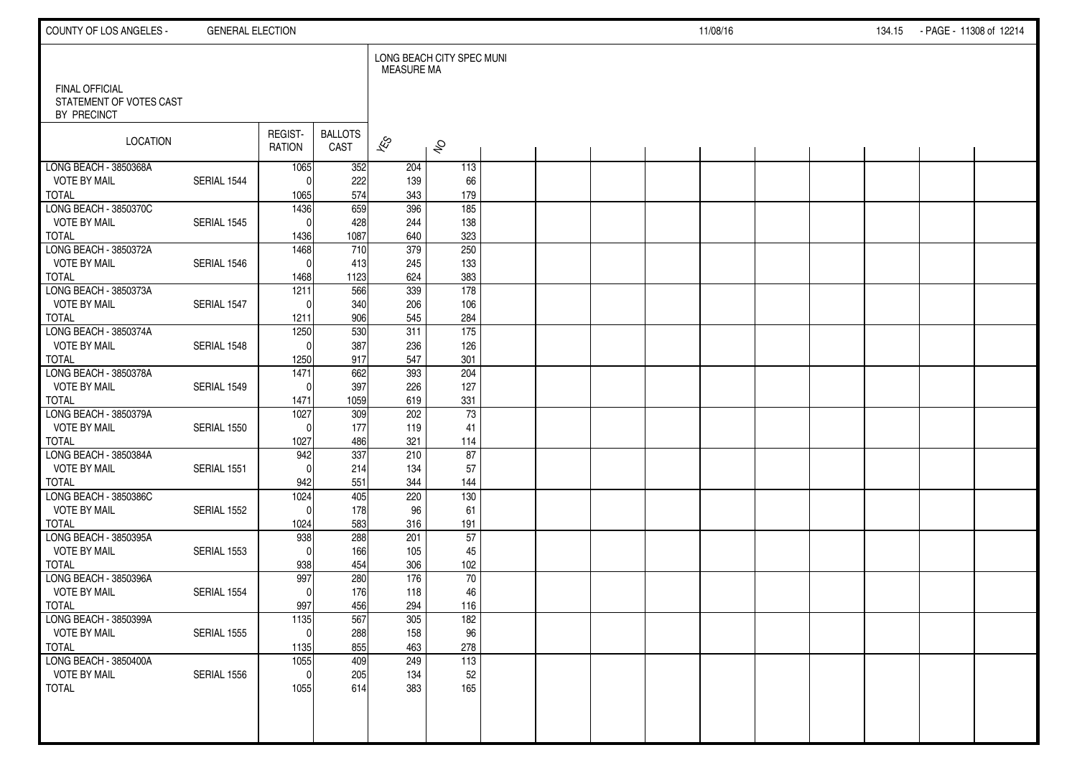| COUNTY OF LOS ANGELES -                          | <b>GENERAL ELECTION</b> |                      |                        |                   |                           |  |  | 11/08/16 |  | 134.15 | - PAGE - 11308 of 12214 |  |
|--------------------------------------------------|-------------------------|----------------------|------------------------|-------------------|---------------------------|--|--|----------|--|--------|-------------------------|--|
| <b>FINAL OFFICIAL</b><br>STATEMENT OF VOTES CAST |                         |                      |                        | <b>MEASURE MA</b> | LONG BEACH CITY SPEC MUNI |  |  |          |  |        |                         |  |
| BY PRECINCT                                      |                         |                      |                        |                   |                           |  |  |          |  |        |                         |  |
| <b>LOCATION</b>                                  |                         | REGIST-<br>RATION    | <b>BALLOTS</b><br>CAST | $\approx$         | $\hat{\mathcal{S}}$       |  |  |          |  |        |                         |  |
| LONG BEACH - 3850368A                            |                         | 1065                 | 352                    | 204               | 113                       |  |  |          |  |        |                         |  |
| <b>VOTE BY MAIL</b><br><b>TOTAL</b>              | SERIAL 1544             | $\Omega$<br>1065     | 222<br>574             | 139<br>343        | 66<br>179                 |  |  |          |  |        |                         |  |
| LONG BEACH - 3850370C                            |                         | 1436                 | 659                    | 396               | 185                       |  |  |          |  |        |                         |  |
| <b>VOTE BY MAIL</b>                              | SERIAL 1545             | $\mathbf{0}$         | 428                    | 244               | 138                       |  |  |          |  |        |                         |  |
| <b>TOTAL</b>                                     |                         | 1436                 | 1087                   | 640<br>379        | 323<br>250                |  |  |          |  |        |                         |  |
| LONG BEACH - 3850372A<br><b>VOTE BY MAIL</b>     | SERIAL 1546             | 1468<br>$\mathbf{0}$ | 710<br>413             | 245               | 133                       |  |  |          |  |        |                         |  |
| <b>TOTAL</b>                                     |                         | 1468                 | 1123                   | 624               | 383                       |  |  |          |  |        |                         |  |
| LONG BEACH - 3850373A                            |                         | 1211                 | 566                    | 339               | 178                       |  |  |          |  |        |                         |  |
| <b>VOTE BY MAIL</b>                              | SERIAL 1547             | $\Omega$             | 340                    | 206               | 106                       |  |  |          |  |        |                         |  |
| <b>TOTAL</b><br>LONG BEACH - 3850374A            |                         | 1211<br>1250         | 906<br>530             | 545<br>311        | 284<br>$\overline{175}$   |  |  |          |  |        |                         |  |
| <b>VOTE BY MAIL</b>                              | SERIAL 1548             | $\Omega$             | 387                    | 236               | 126                       |  |  |          |  |        |                         |  |
| <b>TOTAL</b>                                     |                         | 1250                 | 917                    | 547               | 301                       |  |  |          |  |        |                         |  |
| LONG BEACH - 3850378A                            |                         | 1471                 | 662                    | 393               | 204                       |  |  |          |  |        |                         |  |
| <b>VOTE BY MAIL</b>                              | SERIAL 1549             | $\Omega$             | 397                    | 226               | 127                       |  |  |          |  |        |                         |  |
| <b>TOTAL</b><br>LONG BEACH - 3850379A            |                         | 1471<br>1027         | 1059<br>309            | 619<br>202        | 331<br>73                 |  |  |          |  |        |                         |  |
| <b>VOTE BY MAIL</b>                              | SERIAL 1550             | $\Omega$             | 177                    | 119               | 41                        |  |  |          |  |        |                         |  |
| <b>TOTAL</b>                                     |                         | 1027                 | 486                    | 321               | 114                       |  |  |          |  |        |                         |  |
| LONG BEACH - 3850384A                            |                         | 942                  | 337                    | 210               | 87                        |  |  |          |  |        |                         |  |
| <b>VOTE BY MAIL</b>                              | SERIAL 1551             | $\Omega$             | 214                    | 134               | 57                        |  |  |          |  |        |                         |  |
| <b>TOTAL</b><br>LONG BEACH - 3850386C            |                         | 942<br>1024          | 551<br>405             | 344<br>220        | 144<br>130                |  |  |          |  |        |                         |  |
| <b>VOTE BY MAIL</b>                              | SERIAL 1552             | $\Omega$             | 178                    | 96                | 61                        |  |  |          |  |        |                         |  |
| <b>TOTAL</b>                                     |                         | 1024                 | 583                    | 316               | 191                       |  |  |          |  |        |                         |  |
| LONG BEACH - 3850395A                            |                         | 938                  | 288                    | 201               | $\overline{57}$           |  |  |          |  |        |                         |  |
| <b>VOTE BY MAIL</b><br><b>TOTAL</b>              | SERIAL 1553             | $\Omega$<br>938      | 166<br>454             | 105<br>306        | 45<br>102                 |  |  |          |  |        |                         |  |
| LONG BEACH - 3850396A                            |                         | 997                  | 280                    | 176               | 70                        |  |  |          |  |        |                         |  |
| <b>VOTE BY MAIL</b>                              | SERIAL 1554             | $\Omega$             | 176                    | 118               | 46                        |  |  |          |  |        |                         |  |
| <b>TOTAL</b>                                     |                         | 997                  | 456                    | 294               | 116                       |  |  |          |  |        |                         |  |
| LONG BEACH - 3850399A                            |                         | 1135                 | 567                    | 305               | 182                       |  |  |          |  |        |                         |  |
| <b>VOTE BY MAIL</b><br><b>TOTAL</b>              | SERIAL 1555             | 0 <br>1135           | 288<br>855             | 158<br>463        | 96<br>278                 |  |  |          |  |        |                         |  |
| LONG BEACH - 3850400A                            |                         | 1055                 | 409                    | 249               | 113                       |  |  |          |  |        |                         |  |
| <b>VOTE BY MAIL</b>                              | SERIAL 1556             | $\mathbf 0$          | 205                    | 134               | 52                        |  |  |          |  |        |                         |  |
| <b>TOTAL</b>                                     |                         | 1055                 | 614                    | 383               | 165                       |  |  |          |  |        |                         |  |
|                                                  |                         |                      |                        |                   |                           |  |  |          |  |        |                         |  |
|                                                  |                         |                      |                        |                   |                           |  |  |          |  |        |                         |  |
|                                                  |                         |                      |                        |                   |                           |  |  |          |  |        |                         |  |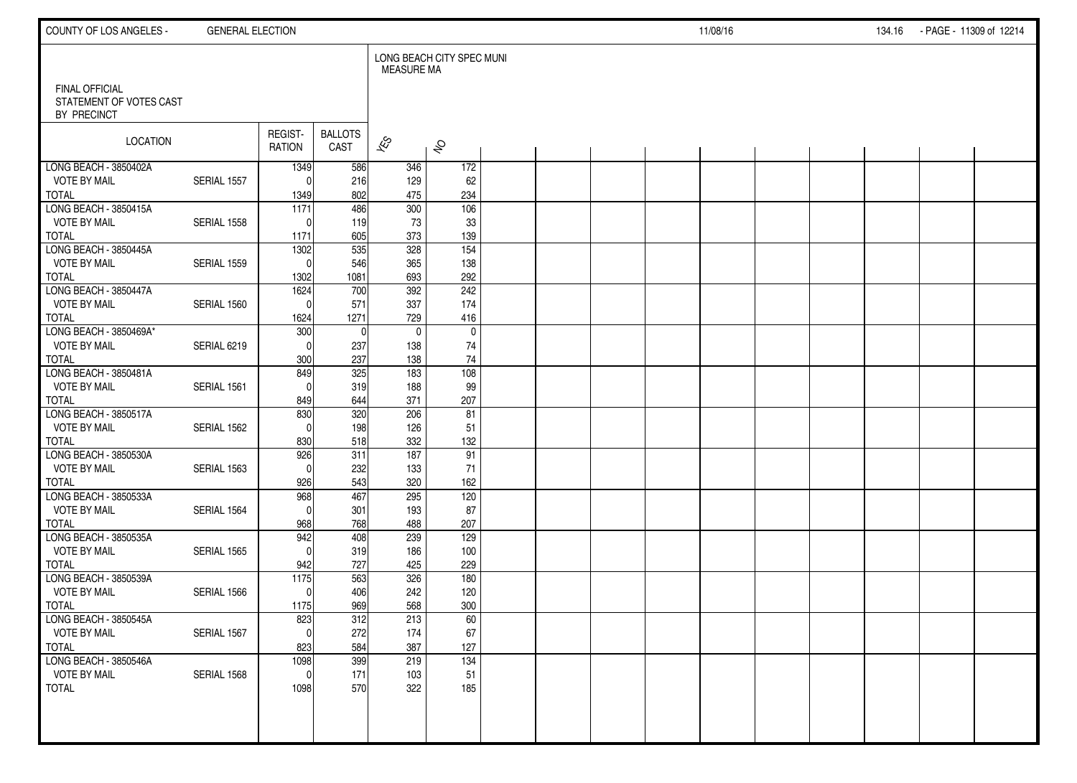| COUNTY OF LOS ANGELES -                          | <b>GENERAL ELECTION</b> |                           |                        |                   |                           |  |  | 11/08/16 |  | 134.16 | - PAGE - 11309 of 12214 |  |
|--------------------------------------------------|-------------------------|---------------------------|------------------------|-------------------|---------------------------|--|--|----------|--|--------|-------------------------|--|
| <b>FINAL OFFICIAL</b><br>STATEMENT OF VOTES CAST |                         |                           |                        | <b>MEASURE MA</b> | LONG BEACH CITY SPEC MUNI |  |  |          |  |        |                         |  |
| BY PRECINCT                                      |                         |                           |                        |                   |                           |  |  |          |  |        |                         |  |
| <b>LOCATION</b>                                  |                         | REGIST-<br>RATION         | <b>BALLOTS</b><br>CAST | $\approx$         | $\hat{\mathcal{S}}$       |  |  |          |  |        |                         |  |
| LONG BEACH - 3850402A                            |                         | 1349                      | 586                    | 346               | 172                       |  |  |          |  |        |                         |  |
| <b>VOTE BY MAIL</b>                              | SERIAL 1557             | $\Omega$                  | 216                    | 129               | 62                        |  |  |          |  |        |                         |  |
| <b>TOTAL</b><br>LONG BEACH - 3850415A            |                         | 1349<br>$\overline{1171}$ | 802<br>486             | 475<br>300        | 234<br>106                |  |  |          |  |        |                         |  |
| <b>VOTE BY MAIL</b>                              | SERIAL 1558             | $\Omega$                  | 119                    | 73                | 33                        |  |  |          |  |        |                         |  |
| <b>TOTAL</b>                                     |                         | 1171                      | 605                    | 373               | 139                       |  |  |          |  |        |                         |  |
| LONG BEACH - 3850445A                            |                         | 1302                      | 535                    | 328               | $\frac{154}{ }$           |  |  |          |  |        |                         |  |
| <b>VOTE BY MAIL</b>                              | SERIAL 1559             | $\Omega$                  | 546                    | 365               | 138                       |  |  |          |  |        |                         |  |
| <b>TOTAL</b>                                     |                         | 1302                      | 1081                   | 693               | 292                       |  |  |          |  |        |                         |  |
| LONG BEACH - 3850447A                            |                         | 1624                      | 700                    | 392               | 242                       |  |  |          |  |        |                         |  |
| <b>VOTE BY MAIL</b>                              | SERIAL 1560             | $\mathbf{0}$              | 571                    | 337               | 174                       |  |  |          |  |        |                         |  |
| <b>TOTAL</b>                                     |                         | 1624                      | 1271                   | 729               | 416                       |  |  |          |  |        |                         |  |
| LONG BEACH - 3850469A*                           |                         | 300                       | $\Omega$               | $\mathbf 0$       | $\mathbf 0$               |  |  |          |  |        |                         |  |
| <b>VOTE BY MAIL</b>                              | SERIAL 6219             | $\Omega$                  | 237                    | 138               | 74                        |  |  |          |  |        |                         |  |
| <b>TOTAL</b><br>LONG BEACH - 3850481A            |                         | 300<br>849                | 237<br>325             | 138<br>183        | 74<br>108                 |  |  |          |  |        |                         |  |
| <b>VOTE BY MAIL</b>                              | SERIAL 1561             | $\Omega$                  | 319                    | 188               | 99                        |  |  |          |  |        |                         |  |
| <b>TOTAL</b>                                     |                         | 849                       | 644                    | 371               | 207                       |  |  |          |  |        |                         |  |
| LONG BEACH - 3850517A                            |                         | 830                       | 320                    | 206               | 81                        |  |  |          |  |        |                         |  |
| <b>VOTE BY MAIL</b>                              | SERIAL 1562             | $\Omega$                  | 198                    | 126               | 51                        |  |  |          |  |        |                         |  |
| <b>TOTAL</b>                                     |                         | 830                       | 518                    | 332               | 132                       |  |  |          |  |        |                         |  |
| LONG BEACH - 3850530A                            |                         | 926                       | 311                    | 187               | 91                        |  |  |          |  |        |                         |  |
| <b>VOTE BY MAIL</b>                              | SERIAL 1563             | $\Omega$                  | 232                    | 133               | 71                        |  |  |          |  |        |                         |  |
| <b>TOTAL</b>                                     |                         | 926                       | 543                    | 320               | 162                       |  |  |          |  |        |                         |  |
| LONG BEACH - 3850533A                            |                         | 968                       | 467                    | 295               | 120                       |  |  |          |  |        |                         |  |
| <b>VOTE BY MAIL</b>                              | SERIAL 1564             | $\Omega$                  | 301                    | 193               | 87                        |  |  |          |  |        |                         |  |
| <b>TOTAL</b>                                     |                         | 968                       | 768                    | 488               | 207                       |  |  |          |  |        |                         |  |
| LONG BEACH - 3850535A<br><b>VOTE BY MAIL</b>     | SERIAL 1565             | 942<br>$\Omega$           | 408                    | 239<br>186        | 129<br>100                |  |  |          |  |        |                         |  |
| <b>TOTAL</b>                                     |                         | 942                       | 319<br>727             | 425               | 229                       |  |  |          |  |        |                         |  |
| LONG BEACH - 3850539A                            |                         | 1175                      | 563                    | 326               | 180                       |  |  |          |  |        |                         |  |
| <b>VOTE BY MAIL</b>                              | SERIAL 1566             | $\Omega$                  | 406                    | 242               | 120                       |  |  |          |  |        |                         |  |
| <b>TOTAL</b>                                     |                         | 1175                      | 969                    | 568               | 300                       |  |  |          |  |        |                         |  |
| LONG BEACH - 3850545A                            |                         | 823                       | 312                    | 213               | 60                        |  |  |          |  |        |                         |  |
| <b>VOTE BY MAIL</b>                              | SERIAL 1567             | $\overline{0}$            | 272                    | 174               | 67                        |  |  |          |  |        |                         |  |
| <b>TOTAL</b>                                     |                         | 823                       | 584                    | 387               | 127                       |  |  |          |  |        |                         |  |
| LONG BEACH - 3850546A                            |                         | 1098                      | 399                    | 219               | 134                       |  |  |          |  |        |                         |  |
| <b>VOTE BY MAIL</b>                              | SERIAL 1568             | $\mathbf 0$               | 171                    | 103               | 51                        |  |  |          |  |        |                         |  |
| <b>TOTAL</b>                                     |                         | 1098                      | 570                    | 322               | 185                       |  |  |          |  |        |                         |  |
|                                                  |                         |                           |                        |                   |                           |  |  |          |  |        |                         |  |
|                                                  |                         |                           |                        |                   |                           |  |  |          |  |        |                         |  |
|                                                  |                         |                           |                        |                   |                           |  |  |          |  |        |                         |  |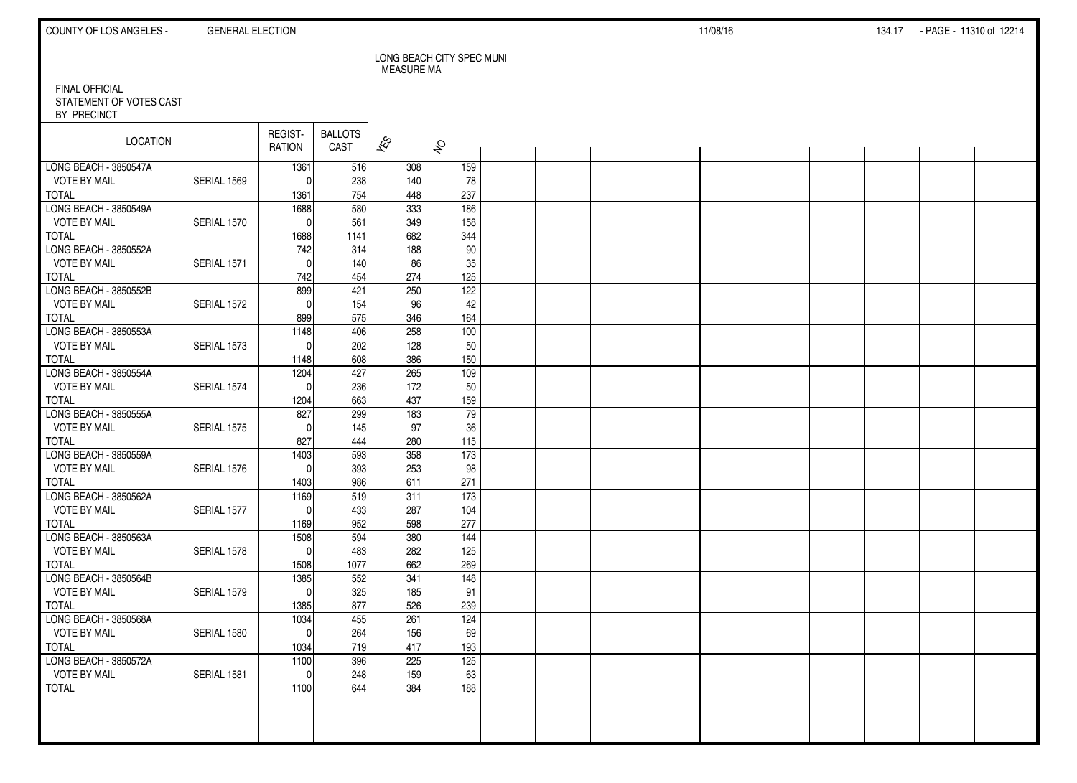| COUNTY OF LOS ANGELES -                                         | <b>GENERAL ELECTION</b> |                          |                        |                          |                           |  |  | 11/08/16 |  | 134.17 - PAGE - 11310 of 12214 |  |
|-----------------------------------------------------------------|-------------------------|--------------------------|------------------------|--------------------------|---------------------------|--|--|----------|--|--------------------------------|--|
|                                                                 |                         |                          |                        | <b>MEASURE MA</b>        | LONG BEACH CITY SPEC MUNI |  |  |          |  |                                |  |
| <b>FINAL OFFICIAL</b><br>STATEMENT OF VOTES CAST<br>BY PRECINCT |                         |                          |                        |                          |                           |  |  |          |  |                                |  |
| LOCATION                                                        |                         | REGIST-<br><b>RATION</b> | <b>BALLOTS</b><br>CAST | $\overline{\mathscr{E}}$ | $\hat{\mathcal{S}}$       |  |  |          |  |                                |  |
| LONG BEACH - 3850547A                                           |                         | 1361                     | 516                    | 308                      | 159                       |  |  |          |  |                                |  |
| <b>VOTE BY MAIL</b><br><b>TOTAL</b>                             | SERIAL 1569             | $^{\circ}$<br>1361       | 238<br>754             | 140<br>448               | 78<br>237                 |  |  |          |  |                                |  |
| LONG BEACH - 3850549A                                           |                         | 1688                     | 580                    | $\overline{333}$         | $\frac{1}{186}$           |  |  |          |  |                                |  |
| <b>VOTE BY MAIL</b>                                             | SERIAL 1570             | $\mathbf 0$              | 561                    | 349                      | 158                       |  |  |          |  |                                |  |
| <b>TOTAL</b>                                                    |                         | 1688                     | 1141                   | 682                      | 344                       |  |  |          |  |                                |  |
| LONG BEACH - 3850552A                                           |                         | 742                      | 314                    | 188                      | 90                        |  |  |          |  |                                |  |
| <b>VOTE BY MAIL</b>                                             | SERIAL 1571             | $\mathbf{0}$             | 140                    | 86                       | 35                        |  |  |          |  |                                |  |
| <b>TOTAL</b>                                                    |                         | 742                      | 454                    | 274                      | 125                       |  |  |          |  |                                |  |
| LONG BEACH - 3850552B                                           |                         | 899                      | 421                    | 250                      | 122                       |  |  |          |  |                                |  |
| <b>VOTE BY MAIL</b>                                             | SERIAL 1572             | $\mathbf{0}$             | 154                    | 96                       | 42                        |  |  |          |  |                                |  |
| <b>TOTAL</b>                                                    |                         | 899                      | 575                    | 346                      | 164                       |  |  |          |  |                                |  |
| LONG BEACH - 3850553A                                           |                         | 1148                     | 406                    | 258                      | 100                       |  |  |          |  |                                |  |
| <b>VOTE BY MAIL</b><br><b>TOTAL</b>                             | SERIAL 1573             | $\Omega$<br>1148         | 202<br>608             | 128<br>386               | 50<br>150                 |  |  |          |  |                                |  |
| LONG BEACH - 3850554A                                           |                         | 1204                     | 427                    | 265                      | 109                       |  |  |          |  |                                |  |
| <b>VOTE BY MAIL</b>                                             | SERIAL 1574             | $\Omega$                 | 236                    | 172                      | 50                        |  |  |          |  |                                |  |
| <b>TOTAL</b>                                                    |                         | 1204                     | 663                    | 437                      | 159                       |  |  |          |  |                                |  |
| LONG BEACH - 3850555A                                           |                         | 827                      | 299                    | 183                      | 79                        |  |  |          |  |                                |  |
| <b>VOTE BY MAIL</b>                                             | SERIAL 1575             | $\Omega$                 | 145                    | 97                       | 36                        |  |  |          |  |                                |  |
| <b>TOTAL</b>                                                    |                         | 827                      | 444                    | 280                      | 115                       |  |  |          |  |                                |  |
| LONG BEACH - 3850559A                                           |                         | 1403                     | 593                    | 358                      | $\overline{173}$          |  |  |          |  |                                |  |
| <b>VOTE BY MAIL</b>                                             | SERIAL 1576             | $\mathbf{0}$             | 393                    | 253                      | 98                        |  |  |          |  |                                |  |
| <b>TOTAL</b>                                                    |                         | 1403                     | 986                    | 611                      | 271                       |  |  |          |  |                                |  |
| LONG BEACH - 3850562A                                           |                         | 1169                     | 519                    | 311                      | 173                       |  |  |          |  |                                |  |
| <b>VOTE BY MAIL</b>                                             | SERIAL 1577             | $\Omega$                 | 433                    | 287                      | 104                       |  |  |          |  |                                |  |
| <b>TOTAL</b><br>LONG BEACH - 3850563A                           |                         | 1169<br>1508             | 952<br>594             | 598<br>380               | 277<br>144                |  |  |          |  |                                |  |
| <b>VOTE BY MAIL</b>                                             | SERIAL 1578             | $\mathbf{0}$             | 483                    | 282                      | 125                       |  |  |          |  |                                |  |
| <b>TOTAL</b>                                                    |                         | 1508                     | 1077                   | 662                      | 269                       |  |  |          |  |                                |  |
| LONG BEACH - 3850564B                                           |                         | 1385                     | 552                    | 341                      | 148                       |  |  |          |  |                                |  |
| <b>VOTE BY MAIL</b>                                             | SERIAL 1579             | $\mathbf 0$              | 325                    | 185                      | 91                        |  |  |          |  |                                |  |
| <b>TOTAL</b>                                                    |                         | 1385                     | 877                    | 526                      | 239                       |  |  |          |  |                                |  |
| LONG BEACH - 3850568A                                           |                         | 1034                     | 455                    | 261                      | 124                       |  |  |          |  |                                |  |
| <b>VOTE BY MAIL</b>                                             | SERIAL 1580             | $\pmb{0}$                | 264                    | 156                      | 69                        |  |  |          |  |                                |  |
| <b>TOTAL</b>                                                    |                         | 1034                     | 719                    | 417                      | 193                       |  |  |          |  |                                |  |
| LONG BEACH - 3850572A                                           |                         | $\frac{1100}{ }$         | 396                    | 225                      | 125                       |  |  |          |  |                                |  |
| <b>VOTE BY MAIL</b>                                             | SERIAL 1581             | $\mathbf 0$              | 248                    | 159                      | 63                        |  |  |          |  |                                |  |
| <b>TOTAL</b>                                                    |                         | 1100                     | 644                    | 384                      | 188                       |  |  |          |  |                                |  |
|                                                                 |                         |                          |                        |                          |                           |  |  |          |  |                                |  |
|                                                                 |                         |                          |                        |                          |                           |  |  |          |  |                                |  |
|                                                                 |                         |                          |                        |                          |                           |  |  |          |  |                                |  |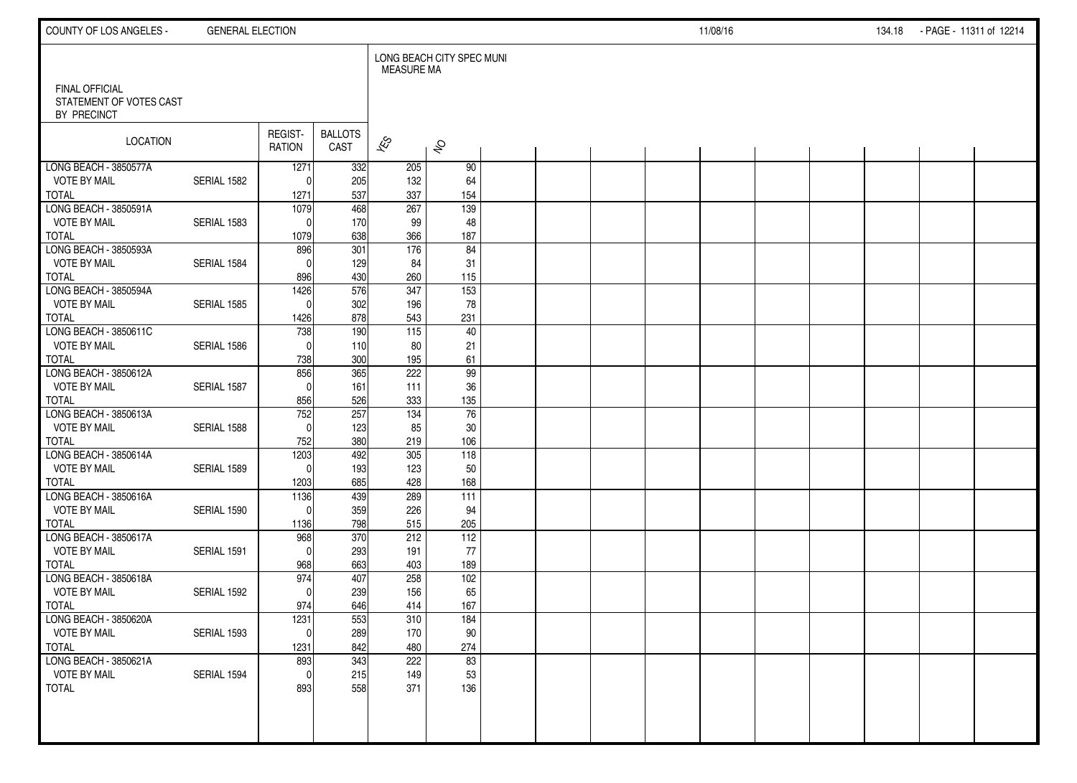| COUNTY OF LOS ANGELES -                          | <b>GENERAL ELECTION</b> |                        |                        |                   |                           |  |  | 11/08/16 |  | 134.18 | - PAGE - 11311 of 12214 |  |
|--------------------------------------------------|-------------------------|------------------------|------------------------|-------------------|---------------------------|--|--|----------|--|--------|-------------------------|--|
| <b>FINAL OFFICIAL</b><br>STATEMENT OF VOTES CAST |                         |                        |                        | <b>MEASURE MA</b> | LONG BEACH CITY SPEC MUNI |  |  |          |  |        |                         |  |
| BY PRECINCT                                      |                         |                        |                        |                   |                           |  |  |          |  |        |                         |  |
| <b>LOCATION</b>                                  |                         | REGIST-<br>RATION      | <b>BALLOTS</b><br>CAST | $\approx$         | $\hat{\mathcal{S}}$       |  |  |          |  |        |                         |  |
| LONG BEACH - 3850577A                            |                         | 1271<br>$\Omega$       | 332                    | 205               | 90                        |  |  |          |  |        |                         |  |
| <b>VOTE BY MAIL</b><br><b>TOTAL</b>              | SERIAL 1582             | 1271                   | 205<br>537             | 132<br>337        | 64<br>154                 |  |  |          |  |        |                         |  |
| LONG BEACH - 3850591A                            |                         | 1079                   | $\overline{468}$       | 267               | 139                       |  |  |          |  |        |                         |  |
| <b>VOTE BY MAIL</b><br><b>TOTAL</b>              | SERIAL 1583             | $\Omega$<br>1079       | 170<br>638             | 99<br>366         | 48<br>187                 |  |  |          |  |        |                         |  |
| LONG BEACH - 3850593A                            |                         | 896                    | 301                    | 176               | 84                        |  |  |          |  |        |                         |  |
| <b>VOTE BY MAIL</b>                              | SERIAL 1584             | $\Omega$               | 129                    | 84                | 31                        |  |  |          |  |        |                         |  |
| <b>TOTAL</b><br>LONG BEACH - 3850594A            |                         | 896<br>1426            | 430<br>576             | 260<br>347        | 115<br>$\overline{153}$   |  |  |          |  |        |                         |  |
| <b>VOTE BY MAIL</b>                              | SERIAL 1585             | $\mathbf{0}$           | 302                    | 196               | 78                        |  |  |          |  |        |                         |  |
| <b>TOTAL</b>                                     |                         | 1426                   | 878                    | 543               | 231                       |  |  |          |  |        |                         |  |
| LONG BEACH - 3850611C                            |                         | 738<br>$\Omega$        | 190                    | 115               | 40                        |  |  |          |  |        |                         |  |
| <b>VOTE BY MAIL</b><br><b>TOTAL</b>              | SERIAL 1586             | 738                    | 110<br>300             | 80<br>195         | 21<br>61                  |  |  |          |  |        |                         |  |
| LONG BEACH - 3850612A                            |                         | 856                    | 365                    | 222               | 99                        |  |  |          |  |        |                         |  |
| <b>VOTE BY MAIL</b>                              | SERIAL 1587             | $\Omega$               | 161                    | 111               | 36                        |  |  |          |  |        |                         |  |
| <b>TOTAL</b><br>LONG BEACH - 3850613A            |                         | 856<br>752             | 526<br>257             | 333<br>134        | 135<br>76                 |  |  |          |  |        |                         |  |
| <b>VOTE BY MAIL</b>                              | SERIAL 1588             | $\Omega$               | 123                    | 85                | 30                        |  |  |          |  |        |                         |  |
| <b>TOTAL</b>                                     |                         | 752                    | 380                    | 219               | 106                       |  |  |          |  |        |                         |  |
| LONG BEACH - 3850614A<br><b>VOTE BY MAIL</b>     | SERIAL 1589             | 1203<br>$\Omega$       | 492<br>193             | 305<br>123        | 118<br>50                 |  |  |          |  |        |                         |  |
| <b>TOTAL</b>                                     |                         | 1203                   | 685                    | 428               | 168                       |  |  |          |  |        |                         |  |
| LONG BEACH - 3850616A                            |                         | 1136                   | 439                    | 289               | 111                       |  |  |          |  |        |                         |  |
| <b>VOTE BY MAIL</b><br><b>TOTAL</b>              | SERIAL 1590             | $\Omega$<br>1136       | 359<br>798             | 226<br>515        | 94<br>205                 |  |  |          |  |        |                         |  |
| LONG BEACH - 3850617A                            |                         | 968                    | 370                    | 212               | 112                       |  |  |          |  |        |                         |  |
| <b>VOTE BY MAIL</b>                              | SERIAL 1591             | $\Omega$               | 293                    | 191               | 77                        |  |  |          |  |        |                         |  |
| <b>TOTAL</b><br>LONG BEACH - 3850618A            |                         | 968<br>974             | 663<br>407             | 403<br>258        | 189<br>102                |  |  |          |  |        |                         |  |
| <b>VOTE BY MAIL</b>                              | SERIAL 1592             | $\Omega$               | 239                    | 156               | 65                        |  |  |          |  |        |                         |  |
| <b>TOTAL</b>                                     |                         | 974                    | 646                    | 414               | 167                       |  |  |          |  |        |                         |  |
| LONG BEACH - 3850620A<br><b>VOTE BY MAIL</b>     | SERIAL 1593             | 1231<br>$\overline{0}$ | 553<br>289             | 310<br>170        | 184<br>$90\,$             |  |  |          |  |        |                         |  |
| <b>TOTAL</b>                                     |                         | 1231                   | 842                    | 480               | 274                       |  |  |          |  |        |                         |  |
| LONG BEACH - 3850621A                            |                         | 893                    | 343                    | 222               | 83                        |  |  |          |  |        |                         |  |
| <b>VOTE BY MAIL</b><br><b>TOTAL</b>              | SERIAL 1594             | $\mathbf 0$<br>893     | 215<br>558             | 149<br>371        | 53<br>136                 |  |  |          |  |        |                         |  |
|                                                  |                         |                        |                        |                   |                           |  |  |          |  |        |                         |  |
|                                                  |                         |                        |                        |                   |                           |  |  |          |  |        |                         |  |
|                                                  |                         |                        |                        |                   |                           |  |  |          |  |        |                         |  |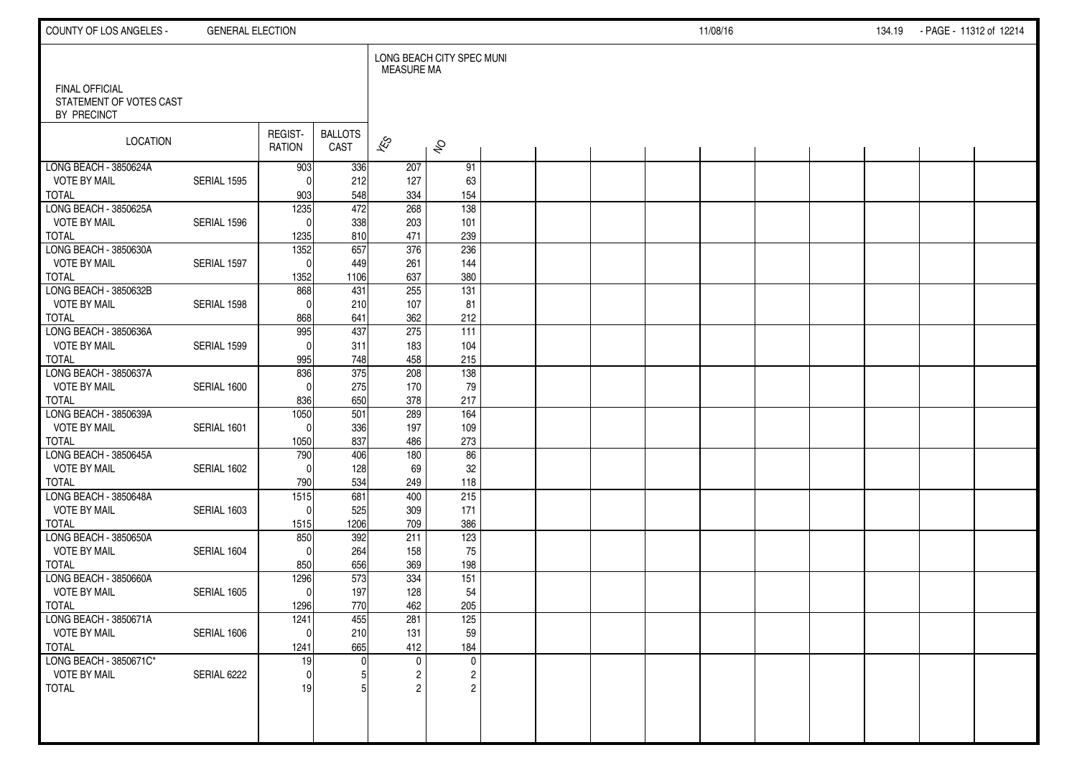| COUNTY OF LOS ANGELES -                                         | <b>GENERAL ELECTION</b> |                          |                        |                          |                           |  |  | 11/08/16 |  | 134.19 - PAGE - 11312 of 12214 |  |
|-----------------------------------------------------------------|-------------------------|--------------------------|------------------------|--------------------------|---------------------------|--|--|----------|--|--------------------------------|--|
|                                                                 |                         |                          |                        | <b>MEASURE MA</b>        | LONG BEACH CITY SPEC MUNI |  |  |          |  |                                |  |
| <b>FINAL OFFICIAL</b><br>STATEMENT OF VOTES CAST<br>BY PRECINCT |                         |                          |                        |                          |                           |  |  |          |  |                                |  |
| LOCATION                                                        |                         | REGIST-<br><b>RATION</b> | <b>BALLOTS</b><br>CAST | $\overline{\mathscr{E}}$ | $\hat{\mathcal{S}}$       |  |  |          |  |                                |  |
| LONG BEACH - 3850624A                                           |                         | 903                      | 336                    | 207                      | 91                        |  |  |          |  |                                |  |
| <b>VOTE BY MAIL</b><br><b>TOTAL</b>                             | SERIAL 1595             | $^{\circ}$<br>903        | 212<br>548             | 127<br>334               | 63<br>154                 |  |  |          |  |                                |  |
| LONG BEACH - 3850625A                                           |                         | 1235                     | $\overline{472}$       | 268                      | $\frac{1}{138}$           |  |  |          |  |                                |  |
| <b>VOTE BY MAIL</b>                                             | SERIAL 1596             | $\mathbf{0}$             | 338                    | 203                      | 101                       |  |  |          |  |                                |  |
| <b>TOTAL</b>                                                    |                         | 1235                     | 810                    | 471                      | 239                       |  |  |          |  |                                |  |
| LONG BEACH - 3850630A                                           |                         | 1352                     | 657                    | 376                      | 236                       |  |  |          |  |                                |  |
| <b>VOTE BY MAIL</b>                                             | SERIAL 1597             | $\mathbf 0$              | 449                    | 261                      | 144                       |  |  |          |  |                                |  |
| <b>TOTAL</b>                                                    |                         | 1352                     | 1106                   | 637                      | 380                       |  |  |          |  |                                |  |
| LONG BEACH - 3850632B                                           |                         | 868                      | 431                    | 255                      | $\overline{131}$          |  |  |          |  |                                |  |
| <b>VOTE BY MAIL</b>                                             | SERIAL 1598             | $\mathbf{0}$             | 210                    | 107                      | 81<br>212                 |  |  |          |  |                                |  |
| <b>TOTAL</b><br>LONG BEACH - 3850636A                           |                         | 868<br>995               | 641<br>437             | 362<br>275               | 111                       |  |  |          |  |                                |  |
| <b>VOTE BY MAIL</b>                                             | SERIAL 1599             | $\Omega$                 | 311                    | 183                      | 104                       |  |  |          |  |                                |  |
| <b>TOTAL</b>                                                    |                         | 995                      | 748                    | 458                      | 215                       |  |  |          |  |                                |  |
| LONG BEACH - 3850637A                                           |                         | 836                      | 375                    | 208                      | 138                       |  |  |          |  |                                |  |
| <b>VOTE BY MAIL</b>                                             | SERIAL 1600             | $\mathbf{0}$             | 275                    | 170                      | 79                        |  |  |          |  |                                |  |
| <b>TOTAL</b>                                                    |                         | 836                      | 650                    | 378                      | 217                       |  |  |          |  |                                |  |
| LONG BEACH - 3850639A                                           |                         | 1050                     | 501                    | 289                      | 164                       |  |  |          |  |                                |  |
| <b>VOTE BY MAIL</b>                                             | SERIAL 1601             | $\mathbf{0}$             | 336                    | 197                      | 109                       |  |  |          |  |                                |  |
| <b>TOTAL</b>                                                    |                         | 1050                     | 837                    | 486                      | 273                       |  |  |          |  |                                |  |
| LONG BEACH - 3850645A                                           |                         | 790                      | 406                    | 180                      | 86                        |  |  |          |  |                                |  |
| <b>VOTE BY MAIL</b><br><b>TOTAL</b>                             | SERIAL 1602             | $\Omega$<br>790          | 128<br>534             | 69<br>249                | 32<br>118                 |  |  |          |  |                                |  |
| LONG BEACH - 3850648A                                           |                         | $\frac{1515}{2}$         | 681                    | 400                      | 215                       |  |  |          |  |                                |  |
| <b>VOTE BY MAIL</b>                                             | SERIAL 1603             | $\mathbf 0$              | 525                    | 309                      | 171                       |  |  |          |  |                                |  |
| <b>TOTAL</b>                                                    |                         | 1515                     | 1206                   | 709                      | 386                       |  |  |          |  |                                |  |
| LONG BEACH - 3850650A                                           |                         | 850                      | 392                    | 211                      | 123                       |  |  |          |  |                                |  |
| <b>VOTE BY MAIL</b>                                             | SERIAL 1604             | $\Omega$                 | 264                    | 158                      | 75                        |  |  |          |  |                                |  |
| <b>TOTAL</b>                                                    |                         | 850                      | 656                    | 369                      | 198                       |  |  |          |  |                                |  |
| LONG BEACH - 3850660A                                           |                         | 1296                     | 573                    | 334                      | 151                       |  |  |          |  |                                |  |
| <b>VOTE BY MAIL</b>                                             | SERIAL 1605             | $\mathbf 0$              | 197                    | 128                      | 54                        |  |  |          |  |                                |  |
| <b>TOTAL</b>                                                    |                         | 1296                     | 770                    | 462                      | 205                       |  |  |          |  |                                |  |
| LONG BEACH - 3850671A<br><b>VOTE BY MAIL</b>                    |                         | 1241                     | 455                    | 281                      | 125                       |  |  |          |  |                                |  |
| <b>TOTAL</b>                                                    | SERIAL 1606             | $\overline{0}$<br>1241   | 210<br>665             | 131<br>412               | 59<br>184                 |  |  |          |  |                                |  |
| LONG BEACH - 3850671C*                                          |                         | 19                       |                        | $\mathbf 0$              | $\mathsf{O}$              |  |  |          |  |                                |  |
| <b>VOTE BY MAIL</b>                                             | SERIAL 6222             | $\Omega$                 |                        | 2                        | $\overline{c}$            |  |  |          |  |                                |  |
| <b>TOTAL</b>                                                    |                         | 19                       |                        |                          | $\overline{2}$            |  |  |          |  |                                |  |
|                                                                 |                         |                          |                        |                          |                           |  |  |          |  |                                |  |
|                                                                 |                         |                          |                        |                          |                           |  |  |          |  |                                |  |
|                                                                 |                         |                          |                        |                          |                           |  |  |          |  |                                |  |
|                                                                 |                         |                          |                        |                          |                           |  |  |          |  |                                |  |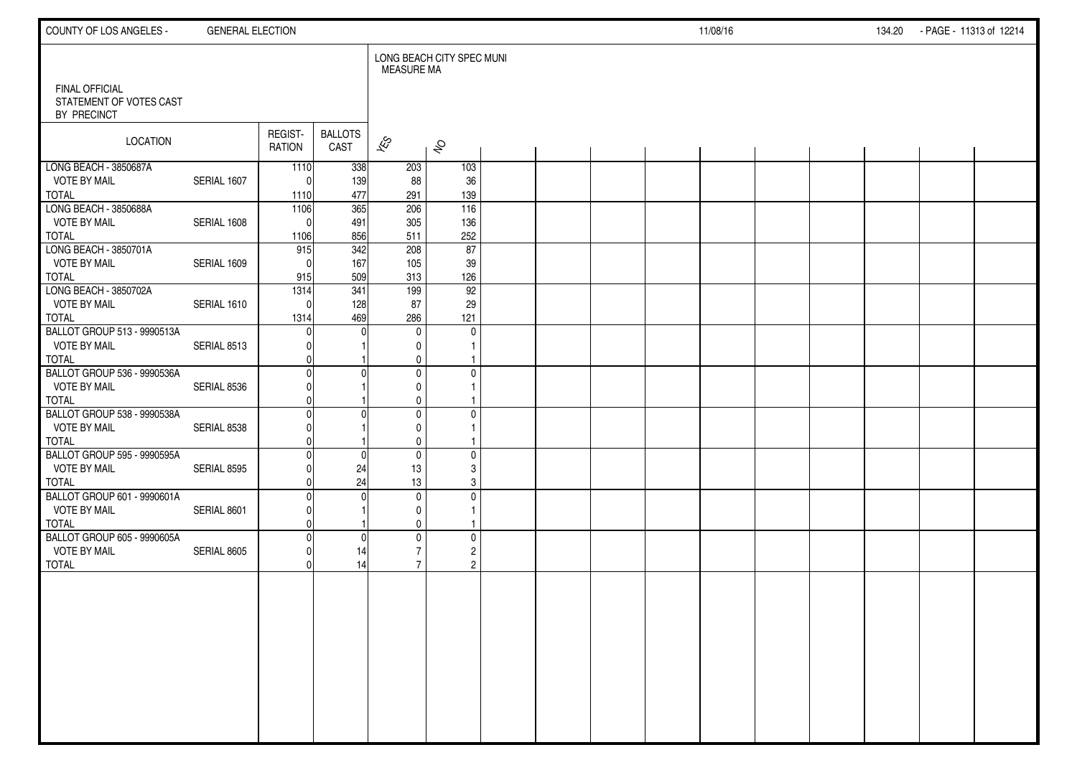| COUNTY OF LOS ANGELES -                                            | <b>GENERAL ELECTION</b> |                          |                        |                                                  |                                                 |  |  | 11/08/16 |  | 134.20 PAGE - 11313 of 12214 |  |
|--------------------------------------------------------------------|-------------------------|--------------------------|------------------------|--------------------------------------------------|-------------------------------------------------|--|--|----------|--|------------------------------|--|
| <b>FINAL OFFICIAL</b>                                              |                         |                          |                        | <b>MEASURE MA</b>                                | LONG BEACH CITY SPEC MUNI                       |  |  |          |  |                              |  |
| STATEMENT OF VOTES CAST<br>BY PRECINCT                             |                         |                          |                        |                                                  |                                                 |  |  |          |  |                              |  |
| LOCATION                                                           |                         | REGIST-<br><b>RATION</b> | <b>BALLOTS</b><br>CAST | $\approx$                                        | $\hat{\mathcal{S}}$                             |  |  |          |  |                              |  |
| LONG BEACH - 3850687A<br><b>VOTE BY MAIL</b><br>TOTAL              | SERIAL 1607             | 1110<br>$\Omega$<br>1110 | 338<br>139<br>477      | 203<br>88<br>291                                 | 103<br>36<br>139                                |  |  |          |  |                              |  |
| LONG BEACH - 3850688A<br><b>VOTE BY MAIL</b><br>TOTAL              | SERIAL 1608             | 1106<br>$\Omega$<br>1106 | 365<br>491<br>856      | 206<br>305<br>511                                | 116<br>136<br>252                               |  |  |          |  |                              |  |
| LONG BEACH - 3850701A<br><b>VOTE BY MAIL</b><br><b>TOTAL</b>       | SERIAL 1609             | 915<br>$\Omega$<br>915   | 342<br>167<br>509      | 208<br>105<br>313                                | 87<br>39<br>126                                 |  |  |          |  |                              |  |
| LONG BEACH - 3850702A<br><b>VOTE BY MAIL</b><br><b>TOTAL</b>       | SERIAL 1610             | 1314<br>$\Omega$<br>1314 | 341<br>128<br>469      | 199<br>87<br>286                                 | 92<br>29<br>121                                 |  |  |          |  |                              |  |
| BALLOT GROUP 513 - 9990513A<br><b>VOTE BY MAIL</b><br><b>TOTAL</b> | SERIAL 8513             |                          |                        | $\mathbf{0}$<br>$\mathbf{0}$<br>0                | $\mathbf 0$                                     |  |  |          |  |                              |  |
| BALLOT GROUP 536 - 9990536A<br><b>VOTE BY MAIL</b><br><b>TOTAL</b> | SERIAL 8536             |                          |                        | $\mathbf 0$<br>$\mathbf{0}$<br>$\mathbf{0}$      | $\mathbf 0$                                     |  |  |          |  |                              |  |
| BALLOT GROUP 538 - 9990538A<br><b>VOTE BY MAIL</b><br><b>TOTAL</b> | SERIAL 8538             |                          |                        | $\mathbf{0}$<br>$\mathbf{0}$<br>$\mathbf 0$      | $\mathbf 0$                                     |  |  |          |  |                              |  |
| BALLOT GROUP 595 - 9990595A<br><b>VOTE BY MAIL</b><br><b>TOTAL</b> | SERIAL 8595             |                          | $\Omega$<br>24<br>24   | $\mathbf 0$<br>13<br>13                          | $\mathbf 0$<br>3<br>3                           |  |  |          |  |                              |  |
| BALLOT GROUP 601 - 9990601A<br><b>VOTE BY MAIL</b><br><b>TOTAL</b> | SERIAL 8601             |                          |                        | $\mathbf 0$<br>$\mathbf 0$<br>$\mathbf 0$        | 0                                               |  |  |          |  |                              |  |
| BALLOT GROUP 605 - 9990605A<br><b>VOTE BY MAIL</b><br><b>TOTAL</b> | SERIAL 8605             |                          | C<br>14<br>14          | $\mathbf{0}$<br>$\overline{7}$<br>$\overline{7}$ | $\mathbf 0$<br>$\overline{c}$<br>$\overline{c}$ |  |  |          |  |                              |  |
|                                                                    |                         |                          |                        |                                                  |                                                 |  |  |          |  |                              |  |
|                                                                    |                         |                          |                        |                                                  |                                                 |  |  |          |  |                              |  |
|                                                                    |                         |                          |                        |                                                  |                                                 |  |  |          |  |                              |  |
|                                                                    |                         |                          |                        |                                                  |                                                 |  |  |          |  |                              |  |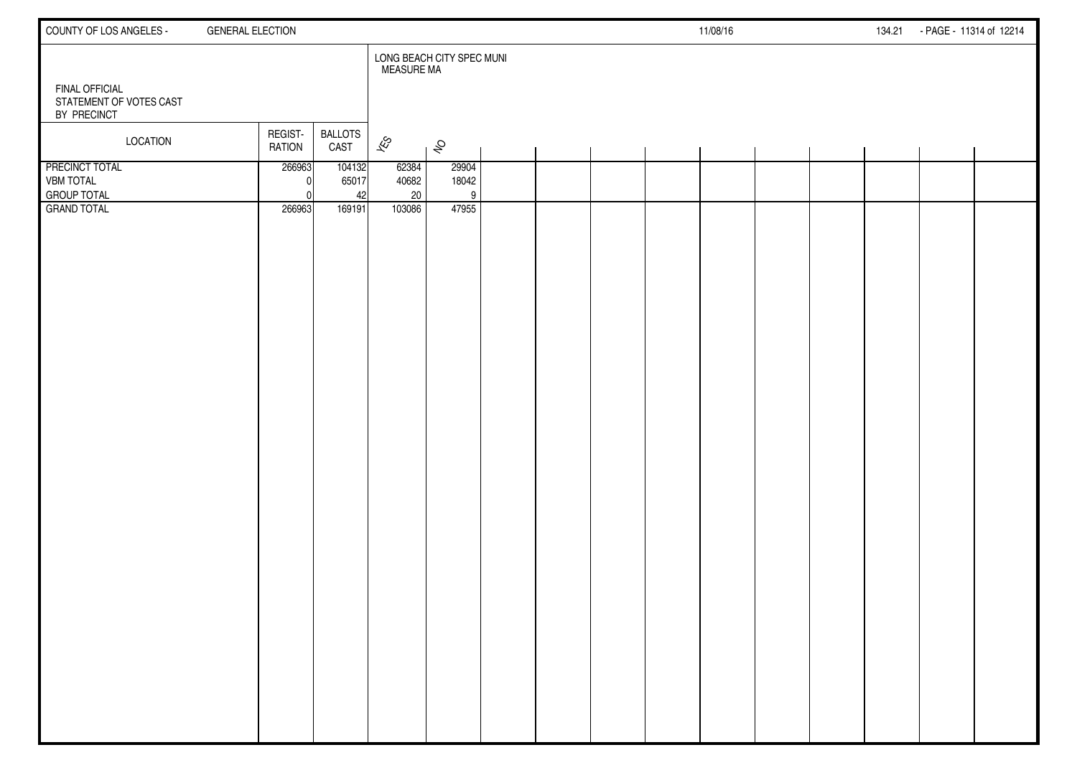| COUNTY OF LOS ANGELES -                                         | <b>GENERAL ELECTION</b>  |                        |                          |                           |  |  | 11/08/16 |  | 134.21 - PAGE - 11314 of 12214 |  |
|-----------------------------------------------------------------|--------------------------|------------------------|--------------------------|---------------------------|--|--|----------|--|--------------------------------|--|
| <b>FINAL OFFICIAL</b><br>STATEMENT OF VOTES CAST<br>BY PRECINCT |                          |                        | <b>MEASURE MA</b>        | LONG BEACH CITY SPEC MUNI |  |  |          |  |                                |  |
| <b>LOCATION</b>                                                 | REGIST-<br><b>RATION</b> | <b>BALLOTS</b><br>CAST | $\overline{\mathscr{E}}$ | $\hat{\mathcal{S}}$       |  |  |          |  |                                |  |
| <b>PRECINCT TOTAL</b><br><b>VBM TOTAL</b><br><b>GROUP TOTAL</b> | 266963                   | 104132<br>65017<br>42  | 62384<br>40682<br>20     | 29904<br>18042<br>9       |  |  |          |  |                                |  |
| <b>GRAND TOTAL</b>                                              | 266963                   | 169191                 | 103086                   | 47955                     |  |  |          |  |                                |  |
|                                                                 |                          |                        |                          |                           |  |  |          |  |                                |  |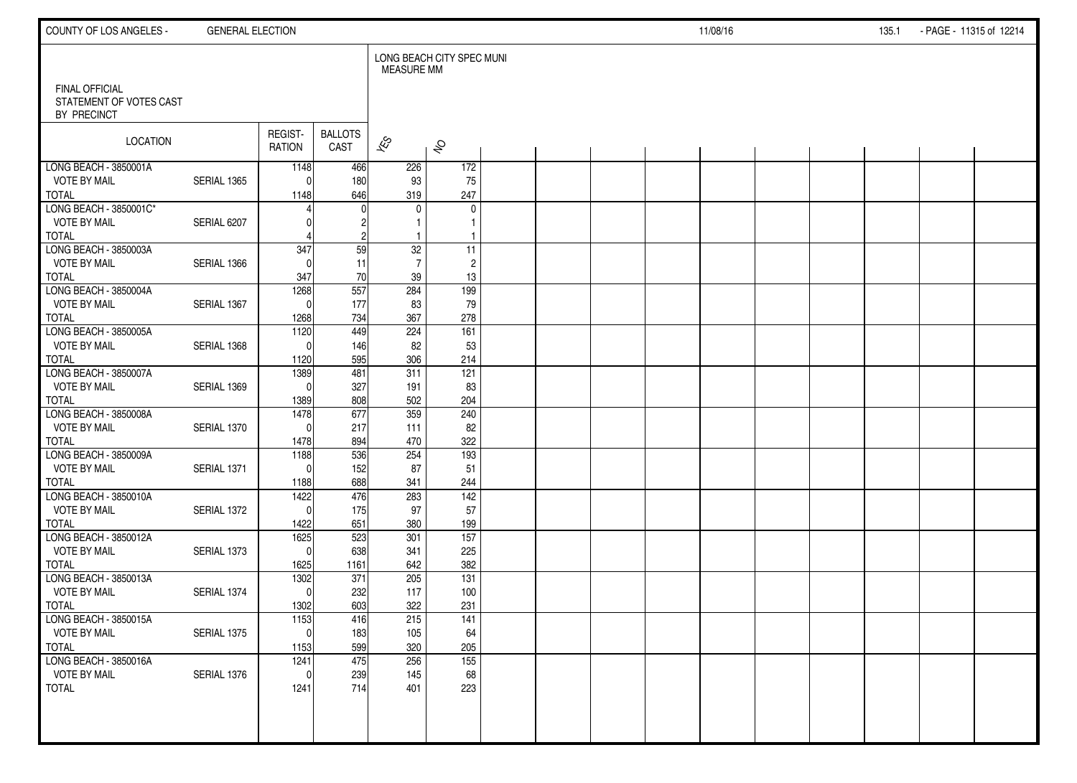| COUNTY OF LOS ANGELES -                                         | <b>GENERAL ELECTION</b> |                   |                        |                          |                           |  |  | 11/08/16 |  | 135.1 | - PAGE - 11315 of 12214 |  |
|-----------------------------------------------------------------|-------------------------|-------------------|------------------------|--------------------------|---------------------------|--|--|----------|--|-------|-------------------------|--|
|                                                                 |                         |                   |                        | <b>MEASURE MM</b>        | LONG BEACH CITY SPEC MUNI |  |  |          |  |       |                         |  |
| <b>FINAL OFFICIAL</b><br>STATEMENT OF VOTES CAST<br>BY PRECINCT |                         |                   |                        |                          |                           |  |  |          |  |       |                         |  |
| <b>LOCATION</b>                                                 |                         | REGIST-<br>RATION | <b>BALLOTS</b><br>CAST | $\overline{\mathscr{K}}$ | $\hat{\mathcal{S}}$       |  |  |          |  |       |                         |  |
| LONG BEACH - 3850001A                                           |                         | 1148              | 466                    | 226                      | 172                       |  |  |          |  |       |                         |  |
| <b>VOTE BY MAIL</b><br><b>TOTAL</b>                             | SERIAL 1365             | $\Omega$<br>1148  | 180<br>646             | 93<br>319                | 75<br>247                 |  |  |          |  |       |                         |  |
| LONG BEACH - 3850001C*                                          |                         |                   |                        | $\mathbf{0}$             | 0                         |  |  |          |  |       |                         |  |
| <b>VOTE BY MAIL</b>                                             | SERIAL 6207             |                   |                        |                          | 1                         |  |  |          |  |       |                         |  |
| <b>TOTAL</b>                                                    |                         |                   | $\overline{c}$         | -1                       | 1                         |  |  |          |  |       |                         |  |
| LONG BEACH - 3850003A                                           |                         | 347               | 59                     | 32                       | 11                        |  |  |          |  |       |                         |  |
| <b>VOTE BY MAIL</b>                                             | SERIAL 1366             |                   | 11                     | $\overline{7}$           | $\overline{c}$            |  |  |          |  |       |                         |  |
| <b>TOTAL</b>                                                    |                         | 347               | 70                     | 39                       | 13                        |  |  |          |  |       |                         |  |
| LONG BEACH - 3850004A                                           |                         | 1268              | 557                    | 284                      | 199                       |  |  |          |  |       |                         |  |
| <b>VOTE BY MAIL</b>                                             | SERIAL 1367             | $\Omega$          | 177                    | 83                       | 79                        |  |  |          |  |       |                         |  |
| <b>TOTAL</b><br>LONG BEACH - 3850005A                           |                         | 1268<br>1120      | 734<br>449             | 367<br>224               | 278<br>161                |  |  |          |  |       |                         |  |
| <b>VOTE BY MAIL</b>                                             | SERIAL 1368             | $\Omega$          | 146                    | 82                       | 53                        |  |  |          |  |       |                         |  |
| <b>TOTAL</b>                                                    |                         | 1120              | 595                    | 306                      | 214                       |  |  |          |  |       |                         |  |
| LONG BEACH - 3850007A                                           |                         | 1389              | 481                    | 311                      | $\overline{121}$          |  |  |          |  |       |                         |  |
| <b>VOTE BY MAIL</b>                                             | SERIAL 1369             | $\Omega$          | 327                    | 191                      | 83                        |  |  |          |  |       |                         |  |
| <b>TOTAL</b>                                                    |                         | 1389              | 808                    | 502                      | 204                       |  |  |          |  |       |                         |  |
| LONG BEACH - 3850008A                                           |                         | 1478              | 677                    | 359                      | 240                       |  |  |          |  |       |                         |  |
| <b>VOTE BY MAIL</b>                                             | SERIAL 1370             | $\Omega$          | 217                    | 111                      | 82                        |  |  |          |  |       |                         |  |
| <b>TOTAL</b>                                                    |                         | 1478              | 894                    | 470                      | 322                       |  |  |          |  |       |                         |  |
| LONG BEACH - 3850009A                                           |                         | 1188              | 536                    | 254                      | 193                       |  |  |          |  |       |                         |  |
| <b>VOTE BY MAIL</b>                                             | SERIAL 1371             | $\Omega$          | 152                    | 87                       | 51                        |  |  |          |  |       |                         |  |
| <b>TOTAL</b><br>LONG BEACH - 3850010A                           |                         | 1188<br>1422      | 688<br>476             | 341<br>283               | 244<br>$\frac{142}{ }$    |  |  |          |  |       |                         |  |
| <b>VOTE BY MAIL</b>                                             | SERIAL 1372             | $\Omega$          | 175                    | 97                       | 57                        |  |  |          |  |       |                         |  |
| <b>TOTAL</b>                                                    |                         | 1422              | 651                    | 380                      | 199                       |  |  |          |  |       |                         |  |
| LONG BEACH - 3850012A                                           |                         | 1625              | 523                    | 301                      | 157                       |  |  |          |  |       |                         |  |
| <b>VOTE BY MAIL</b>                                             | SERIAL 1373             | $\Omega$          | 638                    | 341                      | 225                       |  |  |          |  |       |                         |  |
| <b>TOTAL</b>                                                    |                         | 1625              | 1161                   | 642                      | 382                       |  |  |          |  |       |                         |  |
| LONG BEACH - 3850013A                                           |                         | 1302              | 371                    | 205                      | 131                       |  |  |          |  |       |                         |  |
| VOTE BY MAIL                                                    | SERIAL 1374             | $\mathbf{0}$      | 232                    | 117                      | 100                       |  |  |          |  |       |                         |  |
| <b>TOTAL</b>                                                    |                         | 1302              | 603                    | 322                      | 231                       |  |  |          |  |       |                         |  |
| LONG BEACH - 3850015A                                           |                         | 1153              | 416                    | 215                      | 141                       |  |  |          |  |       |                         |  |
| <b>VOTE BY MAIL</b><br><b>TOTAL</b>                             | SERIAL 1375             | 0l<br>1153        | 183<br>599             | 105<br>320               | 64<br>205                 |  |  |          |  |       |                         |  |
| LONG BEACH - 3850016A                                           |                         | 1241              | 475                    | 256                      | $\overline{155}$          |  |  |          |  |       |                         |  |
| <b>VOTE BY MAIL</b>                                             | SERIAL 1376             | $\mathbf{0}$      | 239                    | 145                      | 68                        |  |  |          |  |       |                         |  |
| <b>TOTAL</b>                                                    |                         | 1241              | 714                    | 401                      | 223                       |  |  |          |  |       |                         |  |
|                                                                 |                         |                   |                        |                          |                           |  |  |          |  |       |                         |  |
|                                                                 |                         |                   |                        |                          |                           |  |  |          |  |       |                         |  |
|                                                                 |                         |                   |                        |                          |                           |  |  |          |  |       |                         |  |
|                                                                 |                         |                   |                        |                          |                           |  |  |          |  |       |                         |  |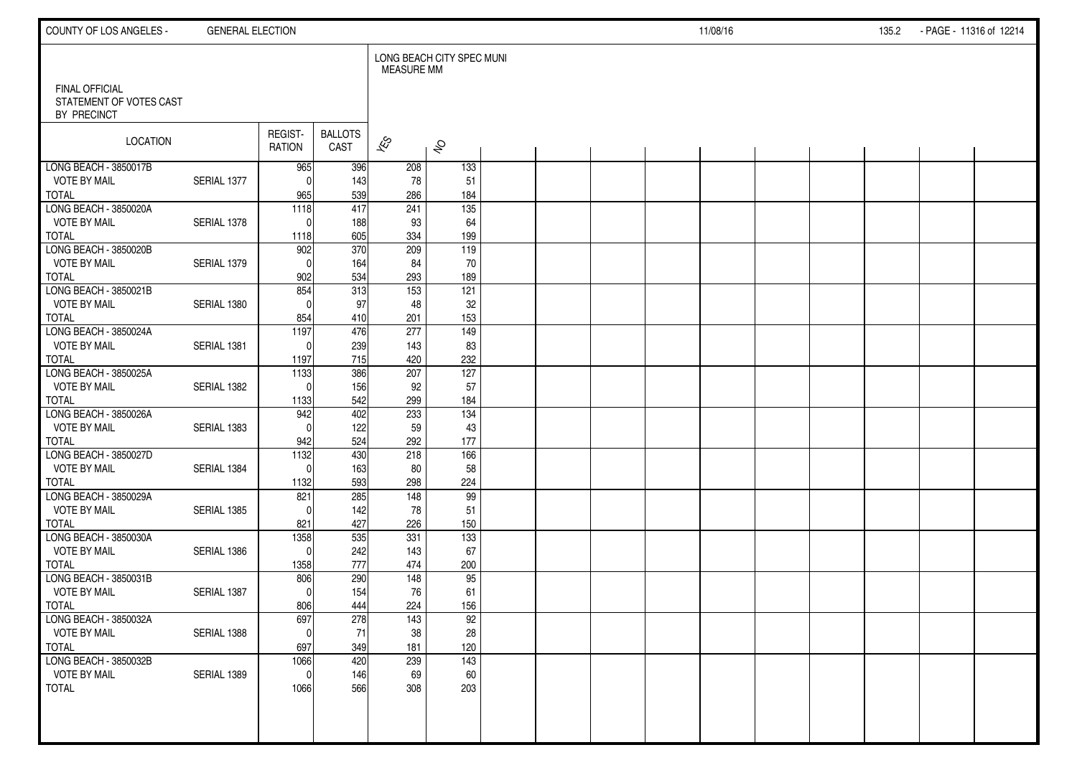| COUNTY OF LOS ANGELES -                      | <b>GENERAL ELECTION</b> |                   |                        |                   |                           |  |  | 11/08/16 |  | 135.2 | - PAGE - 11316 of 12214 |  |
|----------------------------------------------|-------------------------|-------------------|------------------------|-------------------|---------------------------|--|--|----------|--|-------|-------------------------|--|
| <b>FINAL OFFICIAL</b>                        |                         |                   |                        | <b>MEASURE MM</b> | LONG BEACH CITY SPEC MUNI |  |  |          |  |       |                         |  |
| STATEMENT OF VOTES CAST<br>BY PRECINCT       |                         |                   |                        |                   |                           |  |  |          |  |       |                         |  |
| <b>LOCATION</b>                              |                         | REGIST-<br>RATION | <b>BALLOTS</b><br>CAST | $\approx$         | $\hat{\mathcal{S}}$       |  |  |          |  |       |                         |  |
| LONG BEACH - 3850017B                        |                         | 965               | 396                    | 208               | 133                       |  |  |          |  |       |                         |  |
| <b>VOTE BY MAIL</b><br><b>TOTAL</b>          | SERIAL 1377             | $\Omega$<br>965   | 143<br>539             | 78<br>286         | 51<br>184                 |  |  |          |  |       |                         |  |
| LONG BEACH - 3850020A                        |                         | $\overline{1118}$ | 417                    | 241               | $\overline{135}$          |  |  |          |  |       |                         |  |
| <b>VOTE BY MAIL</b>                          | SERIAL 1378             | $\Omega$          | 188                    | 93                | 64                        |  |  |          |  |       |                         |  |
| <b>TOTAL</b>                                 |                         | 1118              | 605                    | 334               | 199                       |  |  |          |  |       |                         |  |
| LONG BEACH - 3850020B                        |                         | 902               | 370                    | 209               | 119                       |  |  |          |  |       |                         |  |
| <b>VOTE BY MAIL</b>                          | SERIAL 1379             | $\Omega$          | 164                    | 84                | 70                        |  |  |          |  |       |                         |  |
| <b>TOTAL</b>                                 |                         | 902               | 534                    | 293               | 189                       |  |  |          |  |       |                         |  |
| LONG BEACH - 3850021B                        |                         | 854               | 313                    | $\overline{153}$  | 121                       |  |  |          |  |       |                         |  |
| <b>VOTE BY MAIL</b>                          | SERIAL 1380             | $\Omega$          | 97                     | 48                | 32<br>153                 |  |  |          |  |       |                         |  |
| <b>TOTAL</b><br>LONG BEACH - 3850024A        |                         | 854<br>1197       | 410<br>476             | 201<br>277        | 149                       |  |  |          |  |       |                         |  |
| <b>VOTE BY MAIL</b>                          | SERIAL 1381             | $\Omega$          | 239                    | 143               | 83                        |  |  |          |  |       |                         |  |
| <b>TOTAL</b>                                 |                         | 1197              | 715                    | 420               | 232                       |  |  |          |  |       |                         |  |
| LONG BEACH - 3850025A                        |                         | 1133              | 386                    | 207               | 127                       |  |  |          |  |       |                         |  |
| <b>VOTE BY MAIL</b>                          | SERIAL 1382             | $\Omega$          | 156                    | 92                | 57                        |  |  |          |  |       |                         |  |
| <b>TOTAL</b>                                 |                         | 1133              | 542                    | 299               | 184                       |  |  |          |  |       |                         |  |
| LONG BEACH - 3850026A                        |                         | 942               | 402                    | 233               | 134                       |  |  |          |  |       |                         |  |
| <b>VOTE BY MAIL</b>                          | SERIAL 1383             | $\Omega$          | 122                    | 59                | 43                        |  |  |          |  |       |                         |  |
| <b>TOTAL</b>                                 |                         | 942               | 524                    | 292               | 177                       |  |  |          |  |       |                         |  |
| LONG BEACH - 3850027D<br><b>VOTE BY MAIL</b> | SERIAL 1384             | 1132<br>$\Omega$  | 430<br>163             | 218               | 166<br>58                 |  |  |          |  |       |                         |  |
| <b>TOTAL</b>                                 |                         | 1132              | 593                    | 80<br>298         | 224                       |  |  |          |  |       |                         |  |
| LONG BEACH - 3850029A                        |                         | 821               | 285                    | 148               | 99                        |  |  |          |  |       |                         |  |
| <b>VOTE BY MAIL</b>                          | SERIAL 1385             | $\Omega$          | 142                    | 78                | 51                        |  |  |          |  |       |                         |  |
| <b>TOTAL</b>                                 |                         | 821               | 427                    | 226               | 150                       |  |  |          |  |       |                         |  |
| LONG BEACH - 3850030A                        |                         | 1358              | 535                    | 331               | $\overline{133}$          |  |  |          |  |       |                         |  |
| <b>VOTE BY MAIL</b>                          | SERIAL 1386             | $\Omega$          | 242                    | 143               | 67                        |  |  |          |  |       |                         |  |
| <b>TOTAL</b>                                 |                         | 1358              | 777                    | 474               | 200                       |  |  |          |  |       |                         |  |
| LONG BEACH - 3850031B                        |                         | 806               | 290                    | 148               | 95                        |  |  |          |  |       |                         |  |
| <b>VOTE BY MAIL</b><br><b>TOTAL</b>          | SERIAL 1387             | $\Omega$          | 154<br>444             | 76                | 61                        |  |  |          |  |       |                         |  |
| LONG BEACH - 3850032A                        |                         | 806<br>697        | 278                    | 224<br>143        | 156<br>92                 |  |  |          |  |       |                         |  |
| <b>VOTE BY MAIL</b>                          | SERIAL 1388             | $\overline{0}$    | 71                     | $38\,$            | $28\,$                    |  |  |          |  |       |                         |  |
| <b>TOTAL</b>                                 |                         | 697               | 349                    | 181               | 120                       |  |  |          |  |       |                         |  |
| LONG BEACH - 3850032B                        |                         | 1066              | 420                    | 239               | 143                       |  |  |          |  |       |                         |  |
| <b>VOTE BY MAIL</b>                          | SERIAL 1389             | $\mathbf{0}$      | 146                    | 69                | 60                        |  |  |          |  |       |                         |  |
| <b>TOTAL</b>                                 |                         | 1066              | 566                    | 308               | 203                       |  |  |          |  |       |                         |  |
|                                              |                         |                   |                        |                   |                           |  |  |          |  |       |                         |  |
|                                              |                         |                   |                        |                   |                           |  |  |          |  |       |                         |  |
|                                              |                         |                   |                        |                   |                           |  |  |          |  |       |                         |  |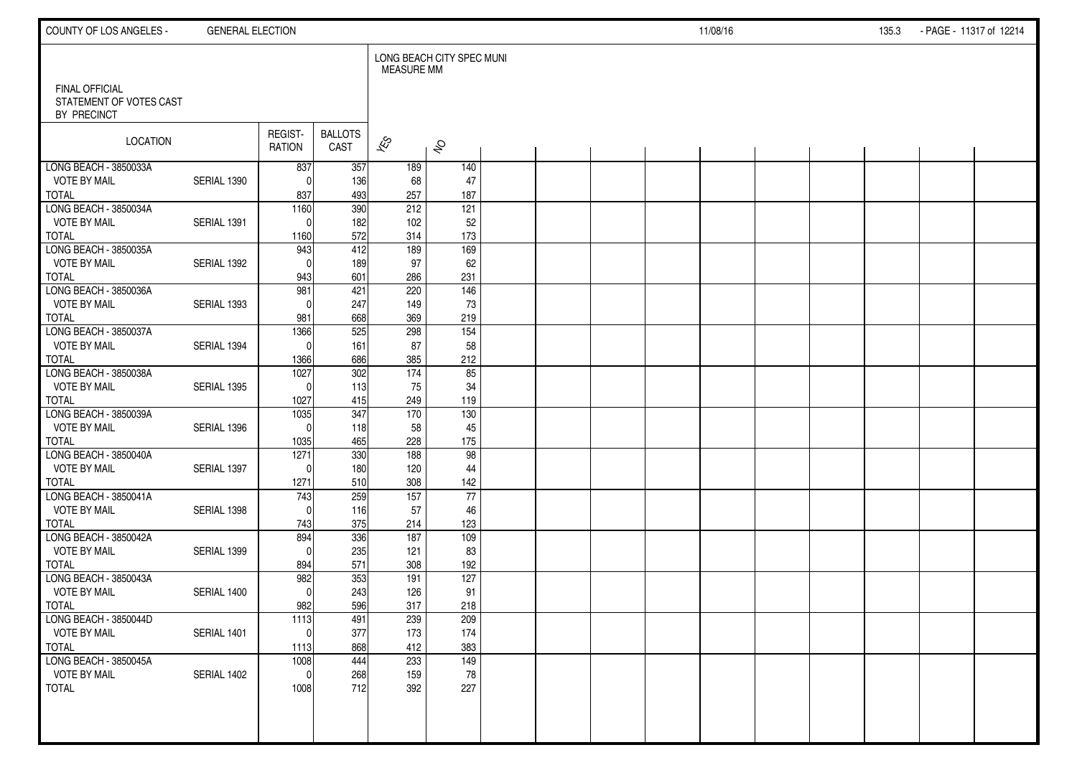| COUNTY OF LOS ANGELES -                                         | <b>GENERAL ELECTION</b> |                          |                        |                          |                           |  |  | 11/08/16 |  | 135.3 | - PAGE - 11317 of 12214 |  |
|-----------------------------------------------------------------|-------------------------|--------------------------|------------------------|--------------------------|---------------------------|--|--|----------|--|-------|-------------------------|--|
|                                                                 |                         |                          |                        | <b>MEASURE MM</b>        | LONG BEACH CITY SPEC MUNI |  |  |          |  |       |                         |  |
| <b>FINAL OFFICIAL</b><br>STATEMENT OF VOTES CAST<br>BY PRECINCT |                         |                          |                        |                          |                           |  |  |          |  |       |                         |  |
| LOCATION                                                        |                         | REGIST-<br><b>RATION</b> | <b>BALLOTS</b><br>CAST | $\overline{\mathscr{E}}$ | $\hat{\mathcal{S}}$       |  |  |          |  |       |                         |  |
| LONG BEACH - 3850033A                                           |                         | 837                      | 357                    | 189                      | 140                       |  |  |          |  |       |                         |  |
| <b>VOTE BY MAIL</b>                                             | SERIAL 1390             | $\Omega$                 | 136                    | 68                       | 47                        |  |  |          |  |       |                         |  |
| <b>TOTAL</b><br>LONG BEACH - 3850034A                           |                         | 837<br>1160              | 493<br>390             | 257<br>212               | 187<br>121                |  |  |          |  |       |                         |  |
| <b>VOTE BY MAIL</b>                                             | SERIAL 1391             | $\mathbf{0}$             | 182                    | 102                      | 52                        |  |  |          |  |       |                         |  |
| <b>TOTAL</b>                                                    |                         | 1160                     | 572                    | 314                      | 173                       |  |  |          |  |       |                         |  |
| LONG BEACH - 3850035A                                           |                         | 943                      | 412                    | 189                      | 169                       |  |  |          |  |       |                         |  |
| <b>VOTE BY MAIL</b>                                             | SERIAL 1392             | $\mathbf{0}$             | 189                    | 97                       | 62                        |  |  |          |  |       |                         |  |
| <b>TOTAL</b>                                                    |                         | 943                      | 601                    | 286                      | 231                       |  |  |          |  |       |                         |  |
| LONG BEACH - 3850036A                                           |                         | 981                      | 421                    | 220                      | 146                       |  |  |          |  |       |                         |  |
| <b>VOTE BY MAIL</b>                                             | SERIAL 1393             | $\Omega$                 | 247                    | 149                      | 73                        |  |  |          |  |       |                         |  |
| <b>TOTAL</b>                                                    |                         | 981                      | 668                    | 369                      | 219                       |  |  |          |  |       |                         |  |
| LONG BEACH - 3850037A                                           |                         | 1366                     | 525                    | 298                      | 154                       |  |  |          |  |       |                         |  |
| <b>VOTE BY MAIL</b>                                             | SERIAL 1394             | $\Omega$                 | 161                    | 87                       | 58                        |  |  |          |  |       |                         |  |
| <b>TOTAL</b>                                                    |                         | 1366                     | 686<br>302             | 385                      | 212<br>85                 |  |  |          |  |       |                         |  |
| LONG BEACH - 3850038A<br><b>VOTE BY MAIL</b>                    | SERIAL 1395             | 1027<br>$\Omega$         | 113                    | 174<br>75                | 34                        |  |  |          |  |       |                         |  |
| <b>TOTAL</b>                                                    |                         | 1027                     | 415                    | 249                      | 119                       |  |  |          |  |       |                         |  |
| LONG BEACH - 3850039A                                           |                         | 1035                     | 347                    | 170                      | 130                       |  |  |          |  |       |                         |  |
| <b>VOTE BY MAIL</b>                                             | SERIAL 1396             | $\Omega$                 | 118                    | 58                       | 45                        |  |  |          |  |       |                         |  |
| <b>TOTAL</b>                                                    |                         | 1035                     | 465                    | 228                      | 175                       |  |  |          |  |       |                         |  |
| LONG BEACH - 3850040A                                           |                         | 1271                     | 330                    | 188                      | 98                        |  |  |          |  |       |                         |  |
| <b>VOTE BY MAIL</b>                                             | SERIAL 1397             | $\Omega$                 | 180                    | 120                      | 44                        |  |  |          |  |       |                         |  |
| <b>TOTAL</b>                                                    |                         | 1271                     | 510                    | 308                      | 142                       |  |  |          |  |       |                         |  |
| LONG BEACH - 3850041A                                           |                         | 743                      | 259                    | 157                      | 77                        |  |  |          |  |       |                         |  |
| <b>VOTE BY MAIL</b>                                             | SERIAL 1398             | $\Omega$                 | 116                    | 57                       | 46                        |  |  |          |  |       |                         |  |
| <b>TOTAL</b>                                                    |                         | 743                      | 375                    | 214                      | 123                       |  |  |          |  |       |                         |  |
| LONG BEACH - 3850042A                                           |                         | 894                      | 336                    | 187                      | 109                       |  |  |          |  |       |                         |  |
| <b>VOTE BY MAIL</b><br><b>TOTAL</b>                             | SERIAL 1399             | $\Omega$<br>894          | 235<br>571             | 121<br>308               | 83<br>192                 |  |  |          |  |       |                         |  |
| LONG BEACH - 3850043A                                           |                         | 982                      | 353                    | 191                      | 127                       |  |  |          |  |       |                         |  |
| <b>VOTE BY MAIL</b>                                             | SERIAL 1400             | $\mathbf 0$              | 243                    | 126                      | 91                        |  |  |          |  |       |                         |  |
| <b>TOTAL</b>                                                    |                         | 982                      | 596                    | 317                      | 218                       |  |  |          |  |       |                         |  |
| LONG BEACH - 3850044D                                           |                         | 1113                     | 491                    | 239                      | 209                       |  |  |          |  |       |                         |  |
| <b>VOTE BY MAIL</b>                                             | SERIAL 1401             | $\overline{0}$           | 377                    | 173                      | 174                       |  |  |          |  |       |                         |  |
| <b>TOTAL</b>                                                    |                         | 1113                     | 868                    | 412                      | 383                       |  |  |          |  |       |                         |  |
| LONG BEACH - 3850045A                                           |                         | 1008                     | 444                    | 233                      | 149                       |  |  |          |  |       |                         |  |
| <b>VOTE BY MAIL</b>                                             | SERIAL 1402             | $\mathbf 0$              | 268                    | 159                      | 78                        |  |  |          |  |       |                         |  |
| <b>TOTAL</b>                                                    |                         | 1008                     | 712                    | 392                      | 227                       |  |  |          |  |       |                         |  |
|                                                                 |                         |                          |                        |                          |                           |  |  |          |  |       |                         |  |
|                                                                 |                         |                          |                        |                          |                           |  |  |          |  |       |                         |  |
|                                                                 |                         |                          |                        |                          |                           |  |  |          |  |       |                         |  |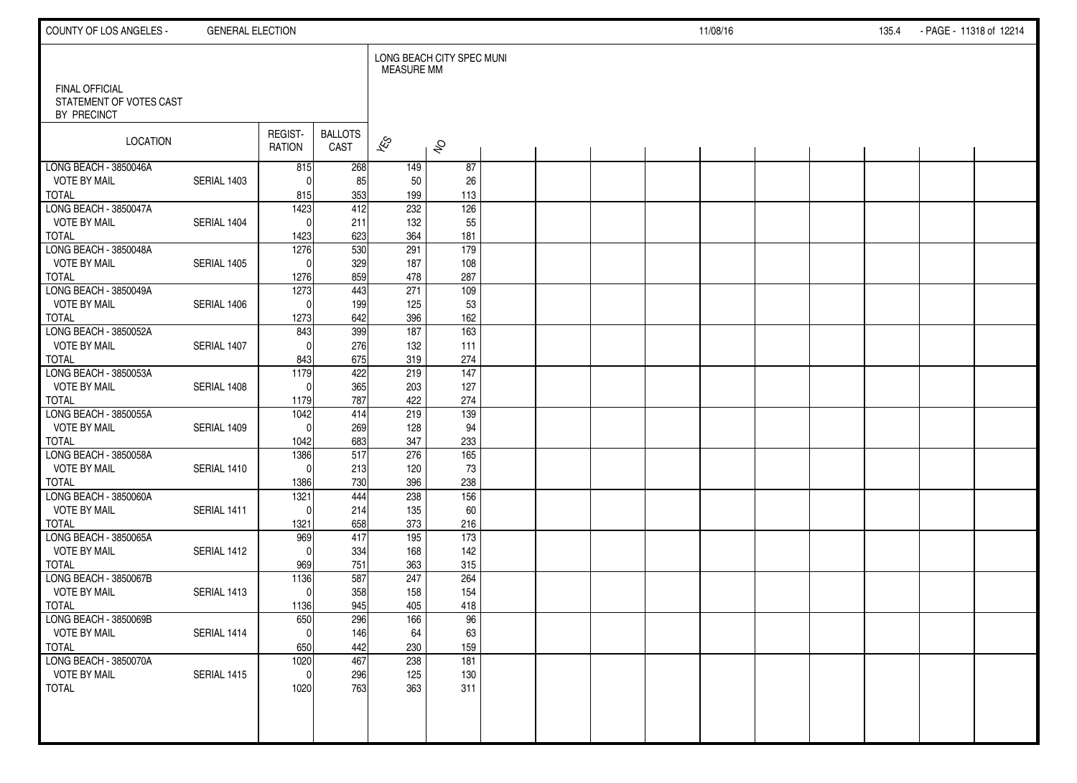| COUNTY OF LOS ANGELES -                          | <b>GENERAL ELECTION</b> |                   |                        |                   |                           |  |  | 11/08/16 |  | 135.4 | - PAGE - 11318 of 12214 |  |
|--------------------------------------------------|-------------------------|-------------------|------------------------|-------------------|---------------------------|--|--|----------|--|-------|-------------------------|--|
| <b>FINAL OFFICIAL</b><br>STATEMENT OF VOTES CAST |                         |                   |                        | <b>MEASURE MM</b> | LONG BEACH CITY SPEC MUNI |  |  |          |  |       |                         |  |
| BY PRECINCT                                      |                         |                   |                        |                   |                           |  |  |          |  |       |                         |  |
| <b>LOCATION</b>                                  |                         | REGIST-<br>RATION | <b>BALLOTS</b><br>CAST | $\approx$         | $\hat{\mathcal{S}}$       |  |  |          |  |       |                         |  |
| LONG BEACH - 3850046A                            |                         | 815               | 268                    | 149               | 87                        |  |  |          |  |       |                         |  |
| <b>VOTE BY MAIL</b><br><b>TOTAL</b>              | SERIAL 1403             | $\Omega$<br>815   | 85<br>353              | 50<br>199         | 26<br>113                 |  |  |          |  |       |                         |  |
| LONG BEACH - 3850047A                            |                         | 1423              | 412                    | 232               | 126                       |  |  |          |  |       |                         |  |
| <b>VOTE BY MAIL</b>                              | SERIAL 1404             | $\mathbf{0}$      | 211                    | 132               | 55                        |  |  |          |  |       |                         |  |
| <b>TOTAL</b>                                     |                         | 1423              | 623                    | 364               | 181                       |  |  |          |  |       |                         |  |
| LONG BEACH - 3850048A                            |                         | 1276              | 530                    | 291               | 179                       |  |  |          |  |       |                         |  |
| <b>VOTE BY MAIL</b>                              | SERIAL 1405             | $\Omega$          | 329                    | 187               | 108                       |  |  |          |  |       |                         |  |
| <b>TOTAL</b><br>LONG BEACH - 3850049A            |                         | 1276<br>1273      | 859<br>443             | 478<br>271        | 287<br>109                |  |  |          |  |       |                         |  |
| <b>VOTE BY MAIL</b>                              | SERIAL 1406             | $\Omega$          | 199                    | 125               | 53                        |  |  |          |  |       |                         |  |
| <b>TOTAL</b>                                     |                         | 1273              | 642                    | 396               | 162                       |  |  |          |  |       |                         |  |
| LONG BEACH - 3850052A                            |                         | 843               | 399                    | 187               | 163                       |  |  |          |  |       |                         |  |
| <b>VOTE BY MAIL</b>                              | SERIAL 1407             | $\Omega$          | 276                    | 132               | 111                       |  |  |          |  |       |                         |  |
| <b>TOTAL</b>                                     |                         | 843<br>1179       | 675<br>422             | 319               | 274<br>$\frac{147}{147}$  |  |  |          |  |       |                         |  |
| LONG BEACH - 3850053A<br><b>VOTE BY MAIL</b>     | SERIAL 1408             | $\Omega$          | 365                    | 219<br>203        | 127                       |  |  |          |  |       |                         |  |
| <b>TOTAL</b>                                     |                         | 1179              | 787                    | 422               | 274                       |  |  |          |  |       |                         |  |
| LONG BEACH - 3850055A                            |                         | 1042              | 414                    | 219               | 139                       |  |  |          |  |       |                         |  |
| <b>VOTE BY MAIL</b>                              | SERIAL 1409             | $\Omega$          | 269                    | 128               | 94                        |  |  |          |  |       |                         |  |
| <b>TOTAL</b>                                     |                         | 1042              | 683                    | 347               | 233                       |  |  |          |  |       |                         |  |
| LONG BEACH - 3850058A<br><b>VOTE BY MAIL</b>     | SERIAL 1410             | 1386<br>$\Omega$  | 517                    | 276<br>120        | 165<br>73                 |  |  |          |  |       |                         |  |
| <b>TOTAL</b>                                     |                         | 1386              | 213<br>730             | 396               | 238                       |  |  |          |  |       |                         |  |
| LONG BEACH - 3850060A                            |                         | 1321              | 444                    | 238               | 156                       |  |  |          |  |       |                         |  |
| <b>VOTE BY MAIL</b>                              | SERIAL 1411             | $\Omega$          | 214                    | 135               | 60                        |  |  |          |  |       |                         |  |
| <b>TOTAL</b>                                     |                         | 1321              | 658                    | 373               | 216                       |  |  |          |  |       |                         |  |
| LONG BEACH - 3850065A                            |                         | 969               | 417                    | 195               | $\overline{173}$          |  |  |          |  |       |                         |  |
| <b>VOTE BY MAIL</b><br><b>TOTAL</b>              | SERIAL 1412             | $\Omega$<br>969   | 334<br>751             | 168<br>363        | 142<br>315                |  |  |          |  |       |                         |  |
| LONG BEACH - 3850067B                            |                         | 1136              | 587                    | 247               | 264                       |  |  |          |  |       |                         |  |
| <b>VOTE BY MAIL</b>                              | SERIAL 1413             | $\Omega$          | 358                    | 158               | 154                       |  |  |          |  |       |                         |  |
| <b>TOTAL</b>                                     |                         | 1136              | 945                    | 405               | 418                       |  |  |          |  |       |                         |  |
| LONG BEACH - 3850069B                            |                         | 650               | 296                    | 166               | 96                        |  |  |          |  |       |                         |  |
| <b>VOTE BY MAIL</b>                              | SERIAL 1414             | 0                 | 146                    | 64                | 63                        |  |  |          |  |       |                         |  |
| <b>TOTAL</b><br>LONG BEACH - 3850070A            |                         | 650<br>1020       | 442<br>467             | 230<br>238        | 159<br>181                |  |  |          |  |       |                         |  |
| <b>VOTE BY MAIL</b>                              | SERIAL 1415             | $\mathbf 0$       | 296                    | 125               | 130                       |  |  |          |  |       |                         |  |
| <b>TOTAL</b>                                     |                         | 1020              | 763                    | 363               | 311                       |  |  |          |  |       |                         |  |
|                                                  |                         |                   |                        |                   |                           |  |  |          |  |       |                         |  |
|                                                  |                         |                   |                        |                   |                           |  |  |          |  |       |                         |  |
|                                                  |                         |                   |                        |                   |                           |  |  |          |  |       |                         |  |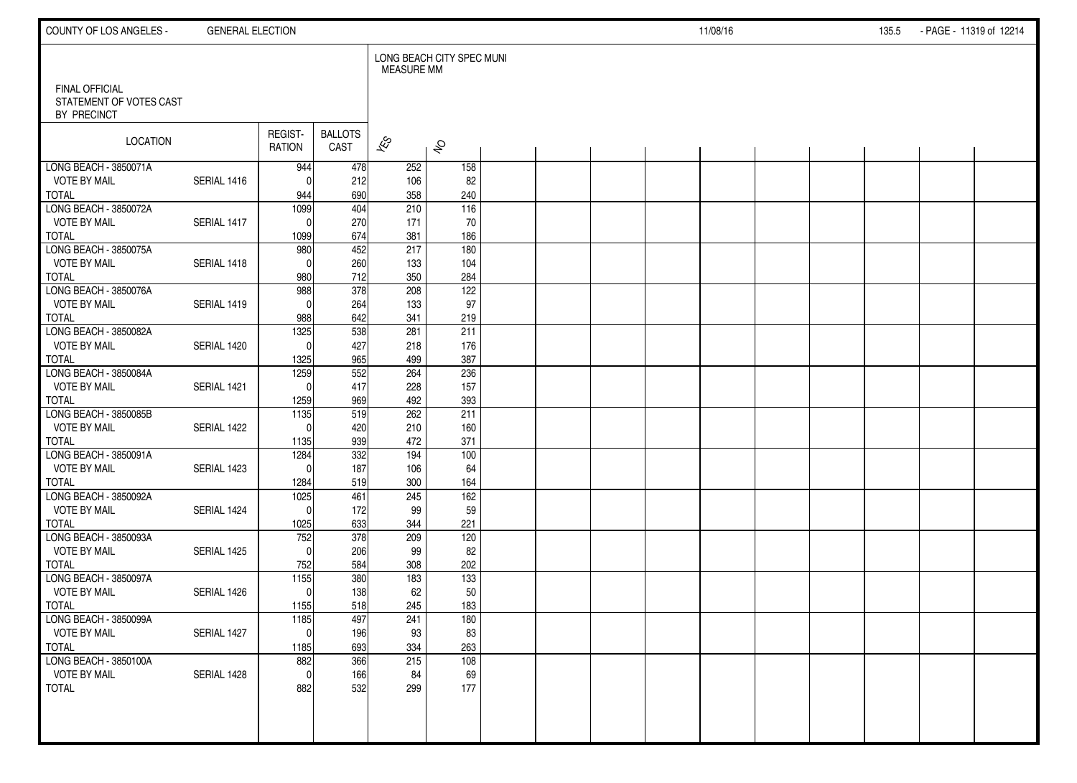| COUNTY OF LOS ANGELES -                                         | <b>GENERAL ELECTION</b> |                          |                        |                          |                           |  |  | 11/08/16 |  | 135.5 | - PAGE - 11319 of 12214 |  |
|-----------------------------------------------------------------|-------------------------|--------------------------|------------------------|--------------------------|---------------------------|--|--|----------|--|-------|-------------------------|--|
|                                                                 |                         |                          |                        | <b>MEASURE MM</b>        | LONG BEACH CITY SPEC MUNI |  |  |          |  |       |                         |  |
| <b>FINAL OFFICIAL</b><br>STATEMENT OF VOTES CAST<br>BY PRECINCT |                         |                          |                        |                          |                           |  |  |          |  |       |                         |  |
| LOCATION                                                        |                         | REGIST-<br><b>RATION</b> | <b>BALLOTS</b><br>CAST | $\overline{\mathscr{E}}$ | $\hat{\mathcal{S}}$       |  |  |          |  |       |                         |  |
| LONG BEACH - 3850071A                                           |                         | 944                      | 478                    | 252                      | 158                       |  |  |          |  |       |                         |  |
| <b>VOTE BY MAIL</b>                                             | SERIAL 1416             | $\Omega$                 | 212                    | 106                      | 82                        |  |  |          |  |       |                         |  |
| <b>TOTAL</b><br>LONG BEACH - 3850072A                           |                         | 944<br>1099              | 690<br>404             | 358<br>210               | 240<br>$\overline{116}$   |  |  |          |  |       |                         |  |
| <b>VOTE BY MAIL</b>                                             | SERIAL 1417             | $\mathbf 0$              | 270                    | 171                      | 70                        |  |  |          |  |       |                         |  |
| <b>TOTAL</b>                                                    |                         | 1099                     | 674                    | 381                      | 186                       |  |  |          |  |       |                         |  |
| LONG BEACH - 3850075A                                           |                         | 980                      | 452                    | 217                      | 180                       |  |  |          |  |       |                         |  |
| <b>VOTE BY MAIL</b>                                             | SERIAL 1418             | $\mathbf{0}$             | 260                    | 133                      | 104                       |  |  |          |  |       |                         |  |
| <b>TOTAL</b>                                                    |                         | 980                      | 712                    | 350                      | 284                       |  |  |          |  |       |                         |  |
| LONG BEACH - 3850076A                                           |                         | 988                      | $\overline{378}$       | 208                      | 122                       |  |  |          |  |       |                         |  |
| <b>VOTE BY MAIL</b>                                             | SERIAL 1419             | $\Omega$                 | 264                    | 133                      | 97                        |  |  |          |  |       |                         |  |
| <b>TOTAL</b>                                                    |                         | 988                      | 642                    | 341                      | 219                       |  |  |          |  |       |                         |  |
| LONG BEACH - 3850082A                                           |                         | 1325                     | 538                    | 281                      | 211                       |  |  |          |  |       |                         |  |
| <b>VOTE BY MAIL</b>                                             | SERIAL 1420             | $\Omega$                 | 427                    | 218                      | 176                       |  |  |          |  |       |                         |  |
| <b>TOTAL</b>                                                    |                         | 1325                     | 965                    | 499                      | 387                       |  |  |          |  |       |                         |  |
| LONG BEACH - 3850084A<br><b>VOTE BY MAIL</b>                    | SERIAL 1421             | 1259<br>$\Omega$         | 552<br>417             | 264<br>228               | 236<br>157                |  |  |          |  |       |                         |  |
| <b>TOTAL</b>                                                    |                         | 1259                     | 969                    | 492                      | 393                       |  |  |          |  |       |                         |  |
| LONG BEACH - 3850085B                                           |                         | 1135                     | 519                    | 262                      | 211                       |  |  |          |  |       |                         |  |
| <b>VOTE BY MAIL</b>                                             | SERIAL 1422             | $\Omega$                 | 420                    | 210                      | 160                       |  |  |          |  |       |                         |  |
| <b>TOTAL</b>                                                    |                         | 1135                     | 939                    | 472                      | 371                       |  |  |          |  |       |                         |  |
| LONG BEACH - 3850091A                                           |                         | 1284                     | 332                    | 194                      | 100                       |  |  |          |  |       |                         |  |
| <b>VOTE BY MAIL</b>                                             | SERIAL 1423             | $\Omega$                 | 187                    | 106                      | 64                        |  |  |          |  |       |                         |  |
| <b>TOTAL</b>                                                    |                         | 1284                     | 519                    | 300                      | 164                       |  |  |          |  |       |                         |  |
| LONG BEACH - 3850092A                                           |                         | 1025                     | 461                    | 245                      | 162                       |  |  |          |  |       |                         |  |
| <b>VOTE BY MAIL</b>                                             | SERIAL 1424             | $\Omega$                 | 172                    | 99                       | 59                        |  |  |          |  |       |                         |  |
| <b>TOTAL</b>                                                    |                         | 1025                     | 633                    | 344                      | 221                       |  |  |          |  |       |                         |  |
| LONG BEACH - 3850093A                                           |                         | 752                      | 378                    | 209                      | 120                       |  |  |          |  |       |                         |  |
| <b>VOTE BY MAIL</b><br><b>TOTAL</b>                             | SERIAL 1425             | $\Omega$<br>752          | 206<br>584             | 99<br>308                | 82<br>202                 |  |  |          |  |       |                         |  |
| LONG BEACH - 3850097A                                           |                         | 1155                     | 380                    | 183                      | 133                       |  |  |          |  |       |                         |  |
| <b>VOTE BY MAIL</b>                                             | SERIAL 1426             | $\mathbf 0$              | 138                    | 62                       | 50                        |  |  |          |  |       |                         |  |
| <b>TOTAL</b>                                                    |                         | 1155                     | 518                    | 245                      | 183                       |  |  |          |  |       |                         |  |
| LONG BEACH - 3850099A                                           |                         | 1185                     | 497                    | 241                      | 180                       |  |  |          |  |       |                         |  |
| <b>VOTE BY MAIL</b>                                             | SERIAL 1427             | $\pmb{0}$                | 196                    | 93                       | 83                        |  |  |          |  |       |                         |  |
| <b>TOTAL</b>                                                    |                         | 1185                     | 693                    | 334                      | 263                       |  |  |          |  |       |                         |  |
| LONG BEACH - 3850100A                                           |                         | 882                      | 366                    | 215                      | 108                       |  |  |          |  |       |                         |  |
| <b>VOTE BY MAIL</b>                                             | SERIAL 1428             | $\mathbf 0$              | 166                    | 84                       | 69                        |  |  |          |  |       |                         |  |
| <b>TOTAL</b>                                                    |                         | 882                      | 532                    | 299                      | 177                       |  |  |          |  |       |                         |  |
|                                                                 |                         |                          |                        |                          |                           |  |  |          |  |       |                         |  |
|                                                                 |                         |                          |                        |                          |                           |  |  |          |  |       |                         |  |
|                                                                 |                         |                          |                        |                          |                           |  |  |          |  |       |                         |  |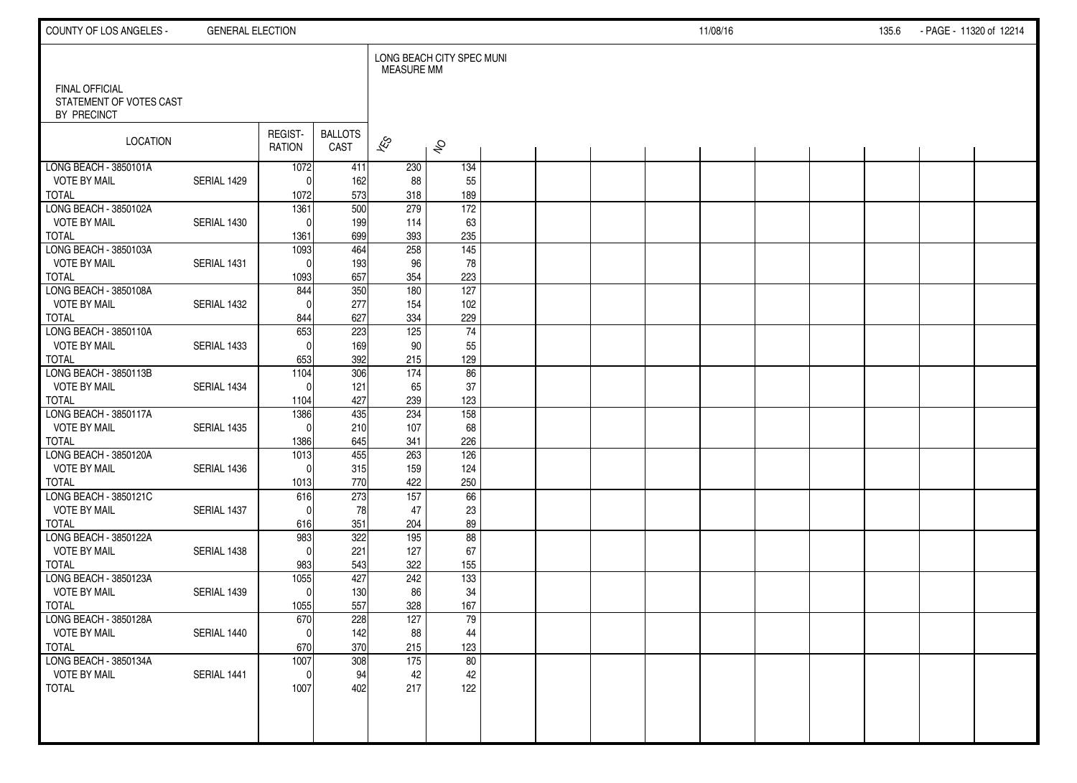| COUNTY OF LOS ANGELES -                                         | <b>GENERAL ELECTION</b> |                          |                        |                          |                           |  |  | 11/08/16 |  | 135.6 | - PAGE - 11320 of 12214 |  |
|-----------------------------------------------------------------|-------------------------|--------------------------|------------------------|--------------------------|---------------------------|--|--|----------|--|-------|-------------------------|--|
|                                                                 |                         |                          |                        | <b>MEASURE MM</b>        | LONG BEACH CITY SPEC MUNI |  |  |          |  |       |                         |  |
| <b>FINAL OFFICIAL</b><br>STATEMENT OF VOTES CAST<br>BY PRECINCT |                         |                          |                        |                          |                           |  |  |          |  |       |                         |  |
| LOCATION                                                        |                         | REGIST-<br><b>RATION</b> | <b>BALLOTS</b><br>CAST | $\overline{\mathscr{E}}$ | $\hat{\mathcal{S}}$       |  |  |          |  |       |                         |  |
| LONG BEACH - 3850101A                                           |                         | 1072                     | 411                    | 230                      | 134                       |  |  |          |  |       |                         |  |
| <b>VOTE BY MAIL</b><br><b>TOTAL</b>                             | SERIAL 1429             | 0<br>1072                | 162<br>573             | 88<br>318                | 55<br>189                 |  |  |          |  |       |                         |  |
| LONG BEACH - 3850102A                                           |                         | 1361                     | $\overline{500}$       | $\overline{279}$         | 172                       |  |  |          |  |       |                         |  |
| <b>VOTE BY MAIL</b>                                             | SERIAL 1430             | $\Omega$                 | 199                    | 114                      | 63                        |  |  |          |  |       |                         |  |
| <b>TOTAL</b>                                                    |                         | 1361                     | 699                    | 393                      | 235                       |  |  |          |  |       |                         |  |
| LONG BEACH - 3850103A                                           |                         | 1093                     | 464                    | 258                      | $\frac{145}{ }$           |  |  |          |  |       |                         |  |
| <b>VOTE BY MAIL</b>                                             | SERIAL 1431             | $\mathbf{0}$             | 193                    | 96                       | 78                        |  |  |          |  |       |                         |  |
| <b>TOTAL</b><br>LONG BEACH - 3850108A                           |                         | 1093<br>844              | 657<br>350             | 354<br>180               | 223<br>127                |  |  |          |  |       |                         |  |
| <b>VOTE BY MAIL</b>                                             | SERIAL 1432             | $\Omega$                 | 277                    | 154                      | 102                       |  |  |          |  |       |                         |  |
| <b>TOTAL</b>                                                    |                         | 844                      | 627                    | 334                      | 229                       |  |  |          |  |       |                         |  |
| LONG BEACH - 3850110A                                           |                         | 653                      | 223                    | $\overline{125}$         | $\overline{74}$           |  |  |          |  |       |                         |  |
| <b>VOTE BY MAIL</b>                                             | SERIAL 1433             | $\Omega$                 | 169                    | 90                       | 55                        |  |  |          |  |       |                         |  |
| <b>TOTAL</b>                                                    |                         | 653                      | 392                    | 215                      | 129                       |  |  |          |  |       |                         |  |
| LONG BEACH - 3850113B<br><b>VOTE BY MAIL</b>                    | SERIAL 1434             | 1104<br>$\Omega$         | 306<br>121             | 174<br>65                | 86<br>37                  |  |  |          |  |       |                         |  |
| <b>TOTAL</b>                                                    |                         | 1104                     | 427                    | 239                      | 123                       |  |  |          |  |       |                         |  |
| LONG BEACH - 3850117A                                           |                         | 1386                     | 435                    | 234                      | 158                       |  |  |          |  |       |                         |  |
| <b>VOTE BY MAIL</b>                                             | SERIAL 1435             | $\Omega$                 | 210                    | 107                      | 68                        |  |  |          |  |       |                         |  |
| <b>TOTAL</b>                                                    |                         | 1386                     | 645                    | 341                      | 226                       |  |  |          |  |       |                         |  |
| LONG BEACH - 3850120A                                           |                         | 1013                     | 455                    | 263                      | 126                       |  |  |          |  |       |                         |  |
| <b>VOTE BY MAIL</b><br><b>TOTAL</b>                             | SERIAL 1436             | $\mathbf 0$<br>1013      | 315<br>770             | 159<br>422               | 124<br>250                |  |  |          |  |       |                         |  |
| LONG BEACH - 3850121C                                           |                         | 616                      | 273                    | 157                      | 66                        |  |  |          |  |       |                         |  |
| <b>VOTE BY MAIL</b>                                             | SERIAL 1437             | $\Omega$                 | 78                     | 47                       | 23                        |  |  |          |  |       |                         |  |
| <b>TOTAL</b>                                                    |                         | 616                      | 351                    | 204                      | 89                        |  |  |          |  |       |                         |  |
| LONG BEACH - 3850122A                                           |                         | 983                      | 322                    | 195                      | 88                        |  |  |          |  |       |                         |  |
| <b>VOTE BY MAIL</b>                                             | SERIAL 1438             | $\Omega$                 | 221                    | 127                      | 67                        |  |  |          |  |       |                         |  |
| <b>TOTAL</b>                                                    |                         | 983                      | 543                    | 322                      | 155                       |  |  |          |  |       |                         |  |
| LONG BEACH - 3850123A<br><b>VOTE BY MAIL</b>                    | SERIAL 1439             | 1055<br>$\mathbf 0$      | 427<br>130             | 242<br>86                | 133<br>34                 |  |  |          |  |       |                         |  |
| <b>TOTAL</b>                                                    |                         | 1055                     | 557                    | 328                      | 167                       |  |  |          |  |       |                         |  |
| LONG BEACH - 3850128A                                           |                         | 670                      | 228                    | 127                      | 79                        |  |  |          |  |       |                         |  |
| <b>VOTE BY MAIL</b>                                             | SERIAL 1440             | $\mathbf 0$              | 142                    | 88                       | 44                        |  |  |          |  |       |                         |  |
| <b>TOTAL</b>                                                    |                         | 670                      | 370                    | 215                      | 123                       |  |  |          |  |       |                         |  |
| LONG BEACH - 3850134A                                           |                         | 1007                     | 308                    | $\overline{175}$         | 80                        |  |  |          |  |       |                         |  |
| <b>VOTE BY MAIL</b><br><b>TOTAL</b>                             | SERIAL 1441             | $\mathbf 0$<br>1007      | 94<br>402              | 42<br>217                | 42<br>122                 |  |  |          |  |       |                         |  |
|                                                                 |                         |                          |                        |                          |                           |  |  |          |  |       |                         |  |
|                                                                 |                         |                          |                        |                          |                           |  |  |          |  |       |                         |  |
|                                                                 |                         |                          |                        |                          |                           |  |  |          |  |       |                         |  |
|                                                                 |                         |                          |                        |                          |                           |  |  |          |  |       |                         |  |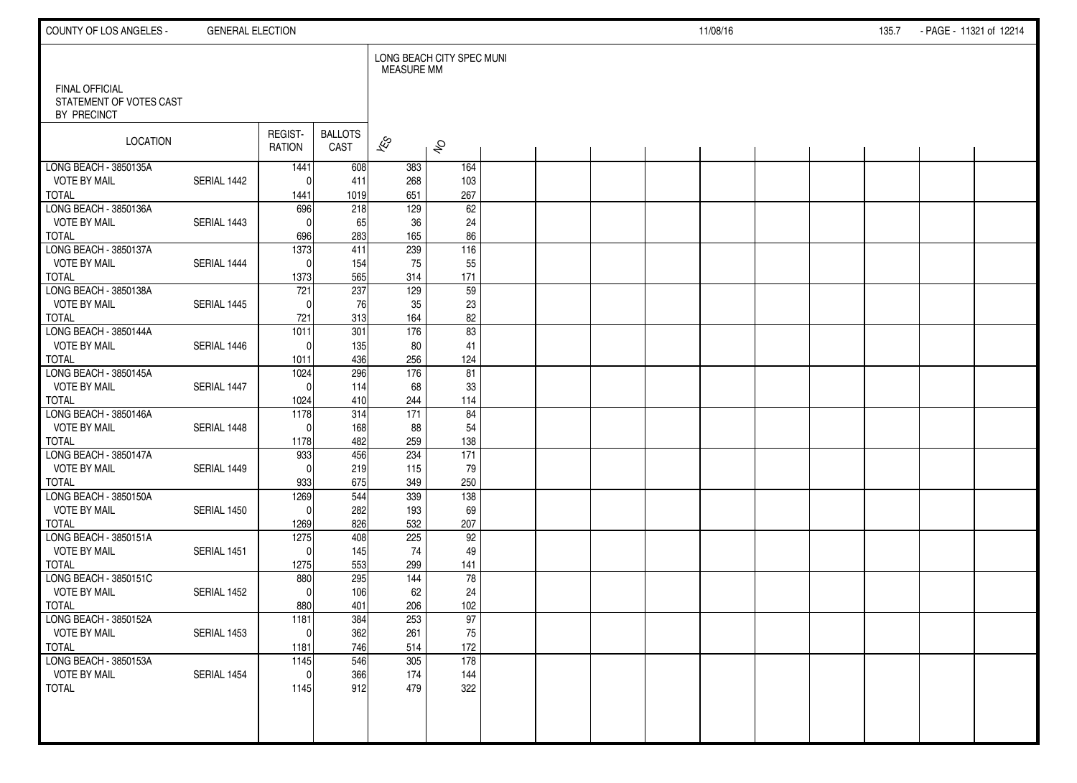| COUNTY OF LOS ANGELES -                      | <b>GENERAL ELECTION</b> |                          |                        |                   |                           |  |  | 11/08/16 |  | 135.7 | - PAGE - 11321 of 12214 |  |
|----------------------------------------------|-------------------------|--------------------------|------------------------|-------------------|---------------------------|--|--|----------|--|-------|-------------------------|--|
| <b>FINAL OFFICIAL</b>                        |                         |                          |                        | <b>MEASURE MM</b> | LONG BEACH CITY SPEC MUNI |  |  |          |  |       |                         |  |
| STATEMENT OF VOTES CAST<br>BY PRECINCT       |                         |                          |                        |                   |                           |  |  |          |  |       |                         |  |
| <b>LOCATION</b>                              |                         | REGIST-<br><b>RATION</b> | <b>BALLOTS</b><br>CAST | $\approx$         | $\hat{\mathcal{S}}$       |  |  |          |  |       |                         |  |
| LONG BEACH - 3850135A<br><b>VOTE BY MAIL</b> | SERIAL 1442             | 1441<br>$\Omega$         | 608<br>411             | 383<br>268        | 164<br>103                |  |  |          |  |       |                         |  |
| <b>TOTAL</b>                                 |                         | 1441                     | 1019                   | 651               | 267                       |  |  |          |  |       |                         |  |
| LONG BEACH - 3850136A                        |                         | 696                      | 218                    | 129               | 62                        |  |  |          |  |       |                         |  |
| <b>VOTE BY MAIL</b>                          | SERIAL 1443             | $\Omega$                 | 65                     | 36                | 24                        |  |  |          |  |       |                         |  |
| <b>TOTAL</b>                                 |                         | 696                      | 283                    | 165               | 86                        |  |  |          |  |       |                         |  |
| LONG BEACH - 3850137A<br><b>VOTE BY MAIL</b> | SERIAL 1444             | 1373<br>$\Omega$         | 411<br>154             | 239<br>75         | 116<br>55                 |  |  |          |  |       |                         |  |
| <b>TOTAL</b>                                 |                         | 1373                     | 565                    | 314               | 171                       |  |  |          |  |       |                         |  |
| LONG BEACH - 3850138A                        |                         | 721                      | 237                    | 129               | 59                        |  |  |          |  |       |                         |  |
| <b>VOTE BY MAIL</b>                          | SERIAL 1445             | $\Omega$                 | 76                     | 35                | 23                        |  |  |          |  |       |                         |  |
| <b>TOTAL</b>                                 |                         | 721                      | 313                    | 164               | 82                        |  |  |          |  |       |                         |  |
| LONG BEACH - 3850144A                        |                         | 1011                     | 301                    | 176               | 83                        |  |  |          |  |       |                         |  |
| <b>VOTE BY MAIL</b>                          | SERIAL 1446             | $\Omega$                 | 135                    | 80                | 41                        |  |  |          |  |       |                         |  |
| <b>TOTAL</b><br>LONG BEACH - 3850145A        |                         | 1011<br>1024             | 436<br>296             | 256<br>176        | 124<br>81                 |  |  |          |  |       |                         |  |
| <b>VOTE BY MAIL</b>                          | SERIAL 1447             | $\Omega$                 | 114                    | 68                | 33                        |  |  |          |  |       |                         |  |
| <b>TOTAL</b>                                 |                         | 1024                     | 410                    | 244               | 114                       |  |  |          |  |       |                         |  |
| LONG BEACH - 3850146A                        |                         | 1178                     | 314                    | 171               | 84                        |  |  |          |  |       |                         |  |
| <b>VOTE BY MAIL</b>                          | SERIAL 1448             | $\Omega$                 | 168                    | 88                | 54                        |  |  |          |  |       |                         |  |
| <b>TOTAL</b>                                 |                         | 1178                     | 482                    | 259               | 138                       |  |  |          |  |       |                         |  |
| LONG BEACH - 3850147A<br><b>VOTE BY MAIL</b> | SERIAL 1449             | 933<br>$\Omega$          | 456<br>219             | 234<br>115        | 171<br>79                 |  |  |          |  |       |                         |  |
| <b>TOTAL</b>                                 |                         | 933                      | 675                    | 349               | 250                       |  |  |          |  |       |                         |  |
| LONG BEACH - 3850150A                        |                         | 1269                     | 544                    | 339               | 138                       |  |  |          |  |       |                         |  |
| <b>VOTE BY MAIL</b>                          | SERIAL 1450             | $\Omega$                 | 282                    | 193               | 69                        |  |  |          |  |       |                         |  |
| <b>TOTAL</b>                                 |                         | 1269                     | 826                    | 532               | 207                       |  |  |          |  |       |                         |  |
| LONG BEACH - 3850151A                        |                         | 1275<br>$\Omega$         | 408                    | 225               | 92                        |  |  |          |  |       |                         |  |
| <b>VOTE BY MAIL</b><br><b>TOTAL</b>          | SERIAL 1451             | 1275                     | 145<br>553             | 74<br>299         | 49<br>141                 |  |  |          |  |       |                         |  |
| LONG BEACH - 3850151C                        |                         | 880                      | 295                    | 144               | 78                        |  |  |          |  |       |                         |  |
| <b>VOTE BY MAIL</b>                          | SERIAL 1452             | $\Omega$                 | 106                    | 62                | 24                        |  |  |          |  |       |                         |  |
| <b>TOTAL</b>                                 |                         | 880                      | 401                    | 206               | 102                       |  |  |          |  |       |                         |  |
| LONG BEACH - 3850152A                        |                         | 1181                     | 384                    | 253               | 97                        |  |  |          |  |       |                         |  |
| <b>VOTE BY MAIL</b>                          | SERIAL 1453             | 0                        | 362                    | 261               | 75                        |  |  |          |  |       |                         |  |
| <b>TOTAL</b><br>LONG BEACH - 3850153A        |                         | 1181<br>1145             | 746<br>546             | 514<br>305        | 172<br>178                |  |  |          |  |       |                         |  |
| <b>VOTE BY MAIL</b>                          | SERIAL 1454             | $\mathbf 0$              | 366                    | 174               | 144                       |  |  |          |  |       |                         |  |
| <b>TOTAL</b>                                 |                         | 1145                     | 912                    | 479               | 322                       |  |  |          |  |       |                         |  |
|                                              |                         |                          |                        |                   |                           |  |  |          |  |       |                         |  |
|                                              |                         |                          |                        |                   |                           |  |  |          |  |       |                         |  |
|                                              |                         |                          |                        |                   |                           |  |  |          |  |       |                         |  |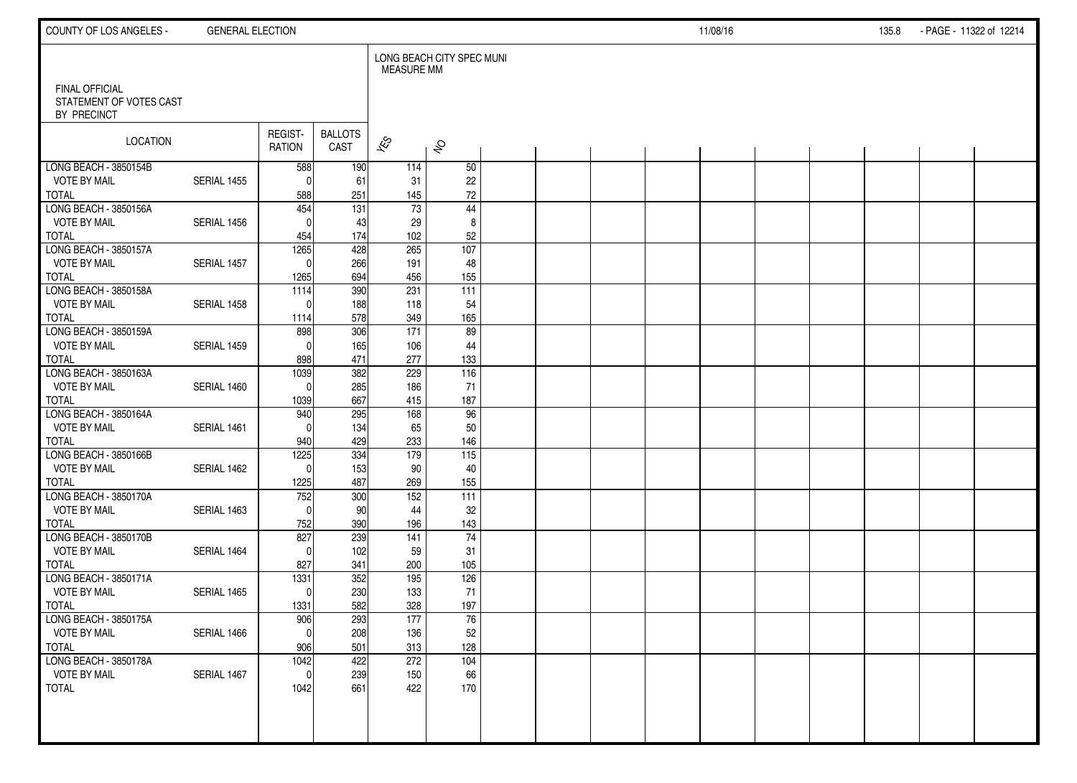| COUNTY OF LOS ANGELES -                                         | <b>GENERAL ELECTION</b> |                          |                        |                          |                           |  |  | 11/08/16 |  | 135.8 | - PAGE - 11322 of 12214 |  |
|-----------------------------------------------------------------|-------------------------|--------------------------|------------------------|--------------------------|---------------------------|--|--|----------|--|-------|-------------------------|--|
|                                                                 |                         |                          |                        | <b>MEASURE MM</b>        | LONG BEACH CITY SPEC MUNI |  |  |          |  |       |                         |  |
| <b>FINAL OFFICIAL</b><br>STATEMENT OF VOTES CAST<br>BY PRECINCT |                         |                          |                        |                          |                           |  |  |          |  |       |                         |  |
| LOCATION                                                        |                         | REGIST-<br><b>RATION</b> | <b>BALLOTS</b><br>CAST | $\overline{\mathscr{E}}$ | $\hat{\mathcal{S}}$       |  |  |          |  |       |                         |  |
| LONG BEACH - 3850154B                                           |                         | 588                      | 190                    | 114                      | 50                        |  |  |          |  |       |                         |  |
| <b>VOTE BY MAIL</b>                                             | SERIAL 1455             | $\Omega$                 | 61                     | 31                       | 22                        |  |  |          |  |       |                         |  |
| <b>TOTAL</b><br>LONG BEACH - 3850156A                           |                         | 588                      | 251                    | 145<br>$\overline{73}$   | $72\,$                    |  |  |          |  |       |                         |  |
| <b>VOTE BY MAIL</b>                                             | SERIAL 1456             | 454<br>$\Omega$          | $\overline{131}$<br>43 | 29                       | 44<br>8                   |  |  |          |  |       |                         |  |
| <b>TOTAL</b>                                                    |                         | 454                      | 174                    | 102                      | 52                        |  |  |          |  |       |                         |  |
| LONG BEACH - 3850157A                                           |                         | 1265                     | 428                    | 265                      | 107                       |  |  |          |  |       |                         |  |
| <b>VOTE BY MAIL</b>                                             | SERIAL 1457             | $\mathbf{0}$             | 266                    | 191                      | 48                        |  |  |          |  |       |                         |  |
| <b>TOTAL</b>                                                    |                         | 1265                     | 694                    | 456                      | 155                       |  |  |          |  |       |                         |  |
| LONG BEACH - 3850158A                                           |                         | 1114                     | 390                    | 231                      | 111                       |  |  |          |  |       |                         |  |
| <b>VOTE BY MAIL</b>                                             | SERIAL 1458             | $\Omega$                 | 188                    | 118                      | 54                        |  |  |          |  |       |                         |  |
| <b>TOTAL</b>                                                    |                         | 1114                     | 578                    | 349                      | 165                       |  |  |          |  |       |                         |  |
| LONG BEACH - 3850159A                                           |                         | 898                      | 306                    | $\overline{171}$         | 89                        |  |  |          |  |       |                         |  |
| <b>VOTE BY MAIL</b>                                             | SERIAL 1459             | $\Omega$                 | 165                    | 106                      | 44                        |  |  |          |  |       |                         |  |
| <b>TOTAL</b>                                                    |                         | 898                      | 471                    | 277                      | 133                       |  |  |          |  |       |                         |  |
| LONG BEACH - 3850163A<br><b>VOTE BY MAIL</b>                    | SERIAL 1460             | 1039                     | 382<br>285             | 229<br>186               | 116                       |  |  |          |  |       |                         |  |
| <b>TOTAL</b>                                                    |                         | $\mathbf 0$<br>1039      | 667                    | 415                      | 71<br>187                 |  |  |          |  |       |                         |  |
| LONG BEACH - 3850164A                                           |                         | 940                      | 295                    | 168                      | 96                        |  |  |          |  |       |                         |  |
| <b>VOTE BY MAIL</b>                                             | SERIAL 1461             | $\Omega$                 | 134                    | 65                       | 50                        |  |  |          |  |       |                         |  |
| <b>TOTAL</b>                                                    |                         | 940                      | 429                    | 233                      | 146                       |  |  |          |  |       |                         |  |
| LONG BEACH - 3850166B                                           |                         | 1225                     | 334                    | 179                      | $\overline{115}$          |  |  |          |  |       |                         |  |
| <b>VOTE BY MAIL</b>                                             | SERIAL 1462             | $\Omega$                 | 153                    | 90                       | 40                        |  |  |          |  |       |                         |  |
| <b>TOTAL</b>                                                    |                         | 1225                     | 487                    | 269                      | 155                       |  |  |          |  |       |                         |  |
| LONG BEACH - 3850170A                                           |                         | 752                      | 300                    | 152                      | 111                       |  |  |          |  |       |                         |  |
| <b>VOTE BY MAIL</b>                                             | SERIAL 1463             | $\Omega$                 | 90                     | 44                       | 32                        |  |  |          |  |       |                         |  |
| <b>TOTAL</b>                                                    |                         | 752                      | 390                    | 196                      | 143                       |  |  |          |  |       |                         |  |
| LONG BEACH - 3850170B                                           |                         | 827                      | 239                    | 141                      | $\overline{74}$           |  |  |          |  |       |                         |  |
| <b>VOTE BY MAIL</b><br><b>TOTAL</b>                             | SERIAL 1464             | $\Omega$<br>827          | 102<br>341             | 59<br>200                | 31<br>105                 |  |  |          |  |       |                         |  |
| LONG BEACH - 3850171A                                           |                         | 1331                     | 352                    | 195                      | 126                       |  |  |          |  |       |                         |  |
| <b>VOTE BY MAIL</b>                                             | SERIAL 1465             | $\mathbf 0$              | 230                    | 133                      | 71                        |  |  |          |  |       |                         |  |
| <b>TOTAL</b>                                                    |                         | 1331                     | 582                    | 328                      | 197                       |  |  |          |  |       |                         |  |
| LONG BEACH - 3850175A                                           |                         | 906                      | 293                    | 177                      | 76                        |  |  |          |  |       |                         |  |
| <b>VOTE BY MAIL</b>                                             | SERIAL 1466             | $\pmb{0}$                | 208                    | 136                      | $52\,$                    |  |  |          |  |       |                         |  |
| <b>TOTAL</b>                                                    |                         | 906                      | 501                    | 313                      | 128                       |  |  |          |  |       |                         |  |
| LONG BEACH - 3850178A                                           |                         | 1042                     | 422                    | 272                      | 104                       |  |  |          |  |       |                         |  |
| <b>VOTE BY MAIL</b>                                             | SERIAL 1467             | $\mathbf 0$              | 239                    | 150                      | 66                        |  |  |          |  |       |                         |  |
| <b>TOTAL</b>                                                    |                         | 1042                     | 661                    | 422                      | 170                       |  |  |          |  |       |                         |  |
|                                                                 |                         |                          |                        |                          |                           |  |  |          |  |       |                         |  |
|                                                                 |                         |                          |                        |                          |                           |  |  |          |  |       |                         |  |
|                                                                 |                         |                          |                        |                          |                           |  |  |          |  |       |                         |  |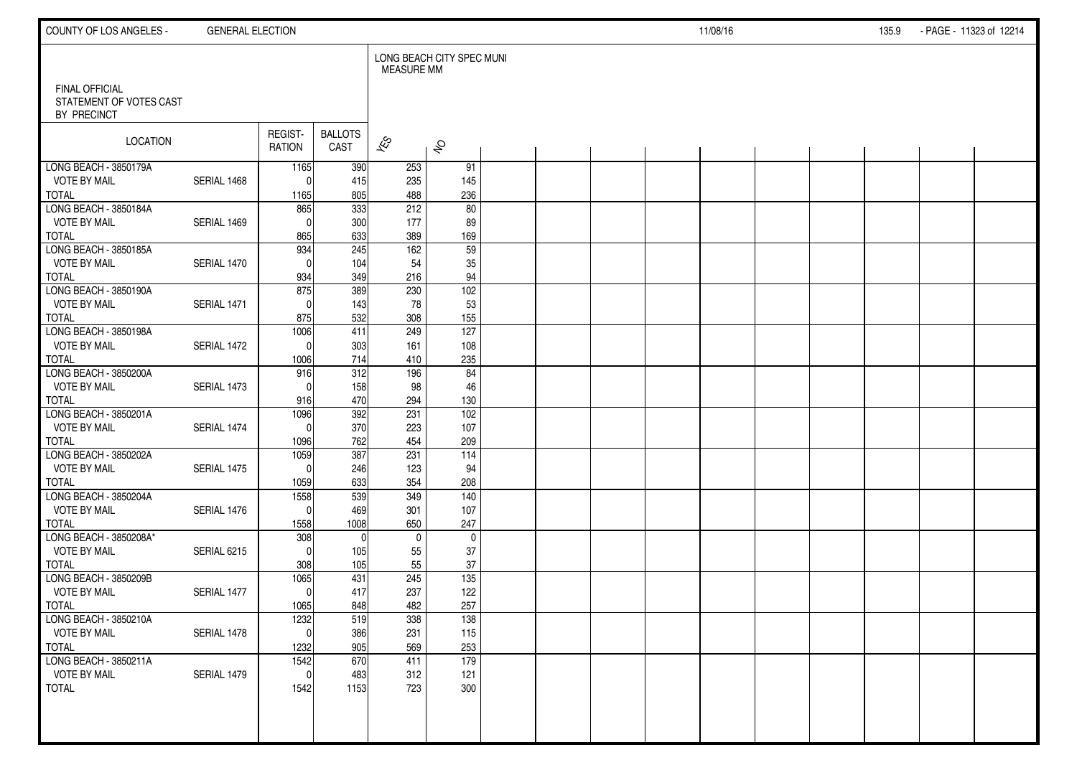| COUNTY OF LOS ANGELES -                          | <b>GENERAL ELECTION</b> |                     |                        |                   |                           |  |  | 11/08/16 |  | 135.9 | - PAGE - 11323 of 12214 |  |
|--------------------------------------------------|-------------------------|---------------------|------------------------|-------------------|---------------------------|--|--|----------|--|-------|-------------------------|--|
| <b>FINAL OFFICIAL</b><br>STATEMENT OF VOTES CAST |                         |                     |                        | <b>MEASURE MM</b> | LONG BEACH CITY SPEC MUNI |  |  |          |  |       |                         |  |
| BY PRECINCT                                      |                         |                     |                        |                   |                           |  |  |          |  |       |                         |  |
| <b>LOCATION</b>                                  |                         | REGIST-<br>RATION   | <b>BALLOTS</b><br>CAST | $\approx$         | $\hat{\mathcal{S}}$       |  |  |          |  |       |                         |  |
| LONG BEACH - 3850179A                            |                         | 1165                | 390                    | 253               | 91                        |  |  |          |  |       |                         |  |
| <b>VOTE BY MAIL</b><br><b>TOTAL</b>              | SERIAL 1468             | $\Omega$<br>1165    | 415<br>805             | 235<br>488        | 145<br>236                |  |  |          |  |       |                         |  |
| LONG BEACH - 3850184A                            |                         | 865                 | $\overline{333}$       | 212               | 80                        |  |  |          |  |       |                         |  |
| <b>VOTE BY MAIL</b>                              | SERIAL 1469             | $\Omega$            | 300                    | 177               | 89                        |  |  |          |  |       |                         |  |
| <b>TOTAL</b>                                     |                         | 865                 | 633                    | 389               | 169                       |  |  |          |  |       |                         |  |
| LONG BEACH - 3850185A                            |                         | 934                 | 245                    | 162               | 59                        |  |  |          |  |       |                         |  |
| <b>VOTE BY MAIL</b>                              | SERIAL 1470             | $\Omega$            | 104                    | 54                | 35                        |  |  |          |  |       |                         |  |
| <b>TOTAL</b><br>LONG BEACH - 3850190A            |                         | 934<br>875          | 349<br>389             | 216<br>230        | 94<br>102                 |  |  |          |  |       |                         |  |
| <b>VOTE BY MAIL</b>                              | SERIAL 1471             | $\Omega$            | 143                    | 78                | 53                        |  |  |          |  |       |                         |  |
| <b>TOTAL</b>                                     |                         | 875                 | 532                    | 308               | 155                       |  |  |          |  |       |                         |  |
| LONG BEACH - 3850198A                            |                         | 1006                | 411                    | 249               | 127                       |  |  |          |  |       |                         |  |
| <b>VOTE BY MAIL</b>                              | SERIAL 1472             | $\Omega$            | 303                    | 161               | 108                       |  |  |          |  |       |                         |  |
| <b>TOTAL</b>                                     |                         | 1006                | 714                    | 410               | 235                       |  |  |          |  |       |                         |  |
| LONG BEACH - 3850200A<br><b>VOTE BY MAIL</b>     | SERIAL 1473             | 916<br>$\Omega$     | 312<br>158             | 196<br>98         | 84<br>46                  |  |  |          |  |       |                         |  |
| <b>TOTAL</b>                                     |                         | 916                 | 470                    | 294               | 130                       |  |  |          |  |       |                         |  |
| LONG BEACH - 3850201A                            |                         | 1096                | 392                    | 231               | 102                       |  |  |          |  |       |                         |  |
| <b>VOTE BY MAIL</b>                              | SERIAL 1474             | $\Omega$            | 370                    | 223               | 107                       |  |  |          |  |       |                         |  |
| <b>TOTAL</b>                                     |                         | 1096                | 762                    | 454               | 209                       |  |  |          |  |       |                         |  |
| LONG BEACH - 3850202A                            |                         | 1059                | 387                    | 231               | $\frac{114}{114}$         |  |  |          |  |       |                         |  |
| <b>VOTE BY MAIL</b><br><b>TOTAL</b>              | SERIAL 1475             | $\Omega$<br>1059    | 246<br>633             | 123<br>354        | 94<br>208                 |  |  |          |  |       |                         |  |
| LONG BEACH - 3850204A                            |                         | 1558                | 539                    | 349               | 140                       |  |  |          |  |       |                         |  |
| <b>VOTE BY MAIL</b>                              | SERIAL 1476             | $\Omega$            | 469                    | 301               | 107                       |  |  |          |  |       |                         |  |
| <b>TOTAL</b>                                     |                         | 1558                | 1008                   | 650               | 247                       |  |  |          |  |       |                         |  |
| LONG BEACH - 3850208A*                           |                         | 308                 | $\mathbf{0}$           | $\mathbf 0$       | $\mathbf 0$               |  |  |          |  |       |                         |  |
| <b>VOTE BY MAIL</b>                              | SERIAL 6215             | $\Omega$            | 105                    | 55                | 37                        |  |  |          |  |       |                         |  |
| <b>TOTAL</b><br>LONG BEACH - 3850209B            |                         | 308<br>1065         | 105<br>431             | 55<br>245         | 37<br>135                 |  |  |          |  |       |                         |  |
| <b>VOTE BY MAIL</b>                              | SERIAL 1477             | $\Omega$            | 417                    | 237               | 122                       |  |  |          |  |       |                         |  |
| <b>TOTAL</b>                                     |                         | 1065                | 848                    | 482               | 257                       |  |  |          |  |       |                         |  |
| LONG BEACH - 3850210A                            |                         | 1232                | 519                    | 338               | 138                       |  |  |          |  |       |                         |  |
| <b>VOTE BY MAIL</b>                              | SERIAL 1478             | 0                   | 386                    | 231               | 115                       |  |  |          |  |       |                         |  |
| <b>TOTAL</b>                                     |                         | 1232                | 905                    | 569               | 253<br>179                |  |  |          |  |       |                         |  |
| LONG BEACH - 3850211A<br><b>VOTE BY MAIL</b>     | SERIAL 1479             | 1542<br>$\mathbf 0$ | 670<br>483             | 411<br>312        | 121                       |  |  |          |  |       |                         |  |
| <b>TOTAL</b>                                     |                         | 1542                | 1153                   | 723               | 300                       |  |  |          |  |       |                         |  |
|                                                  |                         |                     |                        |                   |                           |  |  |          |  |       |                         |  |
|                                                  |                         |                     |                        |                   |                           |  |  |          |  |       |                         |  |
|                                                  |                         |                     |                        |                   |                           |  |  |          |  |       |                         |  |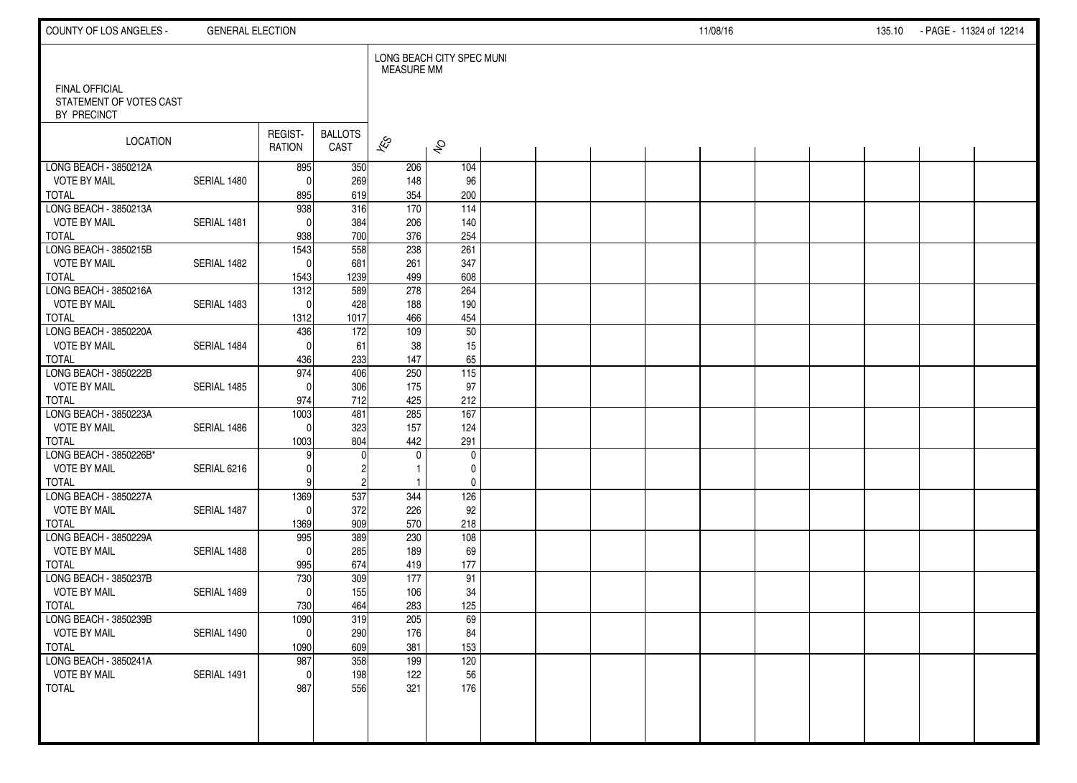| COUNTY OF LOS ANGELES -                                         | <b>GENERAL ELECTION</b> |                   |                        |                   |                           |  |  | 11/08/16 |  | 135.10 | - PAGE - 11324 of 12214 |  |
|-----------------------------------------------------------------|-------------------------|-------------------|------------------------|-------------------|---------------------------|--|--|----------|--|--------|-------------------------|--|
|                                                                 |                         |                   |                        | <b>MEASURE MM</b> | LONG BEACH CITY SPEC MUNI |  |  |          |  |        |                         |  |
| <b>FINAL OFFICIAL</b><br>STATEMENT OF VOTES CAST<br>BY PRECINCT |                         |                   |                        |                   |                           |  |  |          |  |        |                         |  |
| <b>LOCATION</b>                                                 |                         | REGIST-<br>RATION | <b>BALLOTS</b><br>CAST | $\approx$         | $\hat{\mathcal{S}}$       |  |  |          |  |        |                         |  |
| LONG BEACH - 3850212A                                           |                         | 895               | 350                    | 206               | 104                       |  |  |          |  |        |                         |  |
| <b>VOTE BY MAIL</b>                                             | SERIAL 1480             | $\Omega$          | 269<br>619             | 148               | 96<br>200                 |  |  |          |  |        |                         |  |
| <b>TOTAL</b><br>LONG BEACH - 3850213A                           |                         | 895<br>938        | 316                    | 354<br>170        | $\frac{114}{114}$         |  |  |          |  |        |                         |  |
| <b>VOTE BY MAIL</b>                                             | SERIAL 1481             | $\Omega$          | 384                    | 206               | 140                       |  |  |          |  |        |                         |  |
| <b>TOTAL</b>                                                    |                         | 938               | 700                    | 376               | 254                       |  |  |          |  |        |                         |  |
| LONG BEACH - 3850215B                                           |                         | 1543              | 558                    | 238               | 261                       |  |  |          |  |        |                         |  |
| <b>VOTE BY MAIL</b>                                             | SERIAL 1482             | $\Omega$          | 681                    | 261               | 347                       |  |  |          |  |        |                         |  |
| <b>TOTAL</b>                                                    |                         | 1543              | 1239                   | 499               | 608                       |  |  |          |  |        |                         |  |
| LONG BEACH - 3850216A                                           |                         | $\frac{1312}{2}$  | 589                    | 278               | 264                       |  |  |          |  |        |                         |  |
| <b>VOTE BY MAIL</b>                                             | SERIAL 1483             | $\Omega$          | 428                    | 188               | 190                       |  |  |          |  |        |                         |  |
| <b>TOTAL</b>                                                    |                         | 1312              | 1017                   | 466               | 454                       |  |  |          |  |        |                         |  |
| LONG BEACH - 3850220A                                           |                         | 436               | 172                    | 109               | 50                        |  |  |          |  |        |                         |  |
| <b>VOTE BY MAIL</b>                                             | SERIAL 1484             | $\Omega$          | 61                     | 38                | 15                        |  |  |          |  |        |                         |  |
| <b>TOTAL</b><br>LONG BEACH - 3850222B                           |                         | 436<br>974        | 233<br>406             | 147<br>250        | 65<br>$\frac{115}{115}$   |  |  |          |  |        |                         |  |
| <b>VOTE BY MAIL</b>                                             | SERIAL 1485             | $\Omega$          | 306                    | 175               | 97                        |  |  |          |  |        |                         |  |
| <b>TOTAL</b>                                                    |                         | 974               | 712                    | 425               | 212                       |  |  |          |  |        |                         |  |
| LONG BEACH - 3850223A                                           |                         | 1003              | 481                    | 285               | 167                       |  |  |          |  |        |                         |  |
| <b>VOTE BY MAIL</b>                                             | SERIAL 1486             | $\Omega$          | 323                    | 157               | 124                       |  |  |          |  |        |                         |  |
| <b>TOTAL</b>                                                    |                         | 1003              | 804                    | 442               | 291                       |  |  |          |  |        |                         |  |
| LONG BEACH - 3850226B*                                          |                         | 9                 | $\Omega$               | $\mathbf{0}$      | $\mathbf 0$               |  |  |          |  |        |                         |  |
| <b>VOTE BY MAIL</b>                                             | SERIAL 6216             |                   | 2                      |                   | 0                         |  |  |          |  |        |                         |  |
| <b>TOTAL</b>                                                    |                         |                   | $\overline{c}$         | -1                | $\pmb{0}$                 |  |  |          |  |        |                         |  |
| LONG BEACH - 3850227A                                           |                         | 1369              | 537                    | 344               | 126                       |  |  |          |  |        |                         |  |
| <b>VOTE BY MAIL</b>                                             | SERIAL 1487             | $\Omega$          | 372                    | 226               | 92                        |  |  |          |  |        |                         |  |
| <b>TOTAL</b>                                                    |                         | 1369              | 909                    | 570               | 218                       |  |  |          |  |        |                         |  |
| LONG BEACH - 3850229A<br><b>VOTE BY MAIL</b>                    | SERIAL 1488             | 995<br>$\Omega$   | 389<br>285             | 230<br>189        | 108<br>69                 |  |  |          |  |        |                         |  |
| <b>TOTAL</b>                                                    |                         | 995               | 674                    | 419               | 177                       |  |  |          |  |        |                         |  |
| LONG BEACH - 3850237B                                           |                         | 730               | 309                    | 177               | 91                        |  |  |          |  |        |                         |  |
| <b>VOTE BY MAIL</b>                                             | SERIAL 1489             | $\Omega$          | 155                    | 106               | 34                        |  |  |          |  |        |                         |  |
| <b>TOTAL</b>                                                    |                         | 730               | 464                    | 283               | 125                       |  |  |          |  |        |                         |  |
| LONG BEACH - 3850239B                                           |                         | 1090              | 319                    | 205               | 69                        |  |  |          |  |        |                         |  |
| <b>VOTE BY MAIL</b>                                             | SERIAL 1490             | $\overline{0}$    | 290                    | 176               | 84                        |  |  |          |  |        |                         |  |
| <b>TOTAL</b>                                                    |                         | 1090              | 609                    | 381               | 153                       |  |  |          |  |        |                         |  |
| LONG BEACH - 3850241A                                           |                         | 987               | 358                    | 199               | 120                       |  |  |          |  |        |                         |  |
| <b>VOTE BY MAIL</b>                                             | SERIAL 1491             | $\mathbf 0$       | 198                    | 122               | 56                        |  |  |          |  |        |                         |  |
| <b>TOTAL</b>                                                    |                         | 987               | 556                    | 321               | 176                       |  |  |          |  |        |                         |  |
|                                                                 |                         |                   |                        |                   |                           |  |  |          |  |        |                         |  |
|                                                                 |                         |                   |                        |                   |                           |  |  |          |  |        |                         |  |
|                                                                 |                         |                   |                        |                   |                           |  |  |          |  |        |                         |  |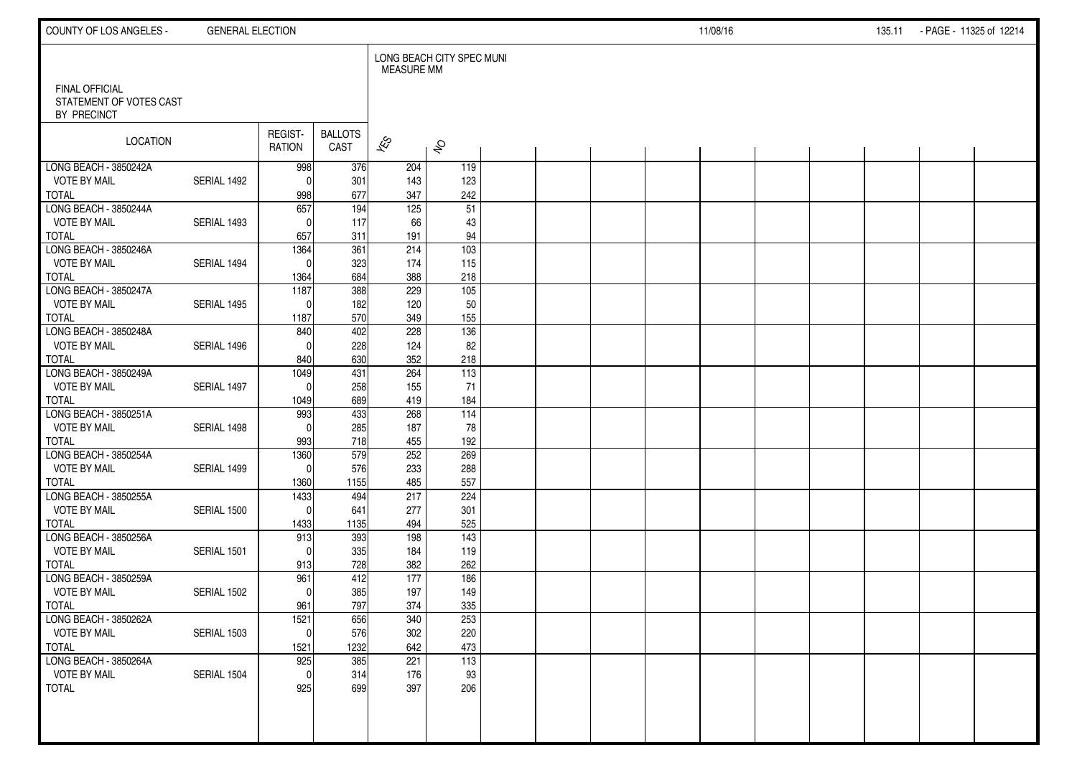| COUNTY OF LOS ANGELES -                      | <b>GENERAL ELECTION</b> |                   |                        |                          |                           |  |  | 11/08/16 |  | 135.11 - PAGE - 11325 of 12214 |  |
|----------------------------------------------|-------------------------|-------------------|------------------------|--------------------------|---------------------------|--|--|----------|--|--------------------------------|--|
| <b>FINAL OFFICIAL</b>                        |                         |                   |                        | <b>MEASURE MM</b>        | LONG BEACH CITY SPEC MUNI |  |  |          |  |                                |  |
| STATEMENT OF VOTES CAST<br>BY PRECINCT       |                         |                   |                        |                          |                           |  |  |          |  |                                |  |
| <b>LOCATION</b>                              |                         | REGIST-<br>RATION | <b>BALLOTS</b><br>CAST | $\overline{\mathscr{E}}$ | $\hat{\mathcal{S}}$       |  |  |          |  |                                |  |
| LONG BEACH - 3850242A<br><b>VOTE BY MAIL</b> | SERIAL 1492             | 998<br>$\Omega$   | 376                    | 204<br>143               | 119<br>123                |  |  |          |  |                                |  |
| <b>TOTAL</b>                                 |                         | 998               | 301<br>677             | 347                      | 242                       |  |  |          |  |                                |  |
| LONG BEACH - 3850244A                        |                         | 657               | $\frac{1}{194}$        | $\frac{125}{125}$        | $\overline{51}$           |  |  |          |  |                                |  |
| <b>VOTE BY MAIL</b>                          | SERIAL 1493             | $\Omega$          | 117                    | 66                       | 43                        |  |  |          |  |                                |  |
| <b>TOTAL</b>                                 |                         | 657               | 311                    | 191                      | 94                        |  |  |          |  |                                |  |
| LONG BEACH - 3850246A                        |                         | 1364              | $\overline{361}$       | 214                      | $\frac{103}{2}$           |  |  |          |  |                                |  |
| <b>VOTE BY MAIL</b>                          | SERIAL 1494             | $\Omega$          | 323                    | 174                      | 115                       |  |  |          |  |                                |  |
| <b>TOTAL</b>                                 |                         | 1364              | 684                    | 388                      | 218                       |  |  |          |  |                                |  |
| LONG BEACH - 3850247A                        |                         | 1187              | $\overline{388}$       | 229                      | $\overline{105}$          |  |  |          |  |                                |  |
| <b>VOTE BY MAIL</b>                          | SERIAL 1495             | $\Omega$          | 182                    | 120                      | 50                        |  |  |          |  |                                |  |
| <b>TOTAL</b><br>LONG BEACH - 3850248A        |                         | 1187<br>840       | 570<br>402             | 349<br>228               | 155<br>136                |  |  |          |  |                                |  |
| <b>VOTE BY MAIL</b>                          | SERIAL 1496             | $\Omega$          | 228                    | 124                      | 82                        |  |  |          |  |                                |  |
| <b>TOTAL</b>                                 |                         | 840               | 630                    | 352                      | 218                       |  |  |          |  |                                |  |
| LONG BEACH - 3850249A                        |                         | 1049              | 431                    | 264                      | 113                       |  |  |          |  |                                |  |
| <b>VOTE BY MAIL</b>                          | SERIAL 1497             | $\Omega$          | 258                    | 155                      | 71                        |  |  |          |  |                                |  |
| <b>TOTAL</b>                                 |                         | 1049              | 689                    | 419                      | 184                       |  |  |          |  |                                |  |
| LONG BEACH - 3850251A                        |                         | 993               | 433                    | 268                      | 114                       |  |  |          |  |                                |  |
| <b>VOTE BY MAIL</b>                          | SERIAL 1498             | $\Omega$          | 285                    | 187                      | 78                        |  |  |          |  |                                |  |
| <b>TOTAL</b>                                 |                         | 993               | 718                    | 455                      | 192                       |  |  |          |  |                                |  |
| LONG BEACH - 3850254A                        |                         | 1360              | 579                    | 252                      | 269                       |  |  |          |  |                                |  |
| <b>VOTE BY MAIL</b>                          | SERIAL 1499             | $\overline{0}$    | 576                    | 233                      | 288                       |  |  |          |  |                                |  |
| <b>TOTAL</b>                                 |                         | 1360              | 1155                   | 485                      | 557                       |  |  |          |  |                                |  |
| LONG BEACH - 3850255A                        |                         | 1433<br>$\Omega$  | 494                    | 217                      | 224                       |  |  |          |  |                                |  |
| <b>VOTE BY MAIL</b><br><b>TOTAL</b>          | SERIAL 1500             | 1433              | 641<br>1135            | 277<br>494               | 301<br>525                |  |  |          |  |                                |  |
| LONG BEACH - 3850256A                        |                         | 913               | 393                    | 198                      | $\overline{143}$          |  |  |          |  |                                |  |
| <b>VOTE BY MAIL</b>                          | SERIAL 1501             | $\Omega$          | 335                    | 184                      | 119                       |  |  |          |  |                                |  |
| <b>TOTAL</b>                                 |                         | 913               | 728                    | 382                      | 262                       |  |  |          |  |                                |  |
| LONG BEACH - 3850259A                        |                         | 961               | 412                    | 177                      | 186                       |  |  |          |  |                                |  |
| <b>VOTE BY MAIL</b>                          | SERIAL 1502             | $\Omega$          | 385                    | 197                      | 149                       |  |  |          |  |                                |  |
| <b>TOTAL</b>                                 |                         | 961               | 797                    | 374                      | 335                       |  |  |          |  |                                |  |
| LONG BEACH - 3850262A                        |                         | 1521              | 656                    | 340                      | 253                       |  |  |          |  |                                |  |
| <b>VOTE BY MAIL</b>                          | SERIAL 1503             | 0                 | 576                    | 302                      | 220                       |  |  |          |  |                                |  |
| <b>TOTAL</b>                                 |                         | 1521              | 1232                   | 642                      | 473                       |  |  |          |  |                                |  |
| LONG BEACH - 3850264A                        |                         | 925               | 385                    | 221                      | $\boxed{113}$             |  |  |          |  |                                |  |
| <b>VOTE BY MAIL</b>                          | SERIAL 1504             | $\overline{0}$    | 314                    | 176                      | 93                        |  |  |          |  |                                |  |
| <b>TOTAL</b>                                 |                         | 925               | 699                    | 397                      | 206                       |  |  |          |  |                                |  |
|                                              |                         |                   |                        |                          |                           |  |  |          |  |                                |  |
|                                              |                         |                   |                        |                          |                           |  |  |          |  |                                |  |
|                                              |                         |                   |                        |                          |                           |  |  |          |  |                                |  |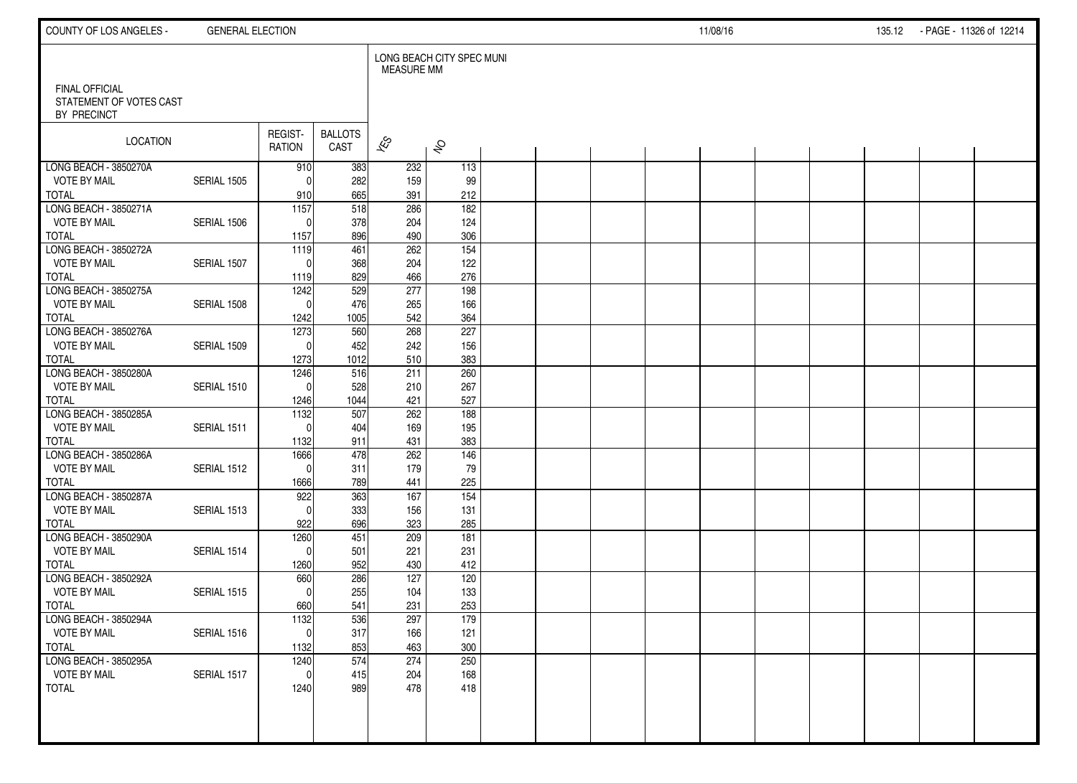| COUNTY OF LOS ANGELES -                          | <b>GENERAL ELECTION</b> |                          |                        |                   |                           |  |  | 11/08/16 |  | 135.12 - PAGE - 11326 of 12214 |  |
|--------------------------------------------------|-------------------------|--------------------------|------------------------|-------------------|---------------------------|--|--|----------|--|--------------------------------|--|
| <b>FINAL OFFICIAL</b><br>STATEMENT OF VOTES CAST |                         |                          |                        | <b>MEASURE MM</b> | LONG BEACH CITY SPEC MUNI |  |  |          |  |                                |  |
| BY PRECINCT                                      |                         |                          |                        |                   |                           |  |  |          |  |                                |  |
| <b>LOCATION</b>                                  |                         | REGIST-<br>RATION        | <b>BALLOTS</b><br>CAST | $\approx$         | $\hat{\mathcal{S}}$       |  |  |          |  |                                |  |
| LONG BEACH - 3850270A                            |                         | 910                      | 383                    | 232               | 113                       |  |  |          |  |                                |  |
| <b>VOTE BY MAIL</b>                              | SERIAL 1505             | $\Omega$                 | 282                    | 159               | 99                        |  |  |          |  |                                |  |
| <b>TOTAL</b><br>LONG BEACH - 3850271A            |                         | 910<br>$\overline{1157}$ | 665<br>518             | 391<br>286        | 212<br>$\frac{182}{ }$    |  |  |          |  |                                |  |
| <b>VOTE BY MAIL</b>                              | SERIAL 1506             | $\Omega$                 | 378                    | 204               | 124                       |  |  |          |  |                                |  |
| <b>TOTAL</b>                                     |                         | 1157                     | 896                    | 490               | 306                       |  |  |          |  |                                |  |
| LONG BEACH - 3850272A                            |                         | 1119                     | 461                    | 262               | $\frac{154}{ }$           |  |  |          |  |                                |  |
| <b>VOTE BY MAIL</b>                              | SERIAL 1507             | $\Omega$                 | 368                    | 204               | 122                       |  |  |          |  |                                |  |
| <b>TOTAL</b>                                     |                         | 1119                     | 829                    | 466               | 276                       |  |  |          |  |                                |  |
| LONG BEACH - 3850275A                            |                         | 1242                     | 529                    | 277               | 198                       |  |  |          |  |                                |  |
| <b>VOTE BY MAIL</b>                              | SERIAL 1508             | $\Omega$                 | 476                    | 265               | 166                       |  |  |          |  |                                |  |
| <b>TOTAL</b>                                     |                         | 1242                     | 1005                   | 542               | 364                       |  |  |          |  |                                |  |
| LONG BEACH - 3850276A                            |                         | 1273                     | 560                    | 268               | $\overline{227}$          |  |  |          |  |                                |  |
| <b>VOTE BY MAIL</b><br><b>TOTAL</b>              | SERIAL 1509             | $\Omega$                 | 452<br>1012            | 242<br>510        | 156<br>383                |  |  |          |  |                                |  |
| LONG BEACH - 3850280A                            |                         | 1273<br>1246             | 516                    | 211               | 260                       |  |  |          |  |                                |  |
| <b>VOTE BY MAIL</b>                              | SERIAL 1510             | $\Omega$                 | 528                    | 210               | 267                       |  |  |          |  |                                |  |
| <b>TOTAL</b>                                     |                         | 1246                     | 1044                   | 421               | 527                       |  |  |          |  |                                |  |
| LONG BEACH - 3850285A                            |                         | 1132                     | 507                    | 262               | 188                       |  |  |          |  |                                |  |
| <b>VOTE BY MAIL</b>                              | SERIAL 1511             | $\Omega$                 | 404                    | 169               | 195                       |  |  |          |  |                                |  |
| <b>TOTAL</b>                                     |                         | 1132                     | 911                    | 431               | 383                       |  |  |          |  |                                |  |
| LONG BEACH - 3850286A                            |                         | 1666                     | 478                    | 262               | 146                       |  |  |          |  |                                |  |
| <b>VOTE BY MAIL</b>                              | SERIAL 1512             | $\Omega$                 | 311                    | 179               | 79                        |  |  |          |  |                                |  |
| <b>TOTAL</b><br>LONG BEACH - 3850287A            |                         | 1666<br>922              | 789<br>363             | 441<br>167        | 225<br>154                |  |  |          |  |                                |  |
| <b>VOTE BY MAIL</b>                              | SERIAL 1513             | $\Omega$                 | 333                    | 156               | 131                       |  |  |          |  |                                |  |
| <b>TOTAL</b>                                     |                         | 922                      | 696                    | 323               | 285                       |  |  |          |  |                                |  |
| LONG BEACH - 3850290A                            |                         | 1260                     | 451                    | 209               | 181                       |  |  |          |  |                                |  |
| <b>VOTE BY MAIL</b>                              | SERIAL 1514             | $\Omega$                 | 501                    | 221               | 231                       |  |  |          |  |                                |  |
| <b>TOTAL</b>                                     |                         | 1260                     | 952                    | 430               | 412                       |  |  |          |  |                                |  |
| LONG BEACH - 3850292A                            |                         | 660                      | 286                    | 127               | 120                       |  |  |          |  |                                |  |
| <b>VOTE BY MAIL</b>                              | SERIAL 1515             | $\Omega$                 | 255                    | 104               | 133                       |  |  |          |  |                                |  |
| <b>TOTAL</b>                                     |                         | 660                      | 541                    | 231               | 253                       |  |  |          |  |                                |  |
| LONG BEACH - 3850294A                            |                         | 1132                     | 536                    | 297               | 179                       |  |  |          |  |                                |  |
| <b>VOTE BY MAIL</b><br><b>TOTAL</b>              | SERIAL 1516             | 0 <br>1132               | 317<br>853             | 166<br>463        | 121<br>300                |  |  |          |  |                                |  |
| LONG BEACH - 3850295A                            |                         | 1240                     | 574                    | 274               | 250                       |  |  |          |  |                                |  |
| <b>VOTE BY MAIL</b>                              | SERIAL 1517             | $\mathbf 0$              | 415                    | 204               | 168                       |  |  |          |  |                                |  |
| <b>TOTAL</b>                                     |                         | 1240                     | 989                    | 478               | 418                       |  |  |          |  |                                |  |
|                                                  |                         |                          |                        |                   |                           |  |  |          |  |                                |  |
|                                                  |                         |                          |                        |                   |                           |  |  |          |  |                                |  |
|                                                  |                         |                          |                        |                   |                           |  |  |          |  |                                |  |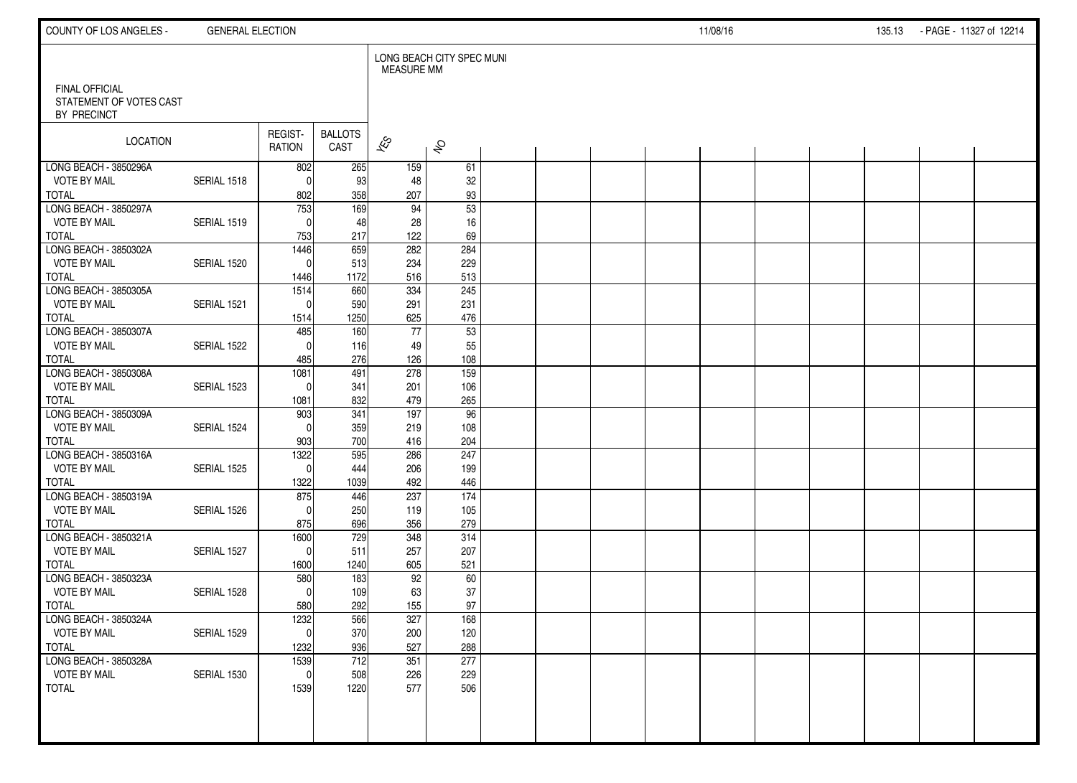| COUNTY OF LOS ANGELES -                          | <b>GENERAL ELECTION</b> |                     |                        |                   |                           |  |  | 11/08/16 |  | 135.13 | - PAGE - 11327 of 12214 |  |
|--------------------------------------------------|-------------------------|---------------------|------------------------|-------------------|---------------------------|--|--|----------|--|--------|-------------------------|--|
| <b>FINAL OFFICIAL</b><br>STATEMENT OF VOTES CAST |                         |                     |                        | <b>MEASURE MM</b> | LONG BEACH CITY SPEC MUNI |  |  |          |  |        |                         |  |
| BY PRECINCT                                      |                         |                     |                        |                   |                           |  |  |          |  |        |                         |  |
| <b>LOCATION</b>                                  |                         | REGIST-<br>RATION   | <b>BALLOTS</b><br>CAST | $\approx$         | $\hat{\mathcal{S}}$       |  |  |          |  |        |                         |  |
| LONG BEACH - 3850296A                            |                         | 802                 | 265                    | 159               | 61                        |  |  |          |  |        |                         |  |
| <b>VOTE BY MAIL</b><br><b>TOTAL</b>              | SERIAL 1518             | $\Omega$<br>802     | 93<br>358              | 48<br>207         | 32<br>93                  |  |  |          |  |        |                         |  |
| LONG BEACH - 3850297A                            |                         | $\frac{1}{753}$     | 169                    | 94                | $\overline{53}$           |  |  |          |  |        |                         |  |
| <b>VOTE BY MAIL</b>                              | SERIAL 1519             | $\Omega$            | 48                     | 28                | 16                        |  |  |          |  |        |                         |  |
| <b>TOTAL</b>                                     |                         | 753                 | 217                    | 122               | 69                        |  |  |          |  |        |                         |  |
| LONG BEACH - 3850302A                            |                         | 1446                | 659                    | 282               | 284                       |  |  |          |  |        |                         |  |
| <b>VOTE BY MAIL</b><br><b>TOTAL</b>              | SERIAL 1520             | $\Omega$            | 513<br>1172            | 234<br>516        | 229<br>513                |  |  |          |  |        |                         |  |
| LONG BEACH - 3850305A                            |                         | 1446<br>1514        | 660                    | 334               | 245                       |  |  |          |  |        |                         |  |
| <b>VOTE BY MAIL</b>                              | SERIAL 1521             | $\Omega$            | 590                    | 291               | 231                       |  |  |          |  |        |                         |  |
| <b>TOTAL</b>                                     |                         | 1514                | 1250                   | 625               | 476                       |  |  |          |  |        |                         |  |
| LONG BEACH - 3850307A                            |                         | 485                 | 160                    | $77$              | 53                        |  |  |          |  |        |                         |  |
| <b>VOTE BY MAIL</b>                              | SERIAL 1522             | $\Omega$            | 116                    | 49                | 55                        |  |  |          |  |        |                         |  |
| <b>TOTAL</b><br>LONG BEACH - 3850308A            |                         | 485                 | 276                    | 126               | 108                       |  |  |          |  |        |                         |  |
| <b>VOTE BY MAIL</b>                              | SERIAL 1523             | 1081<br>$\Omega$    | 491<br>341             | 278<br>201        | 159<br>106                |  |  |          |  |        |                         |  |
| <b>TOTAL</b>                                     |                         | 1081                | 832                    | 479               | 265                       |  |  |          |  |        |                         |  |
| LONG BEACH - 3850309A                            |                         | 903                 | 341                    | 197               | 96                        |  |  |          |  |        |                         |  |
| <b>VOTE BY MAIL</b>                              | SERIAL 1524             | $\Omega$            | 359                    | 219               | 108                       |  |  |          |  |        |                         |  |
| <b>TOTAL</b>                                     |                         | 903                 | 700                    | 416               | 204                       |  |  |          |  |        |                         |  |
| LONG BEACH - 3850316A                            |                         | 1322<br>$\Omega$    | 595                    | 286               | 247                       |  |  |          |  |        |                         |  |
| <b>VOTE BY MAIL</b><br><b>TOTAL</b>              | SERIAL 1525             | 1322                | 444<br>1039            | 206<br>492        | 199<br>446                |  |  |          |  |        |                         |  |
| LONG BEACH - 3850319A                            |                         | 875                 | 446                    | 237               | 174                       |  |  |          |  |        |                         |  |
| <b>VOTE BY MAIL</b>                              | SERIAL 1526             | $\Omega$            | 250                    | 119               | 105                       |  |  |          |  |        |                         |  |
| <b>TOTAL</b>                                     |                         | 875                 | 696                    | 356               | 279                       |  |  |          |  |        |                         |  |
| LONG BEACH - 3850321A                            |                         | 1600                | 729                    | 348               | 314                       |  |  |          |  |        |                         |  |
| <b>VOTE BY MAIL</b>                              | SERIAL 1527             | $\Omega$            | 511                    | 257               | 207                       |  |  |          |  |        |                         |  |
| <b>TOTAL</b><br>LONG BEACH - 3850323A            |                         | 1600<br>580         | 1240<br>183            | 605<br>92         | 521<br>60                 |  |  |          |  |        |                         |  |
| <b>VOTE BY MAIL</b>                              | SERIAL 1528             | $\Omega$            | 109                    | 63                | 37                        |  |  |          |  |        |                         |  |
| <b>TOTAL</b>                                     |                         | 580                 | 292                    | 155               | 97                        |  |  |          |  |        |                         |  |
| LONG BEACH - 3850324A                            |                         | 1232                | 566                    | 327               | 168                       |  |  |          |  |        |                         |  |
| <b>VOTE BY MAIL</b>                              | SERIAL 1529             | 0                   | 370                    | 200               | 120                       |  |  |          |  |        |                         |  |
| <b>TOTAL</b>                                     |                         | 1232                | 936                    | 527               | 288                       |  |  |          |  |        |                         |  |
| LONG BEACH - 3850328A<br><b>VOTE BY MAIL</b>     | SERIAL 1530             | 1539<br>$\mathbf 0$ | 712<br>508             | 351<br>226        | 277<br>229                |  |  |          |  |        |                         |  |
| <b>TOTAL</b>                                     |                         | 1539                | 1220                   | 577               | 506                       |  |  |          |  |        |                         |  |
|                                                  |                         |                     |                        |                   |                           |  |  |          |  |        |                         |  |
|                                                  |                         |                     |                        |                   |                           |  |  |          |  |        |                         |  |
|                                                  |                         |                     |                        |                   |                           |  |  |          |  |        |                         |  |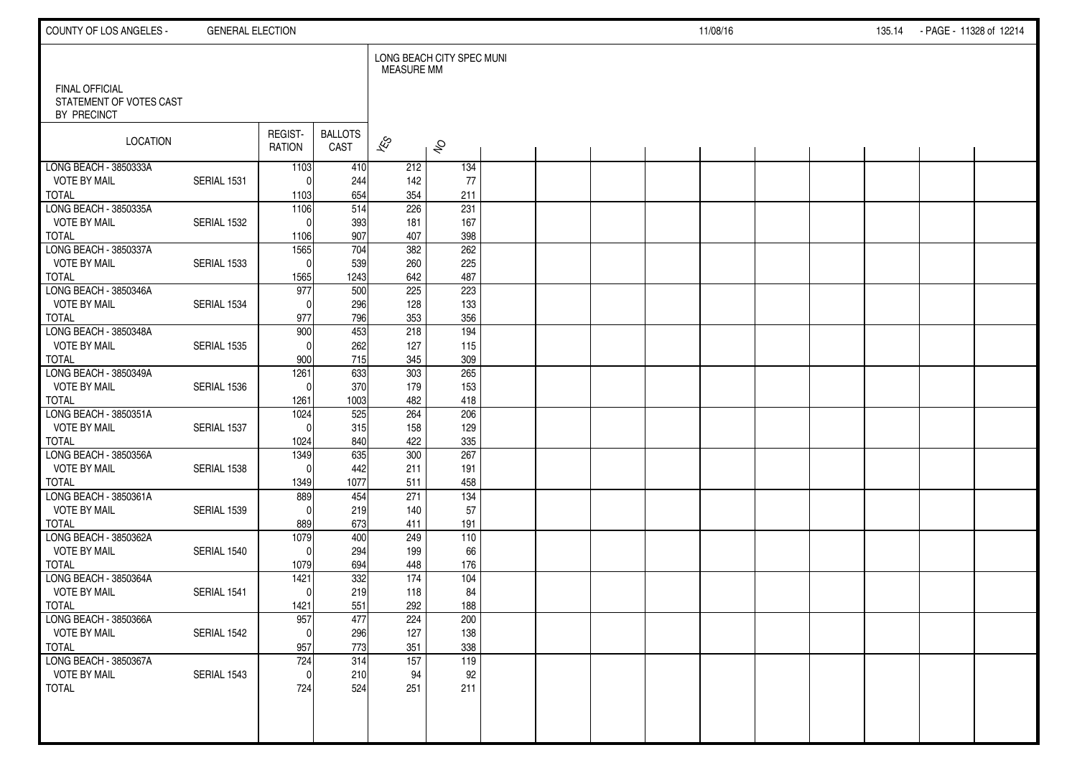| COUNTY OF LOS ANGELES -                                         | <b>GENERAL ELECTION</b> |                          |                        |                          |                           |  |  | 11/08/16 |  | 135.14 | - PAGE - 11328 of 12214 |  |
|-----------------------------------------------------------------|-------------------------|--------------------------|------------------------|--------------------------|---------------------------|--|--|----------|--|--------|-------------------------|--|
|                                                                 |                         |                          |                        | <b>MEASURE MM</b>        | LONG BEACH CITY SPEC MUNI |  |  |          |  |        |                         |  |
| <b>FINAL OFFICIAL</b><br>STATEMENT OF VOTES CAST<br>BY PRECINCT |                         |                          |                        |                          |                           |  |  |          |  |        |                         |  |
| LOCATION                                                        |                         | REGIST-<br><b>RATION</b> | <b>BALLOTS</b><br>CAST | $\overline{\mathscr{E}}$ | $\hat{\mathcal{S}}$       |  |  |          |  |        |                         |  |
| LONG BEACH - 3850333A                                           |                         | 1103                     | 410                    | 212                      | 134                       |  |  |          |  |        |                         |  |
| <b>VOTE BY MAIL</b><br><b>TOTAL</b>                             | SERIAL 1531             | $^{\circ}$<br>1103       | 244<br>654             | 142<br>354               | 77<br>211                 |  |  |          |  |        |                         |  |
| LONG BEACH - 3850335A                                           |                         | 1106                     | $\overline{514}$       | 226                      | 231                       |  |  |          |  |        |                         |  |
| <b>VOTE BY MAIL</b>                                             | SERIAL 1532             | $\mathbf 0$              | 393                    | 181                      | 167                       |  |  |          |  |        |                         |  |
| <b>TOTAL</b>                                                    |                         | 1106                     | 907                    | 407                      | 398                       |  |  |          |  |        |                         |  |
| LONG BEACH - 3850337A                                           |                         | 1565                     | 704                    | 382                      | 262                       |  |  |          |  |        |                         |  |
| <b>VOTE BY MAIL</b>                                             | SERIAL 1533             | $\mathbf 0$              | 539                    | 260                      | 225<br>487                |  |  |          |  |        |                         |  |
| <b>TOTAL</b><br>LONG BEACH - 3850346A                           |                         | 1565<br>977              | 1243<br>500            | 642<br>$\overline{225}$  | 223                       |  |  |          |  |        |                         |  |
| <b>VOTE BY MAIL</b>                                             | SERIAL 1534             | $\mathbf{0}$             | 296                    | 128                      | 133                       |  |  |          |  |        |                         |  |
| <b>TOTAL</b>                                                    |                         | 977                      | 796                    | 353                      | 356                       |  |  |          |  |        |                         |  |
| LONG BEACH - 3850348A                                           |                         | 900                      | 453                    | 218                      | 194                       |  |  |          |  |        |                         |  |
| <b>VOTE BY MAIL</b>                                             | SERIAL 1535             | $\Omega$                 | 262                    | 127                      | 115                       |  |  |          |  |        |                         |  |
| <b>TOTAL</b>                                                    |                         | 900                      | 715                    | 345                      | 309                       |  |  |          |  |        |                         |  |
| LONG BEACH - 3850349A<br><b>VOTE BY MAIL</b>                    | SERIAL 1536             | 1261<br>$\mathbf{0}$     | 633<br>370             | 303<br>179               | 265                       |  |  |          |  |        |                         |  |
| <b>TOTAL</b>                                                    |                         | 1261                     | 1003                   | 482                      | 153<br>418                |  |  |          |  |        |                         |  |
| LONG BEACH - 3850351A                                           |                         | 1024                     | 525                    | 264                      | 206                       |  |  |          |  |        |                         |  |
| <b>VOTE BY MAIL</b>                                             | SERIAL 1537             | $\Omega$                 | 315                    | 158                      | 129                       |  |  |          |  |        |                         |  |
| <b>TOTAL</b>                                                    |                         | 1024                     | 840                    | 422                      | 335                       |  |  |          |  |        |                         |  |
| LONG BEACH - 3850356A                                           |                         | 1349                     | 635                    | 300                      | 267                       |  |  |          |  |        |                         |  |
| <b>VOTE BY MAIL</b>                                             | SERIAL 1538             | $\mathbf{0}$             | 442                    | 211                      | 191                       |  |  |          |  |        |                         |  |
| <b>TOTAL</b><br>LONG BEACH - 3850361A                           |                         | 1349<br>889              | 1077<br>454            | 511<br>271               | 458<br>134                |  |  |          |  |        |                         |  |
| <b>VOTE BY MAIL</b>                                             | SERIAL 1539             | $\Omega$                 | 219                    | 140                      | 57                        |  |  |          |  |        |                         |  |
| <b>TOTAL</b>                                                    |                         | 889                      | 673                    | 411                      | 191                       |  |  |          |  |        |                         |  |
| LONG BEACH - 3850362A                                           |                         | 1079                     | 400                    | 249                      | 110                       |  |  |          |  |        |                         |  |
| <b>VOTE BY MAIL</b>                                             | SERIAL 1540             | $\Omega$                 | 294                    | 199                      | 66                        |  |  |          |  |        |                         |  |
| <b>TOTAL</b>                                                    |                         | 1079                     | 694                    | 448                      | 176                       |  |  |          |  |        |                         |  |
| LONG BEACH - 3850364A                                           |                         | 1421                     | 332                    | 174                      | 104                       |  |  |          |  |        |                         |  |
| <b>VOTE BY MAIL</b><br><b>TOTAL</b>                             | SERIAL 1541             | $\mathbf{0}$<br>1421     | 219<br>551             | 118<br>292               | 84<br>188                 |  |  |          |  |        |                         |  |
| LONG BEACH - 3850366A                                           |                         | 957                      | 477                    | 224                      | 200                       |  |  |          |  |        |                         |  |
| <b>VOTE BY MAIL</b>                                             | SERIAL 1542             | $\pmb{0}$                | 296                    | 127                      | 138                       |  |  |          |  |        |                         |  |
| <b>TOTAL</b>                                                    |                         | 957                      | 773                    | 351                      | 338                       |  |  |          |  |        |                         |  |
| LONG BEACH - 3850367A                                           |                         | 724                      | 314                    | $\overline{157}$         | 119                       |  |  |          |  |        |                         |  |
| <b>VOTE BY MAIL</b>                                             | SERIAL 1543             | $\mathbf 0$              | 210                    | 94                       | 92                        |  |  |          |  |        |                         |  |
| <b>TOTAL</b>                                                    |                         | 724                      | 524                    | 251                      | 211                       |  |  |          |  |        |                         |  |
|                                                                 |                         |                          |                        |                          |                           |  |  |          |  |        |                         |  |
|                                                                 |                         |                          |                        |                          |                           |  |  |          |  |        |                         |  |
|                                                                 |                         |                          |                        |                          |                           |  |  |          |  |        |                         |  |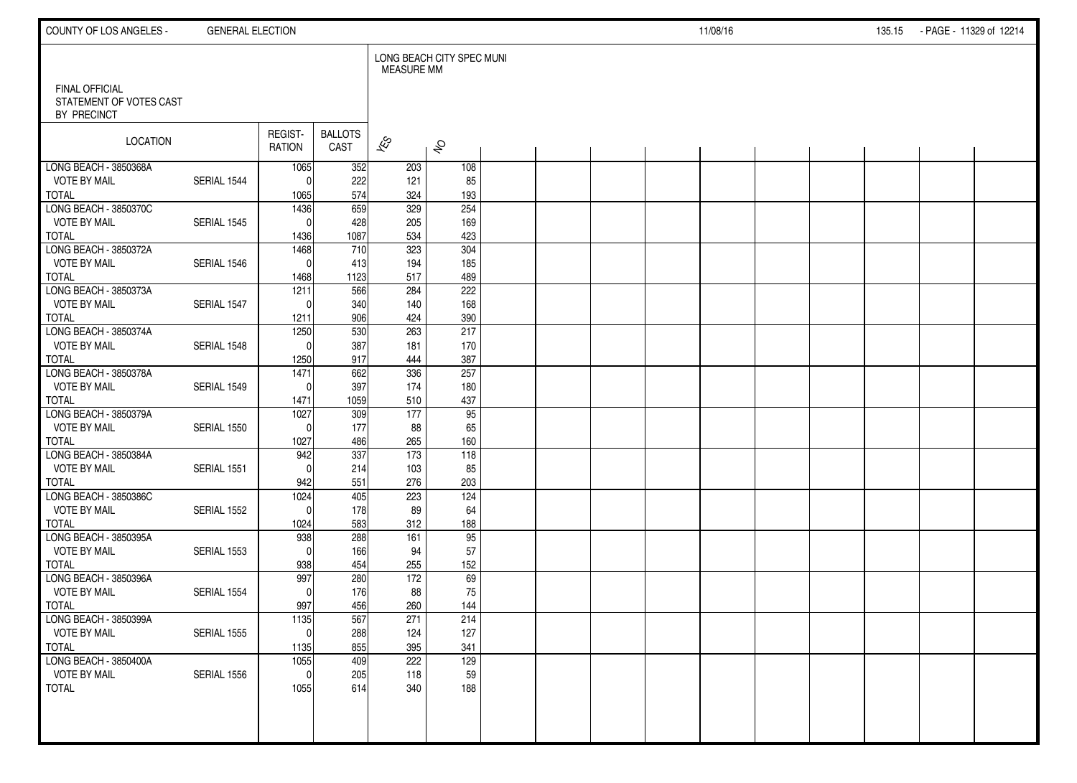| COUNTY OF LOS ANGELES -                                         | <b>GENERAL ELECTION</b> |                          |                        |                          |                           |  |  | 11/08/16 |  | 135.15 | - PAGE - 11329 of 12214 |  |
|-----------------------------------------------------------------|-------------------------|--------------------------|------------------------|--------------------------|---------------------------|--|--|----------|--|--------|-------------------------|--|
|                                                                 |                         |                          |                        | <b>MEASURE MM</b>        | LONG BEACH CITY SPEC MUNI |  |  |          |  |        |                         |  |
| <b>FINAL OFFICIAL</b><br>STATEMENT OF VOTES CAST<br>BY PRECINCT |                         |                          |                        |                          |                           |  |  |          |  |        |                         |  |
| LOCATION                                                        |                         | REGIST-<br><b>RATION</b> | <b>BALLOTS</b><br>CAST | $\overline{\mathscr{E}}$ | $\hat{\mathcal{S}}$       |  |  |          |  |        |                         |  |
| LONG BEACH - 3850368A                                           |                         | 1065                     | 352                    | 203                      | 108                       |  |  |          |  |        |                         |  |
| <b>VOTE BY MAIL</b><br><b>TOTAL</b>                             | SERIAL 1544             | $^{\circ}$               | 222<br>574             | 121<br>324               | 85<br>193                 |  |  |          |  |        |                         |  |
| LONG BEACH - 3850370C                                           |                         | 1065<br>1436             | 659                    | $\overline{329}$         | 254                       |  |  |          |  |        |                         |  |
| <b>VOTE BY MAIL</b>                                             | SERIAL 1545             | $\mathbf{0}$             | 428                    | 205                      | 169                       |  |  |          |  |        |                         |  |
| <b>TOTAL</b>                                                    |                         | 1436                     | 1087                   | 534                      | 423                       |  |  |          |  |        |                         |  |
| LONG BEACH - 3850372A                                           |                         | 1468                     | 710                    | 323                      | 304                       |  |  |          |  |        |                         |  |
| <b>VOTE BY MAIL</b>                                             | SERIAL 1546             | $\mathbf 0$              | 413                    | 194                      | 185                       |  |  |          |  |        |                         |  |
| <b>TOTAL</b>                                                    |                         | 1468                     | 1123                   | 517                      | 489                       |  |  |          |  |        |                         |  |
| LONG BEACH - 3850373A                                           |                         | 1211                     | 566                    | 284                      | 222                       |  |  |          |  |        |                         |  |
| <b>VOTE BY MAIL</b>                                             | SERIAL 1547             | $\Omega$                 | 340                    | 140                      | 168                       |  |  |          |  |        |                         |  |
| <b>TOTAL</b>                                                    |                         | 1211                     | 906                    | 424                      | 390                       |  |  |          |  |        |                         |  |
| LONG BEACH - 3850374A                                           |                         | 1250                     | 530                    | 263                      | 217                       |  |  |          |  |        |                         |  |
| <b>VOTE BY MAIL</b>                                             | SERIAL 1548             | $\Omega$                 | 387                    | 181                      | 170                       |  |  |          |  |        |                         |  |
| <b>TOTAL</b><br>LONG BEACH - 3850378A                           |                         | 1250<br>1471             | 917<br>662             | 444<br>336               | 387<br>257                |  |  |          |  |        |                         |  |
| <b>VOTE BY MAIL</b>                                             | SERIAL 1549             | $\Omega$                 | 397                    | 174                      | 180                       |  |  |          |  |        |                         |  |
| <b>TOTAL</b>                                                    |                         | 1471                     | 1059                   | 510                      | 437                       |  |  |          |  |        |                         |  |
| LONG BEACH - 3850379A                                           |                         | 1027                     | 309                    | $\overline{177}$         | 95                        |  |  |          |  |        |                         |  |
| <b>VOTE BY MAIL</b>                                             | SERIAL 1550             | $\Omega$                 | 177                    | 88                       | 65                        |  |  |          |  |        |                         |  |
| <b>TOTAL</b>                                                    |                         | 1027                     | 486                    | 265                      | 160                       |  |  |          |  |        |                         |  |
| LONG BEACH - 3850384A                                           |                         | 942                      | 337                    | $\overline{173}$         | 118                       |  |  |          |  |        |                         |  |
| <b>VOTE BY MAIL</b>                                             | SERIAL 1551             | $\Omega$                 | 214                    | 103                      | 85                        |  |  |          |  |        |                         |  |
| <b>TOTAL</b>                                                    |                         | 942                      | 551                    | 276                      | 203                       |  |  |          |  |        |                         |  |
| LONG BEACH - 3850386C                                           |                         | 1024                     | 405                    | 223                      | 124                       |  |  |          |  |        |                         |  |
| <b>VOTE BY MAIL</b>                                             | SERIAL 1552             | $\Omega$                 | 178                    | 89                       | 64                        |  |  |          |  |        |                         |  |
| <b>TOTAL</b>                                                    |                         | 1024                     | 583                    | 312                      | 188                       |  |  |          |  |        |                         |  |
| LONG BEACH - 3850395A<br><b>VOTE BY MAIL</b>                    | SERIAL 1553             | 938<br>$\Omega$          | 288<br>166             | 161<br>94                | 95<br>57                  |  |  |          |  |        |                         |  |
| <b>TOTAL</b>                                                    |                         | 938                      | 454                    | 255                      | 152                       |  |  |          |  |        |                         |  |
| LONG BEACH - 3850396A                                           |                         | 997                      | 280                    | 172                      | 69                        |  |  |          |  |        |                         |  |
| <b>VOTE BY MAIL</b>                                             | SERIAL 1554             | $\mathbf{0}$             | 176                    | 88                       | 75                        |  |  |          |  |        |                         |  |
| <b>TOTAL</b>                                                    |                         | 997                      | 456                    | 260                      | 144                       |  |  |          |  |        |                         |  |
| LONG BEACH - 3850399A                                           |                         | 1135                     | 567                    | 271                      | 214                       |  |  |          |  |        |                         |  |
| <b>VOTE BY MAIL</b>                                             | SERIAL 1555             | $\pmb{0}$                | 288                    | 124                      | 127                       |  |  |          |  |        |                         |  |
| <b>TOTAL</b>                                                    |                         | 1135                     | 855                    | 395                      | 341                       |  |  |          |  |        |                         |  |
| LONG BEACH - 3850400A                                           |                         | 1055                     | 409                    | 222                      | 129                       |  |  |          |  |        |                         |  |
| <b>VOTE BY MAIL</b>                                             | SERIAL 1556             | $\mathbf 0$              | 205                    | 118                      | 59                        |  |  |          |  |        |                         |  |
| <b>TOTAL</b>                                                    |                         | 1055                     | 614                    | 340                      | 188                       |  |  |          |  |        |                         |  |
|                                                                 |                         |                          |                        |                          |                           |  |  |          |  |        |                         |  |
|                                                                 |                         |                          |                        |                          |                           |  |  |          |  |        |                         |  |
|                                                                 |                         |                          |                        |                          |                           |  |  |          |  |        |                         |  |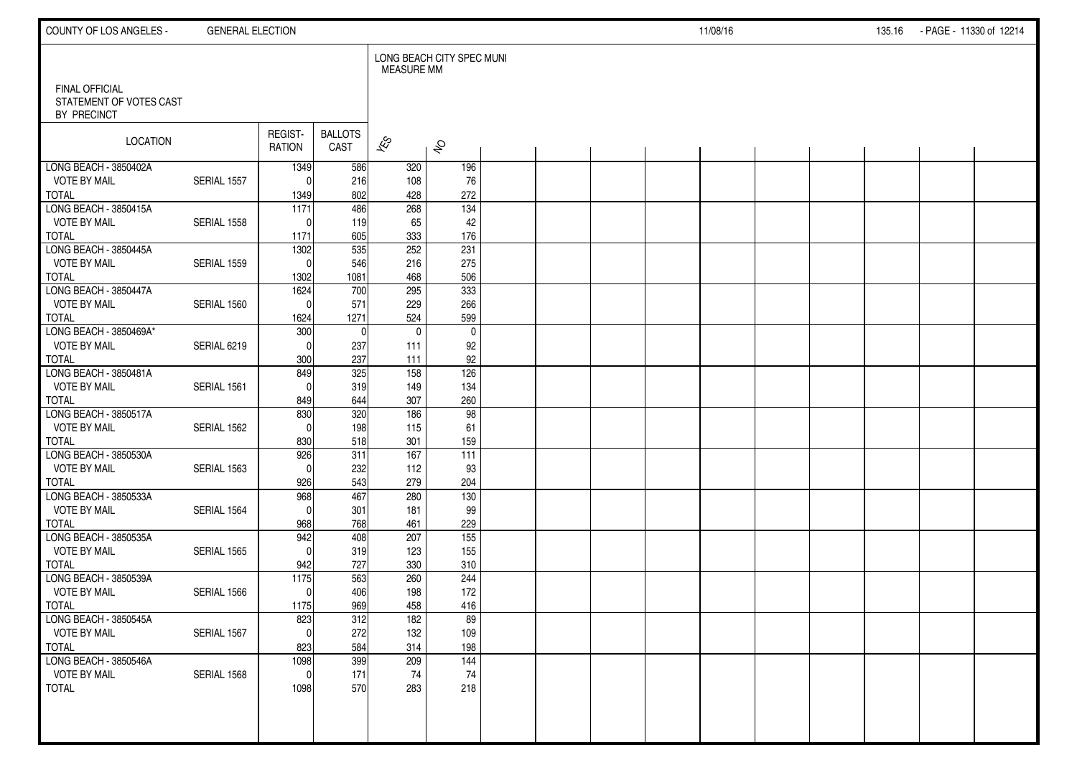| COUNTY OF LOS ANGELES -                      | <b>GENERAL ELECTION</b> |                          |                        |                          |                           |  |  | 11/08/16 |  | 135.16 | - PAGE - 11330 of 12214 |  |
|----------------------------------------------|-------------------------|--------------------------|------------------------|--------------------------|---------------------------|--|--|----------|--|--------|-------------------------|--|
| <b>FINAL OFFICIAL</b>                        |                         |                          |                        | <b>MEASURE MM</b>        | LONG BEACH CITY SPEC MUNI |  |  |          |  |        |                         |  |
| STATEMENT OF VOTES CAST<br>BY PRECINCT       |                         |                          |                        |                          |                           |  |  |          |  |        |                         |  |
| <b>LOCATION</b>                              |                         | REGIST-<br><b>RATION</b> | <b>BALLOTS</b><br>CAST | $\overline{\mathscr{K}}$ | $\hat{\mathcal{S}}$       |  |  |          |  |        |                         |  |
| LONG BEACH - 3850402A<br><b>VOTE BY MAIL</b> | SERIAL 1557             | 1349<br>$\Omega$         | 586<br>216             | 320<br>108               | 196<br>76                 |  |  |          |  |        |                         |  |
| <b>TOTAL</b>                                 |                         | 1349                     | 802                    | 428                      | 272                       |  |  |          |  |        |                         |  |
| LONG BEACH - 3850415A                        |                         | $\overline{1171}$        | 486                    | 268                      | $\overline{134}$          |  |  |          |  |        |                         |  |
| <b>VOTE BY MAIL</b>                          | SERIAL 1558             | $\Omega$                 | 119                    | 65                       | 42                        |  |  |          |  |        |                         |  |
| <b>TOTAL</b>                                 |                         | 1171                     | 605                    | 333                      | 176                       |  |  |          |  |        |                         |  |
| LONG BEACH - 3850445A<br><b>VOTE BY MAIL</b> | SERIAL 1559             | 1302<br>$\mathbf{0}$     | 535<br>546             | 252<br>216               | 231<br>275                |  |  |          |  |        |                         |  |
| <b>TOTAL</b>                                 |                         | 1302                     | 1081                   | 468                      | 506                       |  |  |          |  |        |                         |  |
| LONG BEACH - 3850447A                        |                         | 1624                     | 700                    | 295                      | 333                       |  |  |          |  |        |                         |  |
| <b>VOTE BY MAIL</b>                          | SERIAL 1560             | $\mathbf{0}$             | 571                    | 229                      | 266                       |  |  |          |  |        |                         |  |
| <b>TOTAL</b>                                 |                         | 1624                     | 1271                   | 524                      | 599                       |  |  |          |  |        |                         |  |
| LONG BEACH - 3850469A*                       |                         | 300                      | $\mathbf{0}$           | $\mathbf 0$              | $\mathbf 0$               |  |  |          |  |        |                         |  |
| <b>VOTE BY MAIL</b><br><b>TOTAL</b>          | SERIAL 6219             | $\Omega$                 | 237<br>237             | 111                      | 92                        |  |  |          |  |        |                         |  |
| LONG BEACH - 3850481A                        |                         | 300<br>849               | 325                    | 111<br>158               | 92<br>126                 |  |  |          |  |        |                         |  |
| <b>VOTE BY MAIL</b>                          | SERIAL 1561             | $\Omega$                 | 319                    | 149                      | 134                       |  |  |          |  |        |                         |  |
| <b>TOTAL</b>                                 |                         | 849                      | 644                    | 307                      | 260                       |  |  |          |  |        |                         |  |
| LONG BEACH - 3850517A                        |                         | 830                      | 320                    | 186                      | 98                        |  |  |          |  |        |                         |  |
| <b>VOTE BY MAIL</b>                          | SERIAL 1562             | $\Omega$                 | 198                    | 115                      | 61                        |  |  |          |  |        |                         |  |
| <b>TOTAL</b><br>LONG BEACH - 3850530A        |                         | 830                      | 518                    | 301<br>167               | 159<br>$\overline{111}$   |  |  |          |  |        |                         |  |
| <b>VOTE BY MAIL</b>                          | SERIAL 1563             | 926<br>$\Omega$          | 311<br>232             | 112                      | 93                        |  |  |          |  |        |                         |  |
| <b>TOTAL</b>                                 |                         | 926                      | 543                    | 279                      | 204                       |  |  |          |  |        |                         |  |
| LONG BEACH - 3850533A                        |                         | 968                      | 467                    | 280                      | 130                       |  |  |          |  |        |                         |  |
| <b>VOTE BY MAIL</b>                          | SERIAL 1564             | $\Omega$                 | 301                    | 181                      | 99                        |  |  |          |  |        |                         |  |
| <b>TOTAL</b>                                 |                         | 968                      | 768                    | 461                      | 229                       |  |  |          |  |        |                         |  |
| LONG BEACH - 3850535A                        |                         | 942                      | 408                    | 207                      | $\overline{155}$          |  |  |          |  |        |                         |  |
| <b>VOTE BY MAIL</b><br><b>TOTAL</b>          | SERIAL 1565             | $\mathbf{0}$<br>942      | 319<br>727             | 123<br>330               | 155<br>310                |  |  |          |  |        |                         |  |
| LONG BEACH - 3850539A                        |                         | 1175                     | 563                    | 260                      | 244                       |  |  |          |  |        |                         |  |
| <b>VOTE BY MAIL</b>                          | SERIAL 1566             | $\mathbf{0}$             | 406                    | 198                      | 172                       |  |  |          |  |        |                         |  |
| <b>TOTAL</b>                                 |                         | 1175                     | 969                    | 458                      | 416                       |  |  |          |  |        |                         |  |
| LONG BEACH - 3850545A                        |                         | 823                      | 312                    | 182                      | 89                        |  |  |          |  |        |                         |  |
| <b>VOTE BY MAIL</b>                          | SERIAL 1567             | $\mathbf 0$              | 272                    | 132                      | 109                       |  |  |          |  |        |                         |  |
| <b>TOTAL</b><br>LONG BEACH - 3850546A        |                         | 823                      | 584<br>399             | 314                      | 198                       |  |  |          |  |        |                         |  |
| <b>VOTE BY MAIL</b>                          | SERIAL 1568             | 1098<br>$\mathbf 0$      | 171                    | 209<br>74                | 144<br>74                 |  |  |          |  |        |                         |  |
| <b>TOTAL</b>                                 |                         | 1098                     | 570                    | 283                      | 218                       |  |  |          |  |        |                         |  |
|                                              |                         |                          |                        |                          |                           |  |  |          |  |        |                         |  |
|                                              |                         |                          |                        |                          |                           |  |  |          |  |        |                         |  |
|                                              |                         |                          |                        |                          |                           |  |  |          |  |        |                         |  |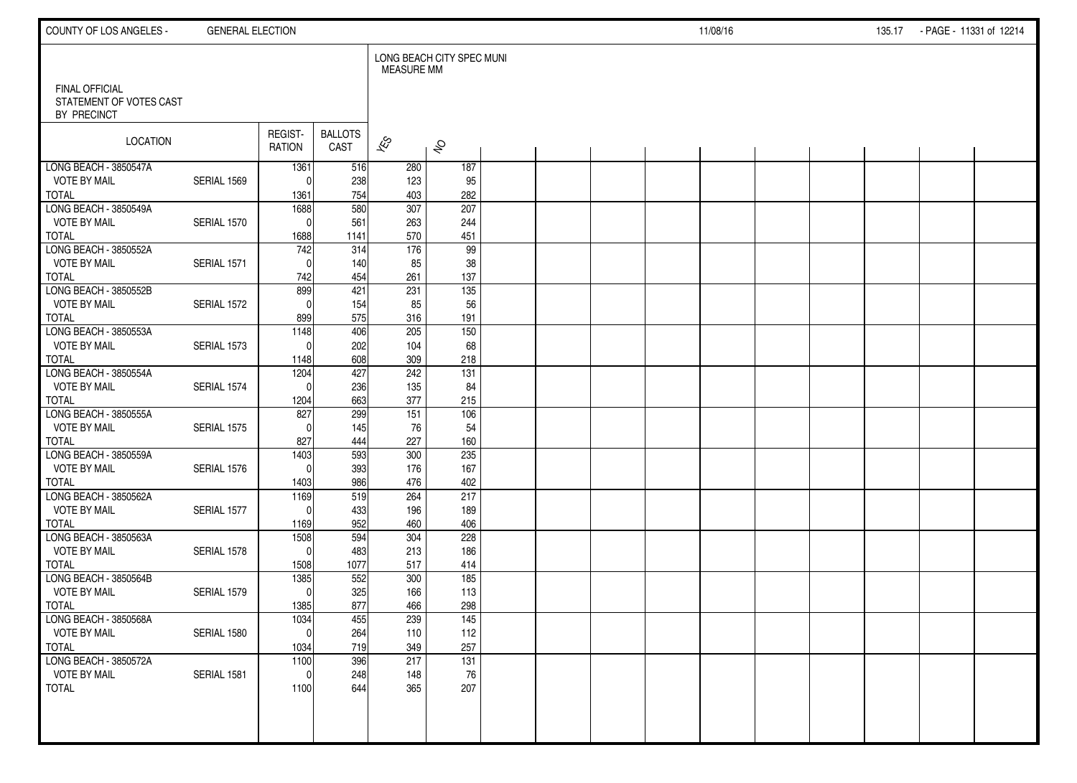| COUNTY OF LOS ANGELES -                                         | <b>GENERAL ELECTION</b> |                          |                        |                          |                           |  |  | 11/08/16 |  | 135.17 - PAGE - 11331 of 12214 |  |
|-----------------------------------------------------------------|-------------------------|--------------------------|------------------------|--------------------------|---------------------------|--|--|----------|--|--------------------------------|--|
|                                                                 |                         |                          |                        | <b>MEASURE MM</b>        | LONG BEACH CITY SPEC MUNI |  |  |          |  |                                |  |
| <b>FINAL OFFICIAL</b><br>STATEMENT OF VOTES CAST<br>BY PRECINCT |                         |                          |                        |                          |                           |  |  |          |  |                                |  |
| LOCATION                                                        |                         | REGIST-<br><b>RATION</b> | <b>BALLOTS</b><br>CAST | $\overline{\mathscr{E}}$ | $\hat{\mathcal{S}}$       |  |  |          |  |                                |  |
| LONG BEACH - 3850547A                                           |                         | 1361                     | 516                    | 280                      | 187                       |  |  |          |  |                                |  |
| <b>VOTE BY MAIL</b><br><b>TOTAL</b>                             | SERIAL 1569             | $^{\circ}$<br>1361       | 238<br>754             | 123<br>403               | 95<br>282                 |  |  |          |  |                                |  |
| LONG BEACH - 3850549A                                           |                         | 1688                     | 580                    | $\overline{307}$         | 207                       |  |  |          |  |                                |  |
| <b>VOTE BY MAIL</b>                                             | SERIAL 1570             | $\mathbf 0$              | 561                    | 263                      | 244                       |  |  |          |  |                                |  |
| <b>TOTAL</b>                                                    |                         | 1688                     | 1141                   | 570                      | 451                       |  |  |          |  |                                |  |
| LONG BEACH - 3850552A                                           |                         | 742                      | 314                    | 176                      | $\overline{99}$           |  |  |          |  |                                |  |
| <b>VOTE BY MAIL</b>                                             | SERIAL 1571             | $\mathbf{0}$             | 140                    | 85                       | 38                        |  |  |          |  |                                |  |
| <b>TOTAL</b>                                                    |                         | 742                      | 454                    | 261                      | 137                       |  |  |          |  |                                |  |
| LONG BEACH - 3850552B                                           |                         | 899                      | 421                    | 231                      | $\overline{135}$          |  |  |          |  |                                |  |
| <b>VOTE BY MAIL</b>                                             | SERIAL 1572             | $\mathbf{0}$             | 154                    | 85                       | 56                        |  |  |          |  |                                |  |
| <b>TOTAL</b>                                                    |                         | 899                      | 575                    | 316                      | 191                       |  |  |          |  |                                |  |
| LONG BEACH - 3850553A                                           |                         | 1148                     | 406                    | 205                      | 150                       |  |  |          |  |                                |  |
| <b>VOTE BY MAIL</b><br><b>TOTAL</b>                             | SERIAL 1573             | $\Omega$<br>1148         | 202<br>608             | 104<br>309               | 68<br>218                 |  |  |          |  |                                |  |
| LONG BEACH - 3850554A                                           |                         | 1204                     | 427                    | 242                      | 131                       |  |  |          |  |                                |  |
| <b>VOTE BY MAIL</b>                                             | SERIAL 1574             | $\Omega$                 | 236                    | 135                      | 84                        |  |  |          |  |                                |  |
| <b>TOTAL</b>                                                    |                         | 1204                     | 663                    | 377                      | 215                       |  |  |          |  |                                |  |
| LONG BEACH - 3850555A                                           |                         | 827                      | 299                    | 151                      | 106                       |  |  |          |  |                                |  |
| <b>VOTE BY MAIL</b>                                             | SERIAL 1575             | $\Omega$                 | 145                    | 76                       | 54                        |  |  |          |  |                                |  |
| <b>TOTAL</b>                                                    |                         | 827                      | 444                    | 227                      | 160                       |  |  |          |  |                                |  |
| LONG BEACH - 3850559A                                           |                         | 1403                     | 593                    | 300                      | 235                       |  |  |          |  |                                |  |
| <b>VOTE BY MAIL</b>                                             | SERIAL 1576             | $\mathbf{0}$             | 393                    | 176                      | 167                       |  |  |          |  |                                |  |
| <b>TOTAL</b>                                                    |                         | 1403                     | 986                    | 476                      | 402                       |  |  |          |  |                                |  |
| LONG BEACH - 3850562A                                           |                         | 1169                     | 519                    | 264                      | 217                       |  |  |          |  |                                |  |
| <b>VOTE BY MAIL</b>                                             | SERIAL 1577             | $\Omega$                 | 433                    | 196                      | 189                       |  |  |          |  |                                |  |
| <b>TOTAL</b><br>LONG BEACH - 3850563A                           |                         | 1169<br>1508             | 952<br>594             | 460<br>304               | 406<br>228                |  |  |          |  |                                |  |
| <b>VOTE BY MAIL</b>                                             | SERIAL 1578             | $\Omega$                 | 483                    | 213                      | 186                       |  |  |          |  |                                |  |
| <b>TOTAL</b>                                                    |                         | 1508                     | 1077                   | 517                      | 414                       |  |  |          |  |                                |  |
| LONG BEACH - 3850564B                                           |                         | 1385                     | 552                    | 300                      | 185                       |  |  |          |  |                                |  |
| <b>VOTE BY MAIL</b>                                             | SERIAL 1579             | $\mathbf 0$              | 325                    | 166                      | 113                       |  |  |          |  |                                |  |
| <b>TOTAL</b>                                                    |                         | 1385                     | 877                    | 466                      | 298                       |  |  |          |  |                                |  |
| LONG BEACH - 3850568A                                           |                         | 1034                     | 455                    | 239                      | 145                       |  |  |          |  |                                |  |
| <b>VOTE BY MAIL</b>                                             | SERIAL 1580             | $\pmb{0}$                | 264                    | 110                      | 112                       |  |  |          |  |                                |  |
| <b>TOTAL</b>                                                    |                         | 1034                     | 719                    | 349                      | 257                       |  |  |          |  |                                |  |
| LONG BEACH - 3850572A                                           |                         | $\frac{1100}{ }$         | 396                    | 217                      | $\overline{131}$          |  |  |          |  |                                |  |
| <b>VOTE BY MAIL</b>                                             | SERIAL 1581             | $\mathbf 0$              | 248                    | 148                      | 76                        |  |  |          |  |                                |  |
| <b>TOTAL</b>                                                    |                         | 1100                     | 644                    | 365                      | 207                       |  |  |          |  |                                |  |
|                                                                 |                         |                          |                        |                          |                           |  |  |          |  |                                |  |
|                                                                 |                         |                          |                        |                          |                           |  |  |          |  |                                |  |
|                                                                 |                         |                          |                        |                          |                           |  |  |          |  |                                |  |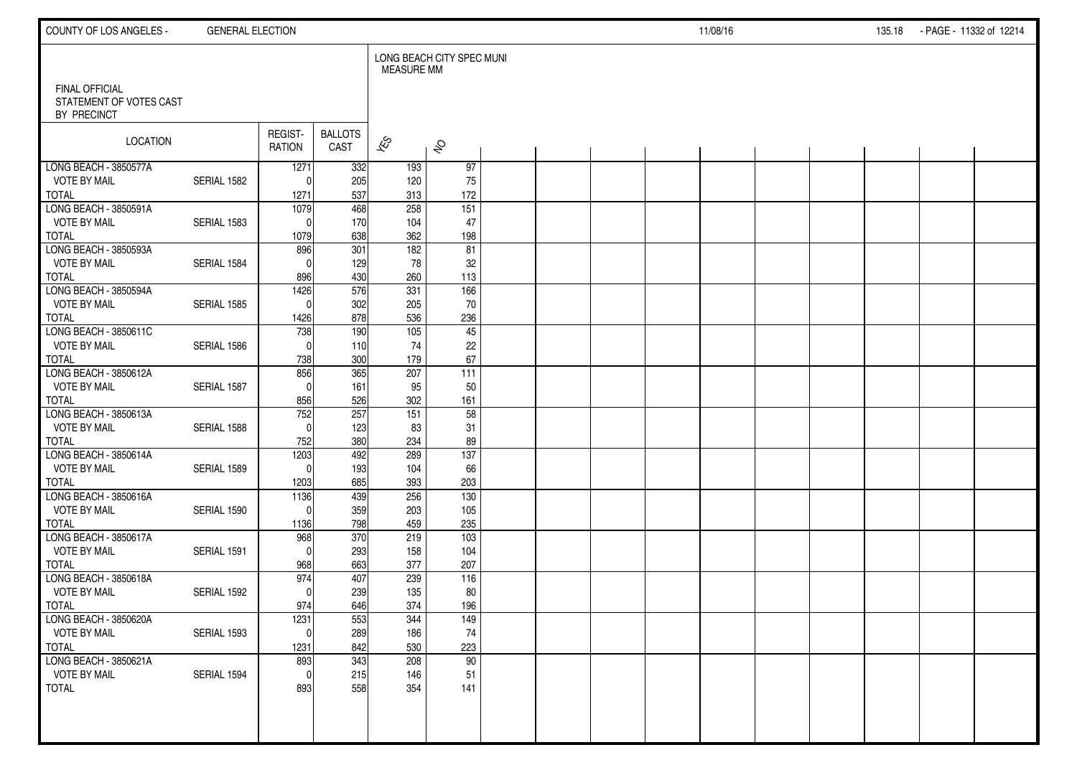| COUNTY OF LOS ANGELES -                | <b>GENERAL ELECTION</b> |                   |                         |                   |                           |  |  | 11/08/16 |  | 135.18 | - PAGE - 11332 of 12214 |  |
|----------------------------------------|-------------------------|-------------------|-------------------------|-------------------|---------------------------|--|--|----------|--|--------|-------------------------|--|
| <b>FINAL OFFICIAL</b>                  |                         |                   |                         | <b>MEASURE MM</b> | LONG BEACH CITY SPEC MUNI |  |  |          |  |        |                         |  |
| STATEMENT OF VOTES CAST<br>BY PRECINCT |                         |                   |                         |                   |                           |  |  |          |  |        |                         |  |
| <b>LOCATION</b>                        |                         | REGIST-<br>RATION | <b>BALLOTS</b><br>CAST  | $\approx$         | $\hat{\mathcal{S}}$       |  |  |          |  |        |                         |  |
| LONG BEACH - 3850577A                  |                         | 1271              | 332                     | 193               | 97                        |  |  |          |  |        |                         |  |
| <b>VOTE BY MAIL</b>                    | SERIAL 1582             | $\Omega$          | 205                     | 120               | 75                        |  |  |          |  |        |                         |  |
| <b>TOTAL</b><br>LONG BEACH - 3850591A  |                         | 1271<br>1079      | 537<br>$\overline{468}$ | 313<br>258        | 172<br>151                |  |  |          |  |        |                         |  |
| <b>VOTE BY MAIL</b>                    | SERIAL 1583             | $\Omega$          | 170                     | 104               | 47                        |  |  |          |  |        |                         |  |
| <b>TOTAL</b>                           |                         | 1079              | 638                     | 362               | 198                       |  |  |          |  |        |                         |  |
| LONG BEACH - 3850593A                  |                         | 896               | 301                     | $\frac{1}{182}$   | 81                        |  |  |          |  |        |                         |  |
| <b>VOTE BY MAIL</b>                    | SERIAL 1584             | $\Omega$          | 129                     | 78                | 32                        |  |  |          |  |        |                         |  |
| <b>TOTAL</b>                           |                         | 896               | 430                     | 260               | 113                       |  |  |          |  |        |                         |  |
| LONG BEACH - 3850594A                  |                         | 1426              | 576                     | 331               | 166                       |  |  |          |  |        |                         |  |
| <b>VOTE BY MAIL</b>                    | SERIAL 1585             | $\mathbf{0}$      | 302                     | 205               | 70                        |  |  |          |  |        |                         |  |
| <b>TOTAL</b>                           |                         | 1426              | 878                     | 536               | 236                       |  |  |          |  |        |                         |  |
| LONG BEACH - 3850611C                  |                         | 738               | 190                     | 105               | 45                        |  |  |          |  |        |                         |  |
| <b>VOTE BY MAIL</b>                    | SERIAL 1586             | $\Omega$          | 110                     | 74                | 22                        |  |  |          |  |        |                         |  |
| <b>TOTAL</b><br>LONG BEACH - 3850612A  |                         | 738               | 300                     | 179               | 67                        |  |  |          |  |        |                         |  |
| <b>VOTE BY MAIL</b>                    | SERIAL 1587             | 856<br>$\Omega$   | 365<br>161              | 207<br>95         | 111<br>50                 |  |  |          |  |        |                         |  |
| <b>TOTAL</b>                           |                         | 856               | 526                     | 302               | 161                       |  |  |          |  |        |                         |  |
| LONG BEACH - 3850613A                  |                         | 752               | 257                     | 151               | 58                        |  |  |          |  |        |                         |  |
| <b>VOTE BY MAIL</b>                    | SERIAL 1588             | $\Omega$          | 123                     | 83                | 31                        |  |  |          |  |        |                         |  |
| <b>TOTAL</b>                           |                         | 752               | 380                     | 234               | 89                        |  |  |          |  |        |                         |  |
| LONG BEACH - 3850614A                  |                         | 1203              | 492                     | 289               | $\overline{137}$          |  |  |          |  |        |                         |  |
| <b>VOTE BY MAIL</b>                    | SERIAL 1589             | $\Omega$          | 193                     | 104               | 66                        |  |  |          |  |        |                         |  |
| <b>TOTAL</b>                           |                         | 1203              | 685                     | 393               | 203                       |  |  |          |  |        |                         |  |
| LONG BEACH - 3850616A                  |                         | 1136              | 439                     | 256               | 130                       |  |  |          |  |        |                         |  |
| <b>VOTE BY MAIL</b>                    | SERIAL 1590             | $\Omega$          | 359                     | 203               | 105                       |  |  |          |  |        |                         |  |
| <b>TOTAL</b>                           |                         | 1136              | 798                     | 459               | 235                       |  |  |          |  |        |                         |  |
| LONG BEACH - 3850617A                  |                         | 968               | 370                     | 219               | $\overline{103}$          |  |  |          |  |        |                         |  |
| <b>VOTE BY MAIL</b><br><b>TOTAL</b>    | SERIAL 1591             | $\Omega$<br>968   | 293<br>663              | 158<br>377        | 104<br>207                |  |  |          |  |        |                         |  |
| LONG BEACH - 3850618A                  |                         | 974               | 407                     | 239               | 116                       |  |  |          |  |        |                         |  |
| <b>VOTE BY MAIL</b>                    | SERIAL 1592             | $\Omega$          | 239                     | 135               | 80                        |  |  |          |  |        |                         |  |
| <b>TOTAL</b>                           |                         | 974               | 646                     | 374               | 196                       |  |  |          |  |        |                         |  |
| LONG BEACH - 3850620A                  |                         | 1231              | 553                     | 344               | 149                       |  |  |          |  |        |                         |  |
| <b>VOTE BY MAIL</b>                    | SERIAL 1593             | $\overline{0}$    | 289                     | 186               | 74                        |  |  |          |  |        |                         |  |
| <b>TOTAL</b>                           |                         | 1231              | 842                     | 530               | 223                       |  |  |          |  |        |                         |  |
| LONG BEACH - 3850621A                  |                         | 893               | 343                     | 208               | 90                        |  |  |          |  |        |                         |  |
| <b>VOTE BY MAIL</b>                    | SERIAL 1594             | $\mathbf 0$       | 215                     | 146               | 51                        |  |  |          |  |        |                         |  |
| <b>TOTAL</b>                           |                         | 893               | 558                     | 354               | 141                       |  |  |          |  |        |                         |  |
|                                        |                         |                   |                         |                   |                           |  |  |          |  |        |                         |  |
|                                        |                         |                   |                         |                   |                           |  |  |          |  |        |                         |  |
|                                        |                         |                   |                         |                   |                           |  |  |          |  |        |                         |  |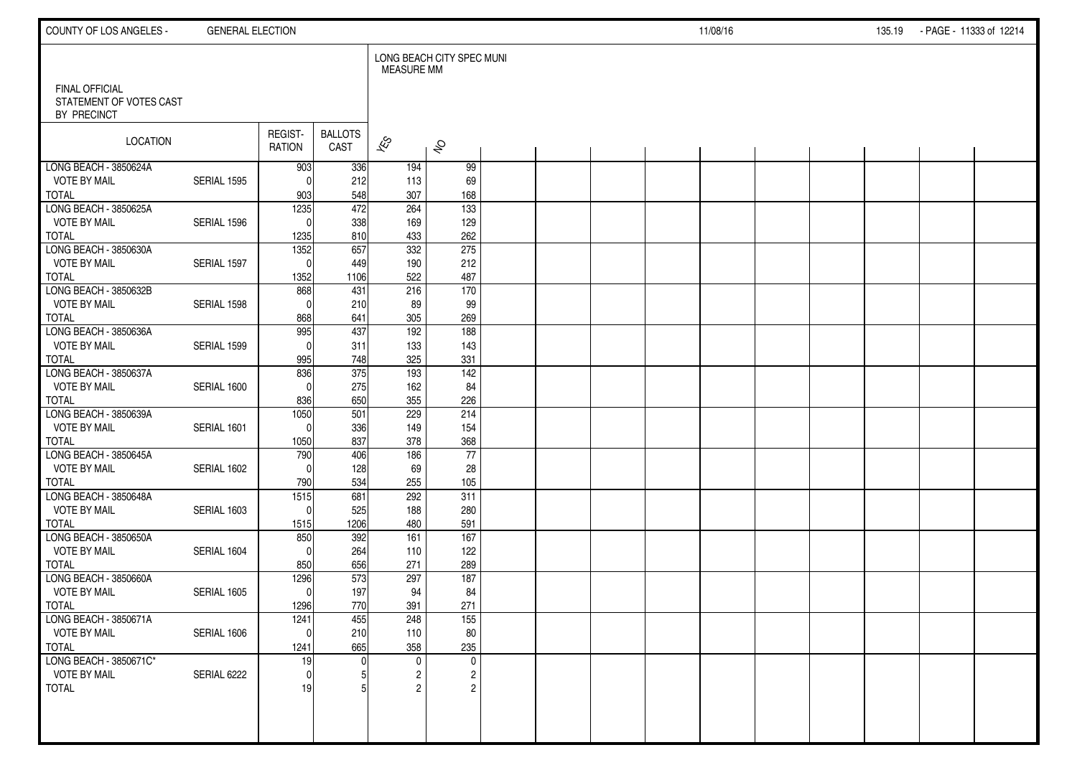| COUNTY OF LOS ANGELES -                                  | <b>GENERAL ELECTION</b> |                          |                         |                          |                           |  |  | 11/08/16 |  | 135.19 | - PAGE - 11333 of 12214 |  |
|----------------------------------------------------------|-------------------------|--------------------------|-------------------------|--------------------------|---------------------------|--|--|----------|--|--------|-------------------------|--|
|                                                          |                         |                          |                         | <b>MEASURE MM</b>        | LONG BEACH CITY SPEC MUNI |  |  |          |  |        |                         |  |
| FINAL OFFICIAL<br>STATEMENT OF VOTES CAST<br>BY PRECINCT |                         |                          |                         |                          |                           |  |  |          |  |        |                         |  |
| LOCATION                                                 |                         | REGIST-<br><b>RATION</b> | <b>BALLOTS</b><br>CAST  | $\overline{\mathscr{E}}$ | $\hat{\mathcal{S}}$       |  |  |          |  |        |                         |  |
| LONG BEACH - 3850624A                                    |                         | 903                      | 336                     | 194                      | 99                        |  |  |          |  |        |                         |  |
| <b>VOTE BY MAIL</b>                                      | SERIAL 1595             | $^{\circ}$               | 212                     | 113                      | 69                        |  |  |          |  |        |                         |  |
| <b>TOTAL</b><br>LONG BEACH - 3850625A                    |                         | 903<br>1235              | 548<br>$\overline{472}$ | 307<br>264               | 168<br>$\frac{1}{133}$    |  |  |          |  |        |                         |  |
| <b>VOTE BY MAIL</b>                                      | SERIAL 1596             | $\mathbf{0}$             | 338                     | 169                      | 129                       |  |  |          |  |        |                         |  |
| <b>TOTAL</b>                                             |                         | 1235                     | 810                     | 433                      | 262                       |  |  |          |  |        |                         |  |
| LONG BEACH - 3850630A                                    |                         | 1352                     | 657                     | 332                      | 275                       |  |  |          |  |        |                         |  |
| <b>VOTE BY MAIL</b>                                      | SERIAL 1597             | $\mathbf 0$              | 449                     | 190                      | 212                       |  |  |          |  |        |                         |  |
| <b>TOTAL</b>                                             |                         | 1352                     | 1106                    | 522                      | 487                       |  |  |          |  |        |                         |  |
| LONG BEACH - 3850632B                                    |                         | 868                      | 431                     | 216                      | 170                       |  |  |          |  |        |                         |  |
| <b>VOTE BY MAIL</b>                                      | SERIAL 1598             | $\mathbf{0}$             | 210                     | 89                       | 99                        |  |  |          |  |        |                         |  |
| <b>TOTAL</b>                                             |                         | 868                      | 641                     | 305                      | 269                       |  |  |          |  |        |                         |  |
| LONG BEACH - 3850636A                                    |                         | 995                      | 437                     | 192                      | 188                       |  |  |          |  |        |                         |  |
| <b>VOTE BY MAIL</b>                                      | SERIAL 1599             | $\Omega$                 | 311                     | 133                      | 143                       |  |  |          |  |        |                         |  |
| <b>TOTAL</b>                                             |                         | 995                      | 748                     | 325                      | 331                       |  |  |          |  |        |                         |  |
| LONG BEACH - 3850637A                                    |                         | 836                      | 375                     | 193                      | 142                       |  |  |          |  |        |                         |  |
| <b>VOTE BY MAIL</b>                                      | SERIAL 1600             | $\mathbf{0}$             | 275                     | 162                      | 84                        |  |  |          |  |        |                         |  |
| <b>TOTAL</b><br>LONG BEACH - 3850639A                    |                         | 836<br>1050              | 650<br>501              | 355<br>229               | 226<br>214                |  |  |          |  |        |                         |  |
| <b>VOTE BY MAIL</b>                                      | SERIAL 1601             | $\mathbf{0}$             | 336                     | 149                      | 154                       |  |  |          |  |        |                         |  |
| <b>TOTAL</b>                                             |                         | 1050                     | 837                     | 378                      | 368                       |  |  |          |  |        |                         |  |
| LONG BEACH - 3850645A                                    |                         | 790                      | 406                     | 186                      | 77                        |  |  |          |  |        |                         |  |
| <b>VOTE BY MAIL</b>                                      | SERIAL 1602             | $\Omega$                 | 128                     | 69                       | 28                        |  |  |          |  |        |                         |  |
| <b>TOTAL</b>                                             |                         | 790                      | 534                     | 255                      | 105                       |  |  |          |  |        |                         |  |
| LONG BEACH - 3850648A                                    |                         | $\frac{1515}{2}$         | 681                     | 292                      | 311                       |  |  |          |  |        |                         |  |
| <b>VOTE BY MAIL</b>                                      | SERIAL 1603             | $\mathbf 0$              | 525                     | 188                      | 280                       |  |  |          |  |        |                         |  |
| <b>TOTAL</b>                                             |                         | 1515                     | 1206                    | 480                      | 591                       |  |  |          |  |        |                         |  |
| LONG BEACH - 3850650A                                    |                         | 850                      | 392                     | 161                      | $\frac{167}{167}$         |  |  |          |  |        |                         |  |
| <b>VOTE BY MAIL</b>                                      | SERIAL 1604             | $\Omega$                 | 264                     | 110                      | 122                       |  |  |          |  |        |                         |  |
| <b>TOTAL</b>                                             |                         | 850                      | 656                     | 271                      | 289                       |  |  |          |  |        |                         |  |
| LONG BEACH - 3850660A                                    |                         | 1296                     | 573                     | 297                      | 187                       |  |  |          |  |        |                         |  |
| <b>VOTE BY MAIL</b>                                      | SERIAL 1605             | $\mathbf 0$              | 197                     | 94                       | 84                        |  |  |          |  |        |                         |  |
| <b>TOTAL</b><br>LONG BEACH - 3850671A                    |                         | 1296<br>1241             | 770<br>455              | 391<br>248               | 271<br>155                |  |  |          |  |        |                         |  |
| <b>VOTE BY MAIL</b>                                      | SERIAL 1606             | $\mathbf 0$              | 210                     | 110                      | 80                        |  |  |          |  |        |                         |  |
| <b>TOTAL</b>                                             |                         | 1241                     | 665                     | 358                      | 235                       |  |  |          |  |        |                         |  |
| LONG BEACH - 3850671C*                                   |                         | 19                       |                         | $\mathbf 0$              | $\mathsf{O}$              |  |  |          |  |        |                         |  |
| <b>VOTE BY MAIL</b>                                      | SERIAL 6222             | $\mathbf 0$              |                         | 2                        | $\overline{c}$            |  |  |          |  |        |                         |  |
| <b>TOTAL</b>                                             |                         | 19                       |                         | 2                        | $\mathbf{2}$              |  |  |          |  |        |                         |  |
|                                                          |                         |                          |                         |                          |                           |  |  |          |  |        |                         |  |
|                                                          |                         |                          |                         |                          |                           |  |  |          |  |        |                         |  |
|                                                          |                         |                          |                         |                          |                           |  |  |          |  |        |                         |  |
|                                                          |                         |                          |                         |                          |                           |  |  |          |  |        |                         |  |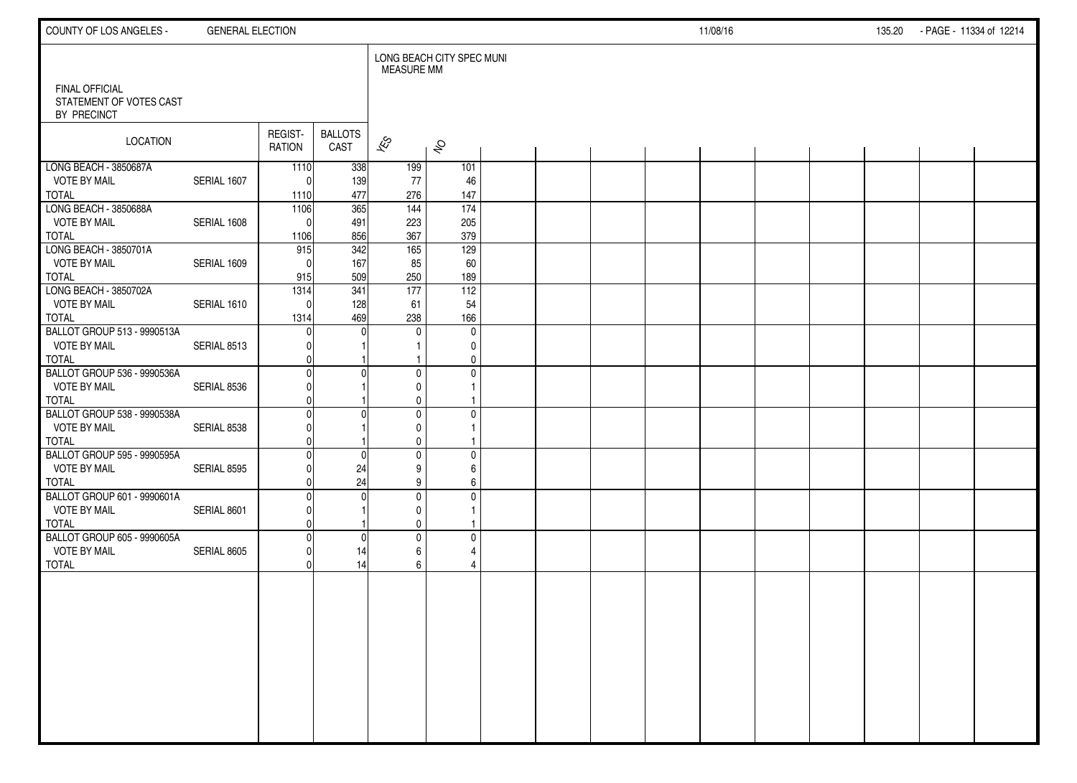| COUNTY OF LOS ANGELES -                                            | <b>GENERAL ELECTION</b> |                          |                        |                                              |                           |  |  | 11/08/16 |  | 135.20 - PAGE - 11334 of 12214 |  |
|--------------------------------------------------------------------|-------------------------|--------------------------|------------------------|----------------------------------------------|---------------------------|--|--|----------|--|--------------------------------|--|
| <b>FINAL OFFICIAL</b>                                              |                         |                          |                        | <b>MEASURE MM</b>                            | LONG BEACH CITY SPEC MUNI |  |  |          |  |                                |  |
| STATEMENT OF VOTES CAST<br>BY PRECINCT                             |                         |                          |                        |                                              |                           |  |  |          |  |                                |  |
| LOCATION                                                           |                         | REGIST-<br><b>RATION</b> | <b>BALLOTS</b><br>CAST | $\approx$                                    | $\hat{\mathcal{S}}$       |  |  |          |  |                                |  |
| LONG BEACH - 3850687A<br><b>VOTE BY MAIL</b><br>TOTAL              | SERIAL 1607             | 1110<br>$\Omega$<br>1110 | 338<br>139<br>477      | 199<br>77<br>276                             | 101<br>46<br>147          |  |  |          |  |                                |  |
| LONG BEACH - 3850688A<br><b>VOTE BY MAIL</b><br>TOTAL              | SERIAL 1608             | 1106<br>$\Omega$<br>1106 | 365<br>491<br>856      | 144<br>223<br>367                            | 174<br>205<br>379         |  |  |          |  |                                |  |
| LONG BEACH - 3850701A<br><b>VOTE BY MAIL</b><br><b>TOTAL</b>       | SERIAL 1609             | 915<br>$\Omega$<br>915   | 342<br>167<br>509      | 165<br>85<br>250                             | 129<br>60<br>189          |  |  |          |  |                                |  |
| LONG BEACH - 3850702A<br><b>VOTE BY MAIL</b><br><b>TOTAL</b>       | SERIAL 1610             | 1314<br>$\Omega$<br>1314 | 341<br>128<br>469      | 177<br>61<br>238                             | 112<br>54<br>166          |  |  |          |  |                                |  |
| BALLOT GROUP 513 - 9990513A<br><b>VOTE BY MAIL</b><br><b>TOTAL</b> | SERIAL 8513             |                          |                        | $\Omega$                                     | $\mathbf 0$<br>0<br>0     |  |  |          |  |                                |  |
| BALLOT GROUP 536 - 9990536A<br><b>VOTE BY MAIL</b><br><b>TOTAL</b> | SERIAL 8536             |                          |                        | $\mathbf{0}$<br>$\mathbf{0}$<br>$\mathbf{0}$ | $\mathbf 0$               |  |  |          |  |                                |  |
| BALLOT GROUP 538 - 9990538A<br><b>VOTE BY MAIL</b><br><b>TOTAL</b> | SERIAL 8538             |                          |                        | $\mathbf{0}$<br>$\mathbf{0}$<br>$\mathbf 0$  | $\mathbf 0$               |  |  |          |  |                                |  |
| BALLOT GROUP 595 - 9990595A<br><b>VOTE BY MAIL</b><br><b>TOTAL</b> | SERIAL 8595             |                          | $\Omega$<br>24<br>24   | $\mathbf 0$<br>9<br>9                        | $\mathbf 0$<br>6<br>6     |  |  |          |  |                                |  |
| BALLOT GROUP 601 - 9990601A<br><b>VOTE BY MAIL</b><br><b>TOTAL</b> | SERIAL 8601             |                          |                        | $\mathbf 0$<br>0<br>$\mathbf 0$              | 0                         |  |  |          |  |                                |  |
| BALLOT GROUP 605 - 9990605A<br><b>VOTE BY MAIL</b><br><b>TOTAL</b> | SERIAL 8605             |                          | C<br>14<br>14          | $\mathbf{0}$<br>6<br>6                       | $\mathbf 0$<br>4<br>4     |  |  |          |  |                                |  |
|                                                                    |                         |                          |                        |                                              |                           |  |  |          |  |                                |  |
|                                                                    |                         |                          |                        |                                              |                           |  |  |          |  |                                |  |
|                                                                    |                         |                          |                        |                                              |                           |  |  |          |  |                                |  |
|                                                                    |                         |                          |                        |                                              |                           |  |  |          |  |                                |  |